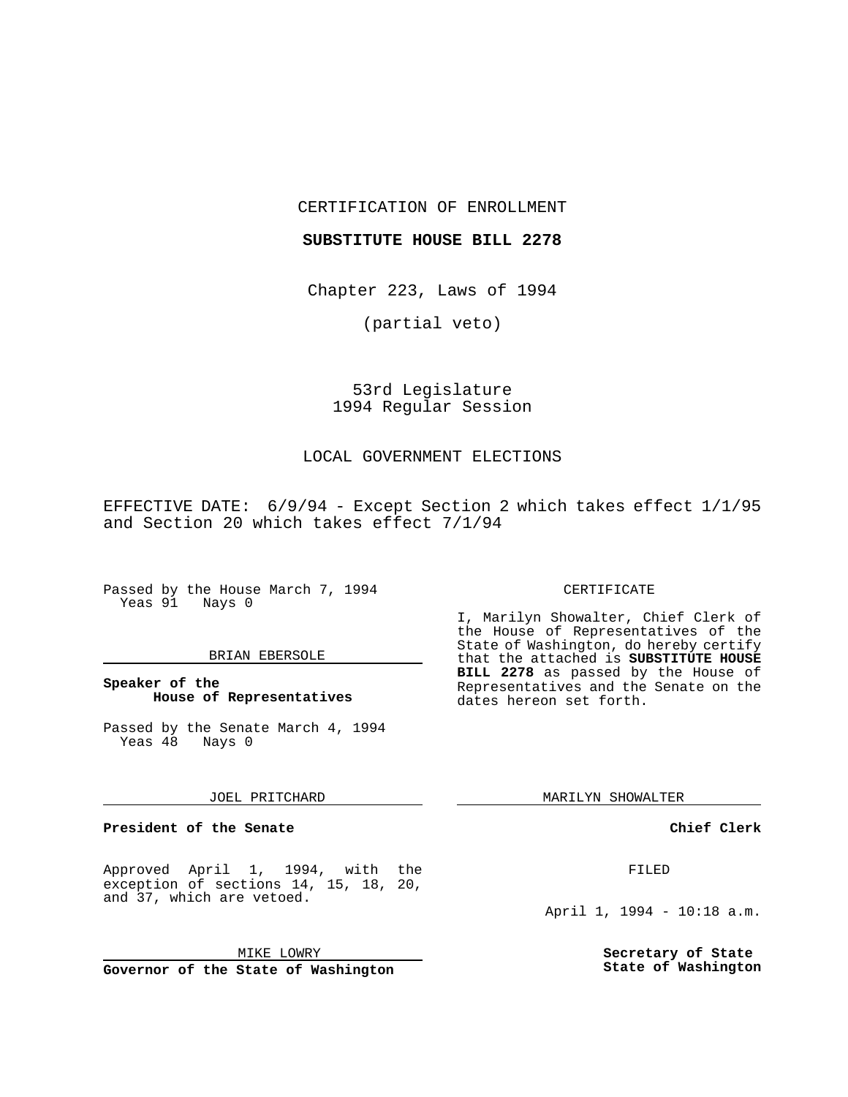CERTIFICATION OF ENROLLMENT

## **SUBSTITUTE HOUSE BILL 2278**

Chapter 223, Laws of 1994

(partial veto)

## 53rd Legislature 1994 Regular Session

## LOCAL GOVERNMENT ELECTIONS

EFFECTIVE DATE: 6/9/94 - Except Section 2 which takes effect 1/1/95 and Section 20 which takes effect 7/1/94

Passed by the House March 7, 1994 Yeas 91 Nays 0

#### BRIAN EBERSOLE

## **Speaker of the House of Representatives**

Passed by the Senate March 4, 1994 Yeas 48 Nays 0

#### JOEL PRITCHARD

## **President of the Senate**

Approved April 1, 1994, with the exception of sections 14, 15, 18, 20, and 37, which are vetoed.

MIKE LOWRY

**Governor of the State of Washington**

#### CERTIFICATE

I, Marilyn Showalter, Chief Clerk of the House of Representatives of the State of Washington, do hereby certify that the attached is **SUBSTITUTE HOUSE BILL 2278** as passed by the House of Representatives and the Senate on the dates hereon set forth.

MARILYN SHOWALTER

## **Chief Clerk**

FILED

April 1, 1994 - 10:18 a.m.

**Secretary of State State of Washington**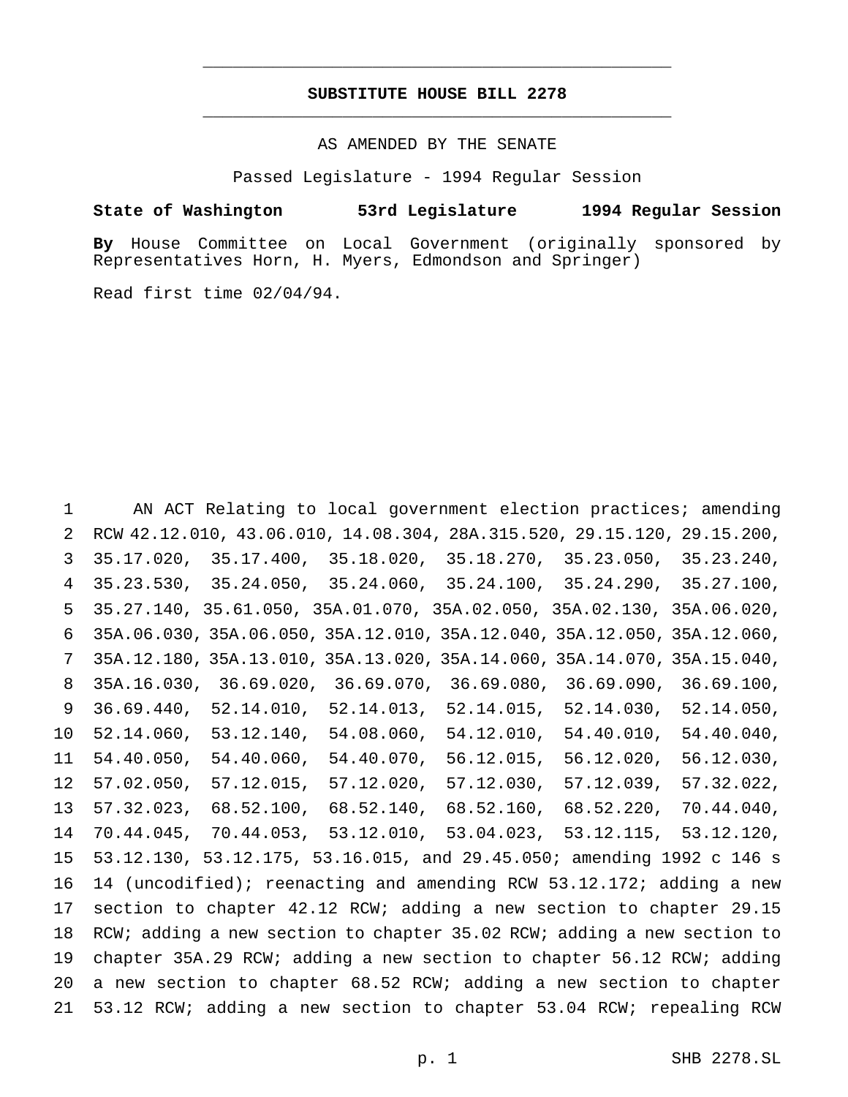## **SUBSTITUTE HOUSE BILL 2278** \_\_\_\_\_\_\_\_\_\_\_\_\_\_\_\_\_\_\_\_\_\_\_\_\_\_\_\_\_\_\_\_\_\_\_\_\_\_\_\_\_\_\_\_\_\_\_

\_\_\_\_\_\_\_\_\_\_\_\_\_\_\_\_\_\_\_\_\_\_\_\_\_\_\_\_\_\_\_\_\_\_\_\_\_\_\_\_\_\_\_\_\_\_\_

## AS AMENDED BY THE SENATE

Passed Legislature - 1994 Regular Session

## **State of Washington 53rd Legislature 1994 Regular Session**

**By** House Committee on Local Government (originally sponsored by Representatives Horn, H. Myers, Edmondson and Springer)

Read first time 02/04/94.

 AN ACT Relating to local government election practices; amending RCW 42.12.010, 43.06.010, 14.08.304, 28A.315.520, 29.15.120, 29.15.200, 35.17.020, 35.17.400, 35.18.020, 35.18.270, 35.23.050, 35.23.240, 35.23.530, 35.24.050, 35.24.060, 35.24.100, 35.24.290, 35.27.100, 35.27.140, 35.61.050, 35A.01.070, 35A.02.050, 35A.02.130, 35A.06.020, 35A.06.030, 35A.06.050, 35A.12.010, 35A.12.040, 35A.12.050, 35A.12.060, 35A.12.180, 35A.13.010, 35A.13.020, 35A.14.060, 35A.14.070, 35A.15.040, 35A.16.030, 36.69.020, 36.69.070, 36.69.080, 36.69.090, 36.69.100, 36.69.440, 52.14.010, 52.14.013, 52.14.015, 52.14.030, 52.14.050, 52.14.060, 53.12.140, 54.08.060, 54.12.010, 54.40.010, 54.40.040, 54.40.050, 54.40.060, 54.40.070, 56.12.015, 56.12.020, 56.12.030, 57.02.050, 57.12.015, 57.12.020, 57.12.030, 57.12.039, 57.32.022, 57.32.023, 68.52.100, 68.52.140, 68.52.160, 68.52.220, 70.44.040, 70.44.045, 70.44.053, 53.12.010, 53.04.023, 53.12.115, 53.12.120, 53.12.130, 53.12.175, 53.16.015, and 29.45.050; amending 1992 c 146 s 14 (uncodified); reenacting and amending RCW 53.12.172; adding a new section to chapter 42.12 RCW; adding a new section to chapter 29.15 18 RCW; adding a new section to chapter 35.02 RCW; adding a new section to chapter 35A.29 RCW; adding a new section to chapter 56.12 RCW; adding a new section to chapter 68.52 RCW; adding a new section to chapter 53.12 RCW; adding a new section to chapter 53.04 RCW; repealing RCW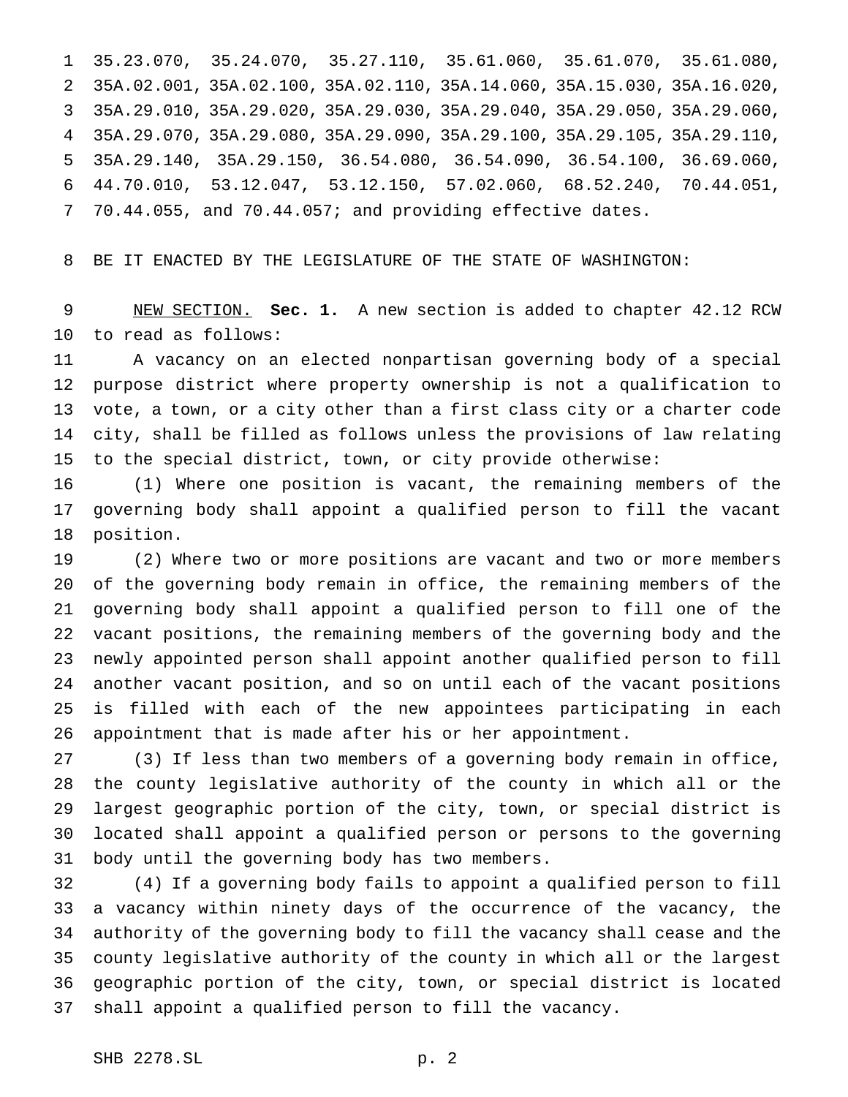35.23.070, 35.24.070, 35.27.110, 35.61.060, 35.61.070, 35.61.080, 35A.02.001, 35A.02.100, 35A.02.110, 35A.14.060, 35A.15.030, 35A.16.020, 35A.29.010, 35A.29.020, 35A.29.030, 35A.29.040, 35A.29.050, 35A.29.060, 35A.29.070, 35A.29.080, 35A.29.090, 35A.29.100, 35A.29.105, 35A.29.110, 35A.29.140, 35A.29.150, 36.54.080, 36.54.090, 36.54.100, 36.69.060, 44.70.010, 53.12.047, 53.12.150, 57.02.060, 68.52.240, 70.44.051, 70.44.055, and 70.44.057; and providing effective dates.

BE IT ENACTED BY THE LEGISLATURE OF THE STATE OF WASHINGTON:

 NEW SECTION. **Sec. 1.** A new section is added to chapter 42.12 RCW to read as follows:

 A vacancy on an elected nonpartisan governing body of a special purpose district where property ownership is not a qualification to vote, a town, or a city other than a first class city or a charter code city, shall be filled as follows unless the provisions of law relating to the special district, town, or city provide otherwise:

 (1) Where one position is vacant, the remaining members of the governing body shall appoint a qualified person to fill the vacant position.

 (2) Where two or more positions are vacant and two or more members of the governing body remain in office, the remaining members of the governing body shall appoint a qualified person to fill one of the vacant positions, the remaining members of the governing body and the newly appointed person shall appoint another qualified person to fill another vacant position, and so on until each of the vacant positions is filled with each of the new appointees participating in each appointment that is made after his or her appointment.

 (3) If less than two members of a governing body remain in office, the county legislative authority of the county in which all or the largest geographic portion of the city, town, or special district is located shall appoint a qualified person or persons to the governing body until the governing body has two members.

 (4) If a governing body fails to appoint a qualified person to fill a vacancy within ninety days of the occurrence of the vacancy, the authority of the governing body to fill the vacancy shall cease and the county legislative authority of the county in which all or the largest geographic portion of the city, town, or special district is located shall appoint a qualified person to fill the vacancy.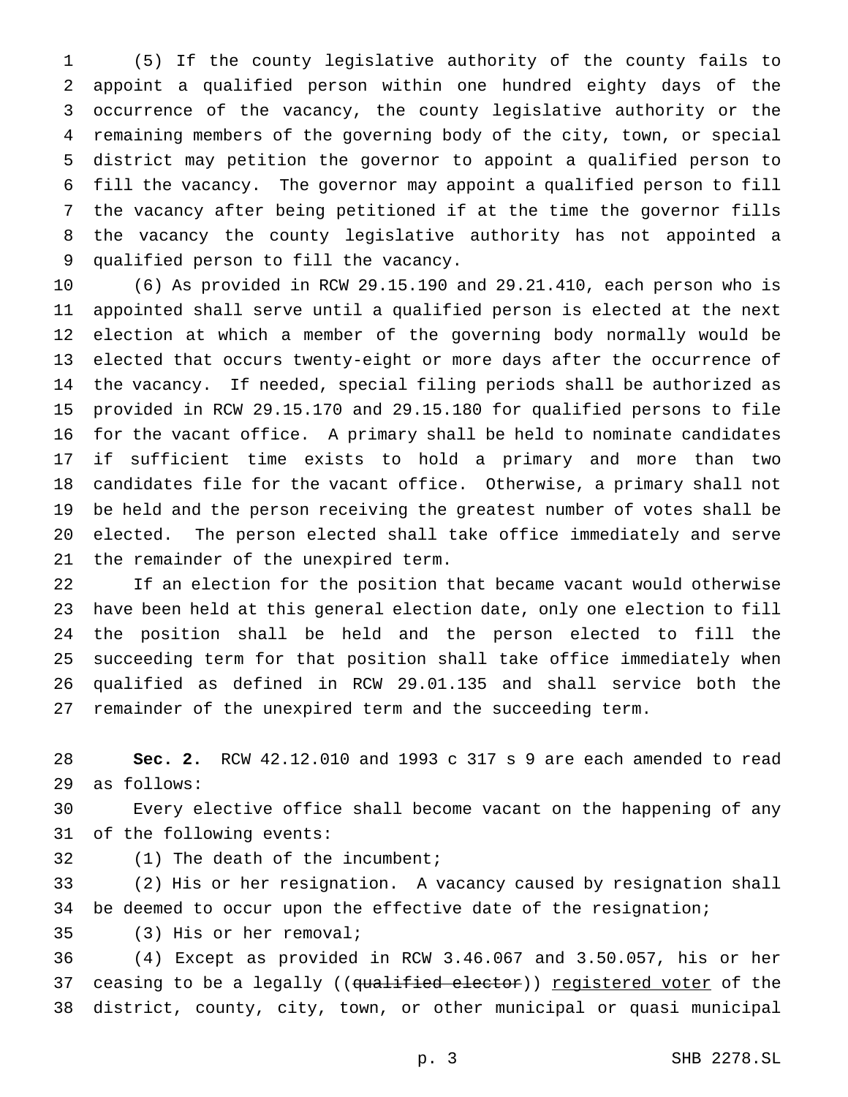(5) If the county legislative authority of the county fails to appoint a qualified person within one hundred eighty days of the occurrence of the vacancy, the county legislative authority or the remaining members of the governing body of the city, town, or special district may petition the governor to appoint a qualified person to fill the vacancy. The governor may appoint a qualified person to fill the vacancy after being petitioned if at the time the governor fills the vacancy the county legislative authority has not appointed a qualified person to fill the vacancy.

 (6) As provided in RCW 29.15.190 and 29.21.410, each person who is appointed shall serve until a qualified person is elected at the next election at which a member of the governing body normally would be elected that occurs twenty-eight or more days after the occurrence of the vacancy. If needed, special filing periods shall be authorized as provided in RCW 29.15.170 and 29.15.180 for qualified persons to file for the vacant office. A primary shall be held to nominate candidates if sufficient time exists to hold a primary and more than two candidates file for the vacant office. Otherwise, a primary shall not be held and the person receiving the greatest number of votes shall be elected. The person elected shall take office immediately and serve the remainder of the unexpired term.

 If an election for the position that became vacant would otherwise have been held at this general election date, only one election to fill the position shall be held and the person elected to fill the succeeding term for that position shall take office immediately when qualified as defined in RCW 29.01.135 and shall service both the remainder of the unexpired term and the succeeding term.

 **Sec. 2.** RCW 42.12.010 and 1993 c 317 s 9 are each amended to read as follows:

 Every elective office shall become vacant on the happening of any of the following events:

(1) The death of the incumbent;

 (2) His or her resignation. A vacancy caused by resignation shall be deemed to occur upon the effective date of the resignation;

(3) His or her removal;

 (4) Except as provided in RCW 3.46.067 and 3.50.057, his or her 37 ceasing to be a legally ((qualified elector)) registered voter of the district, county, city, town, or other municipal or quasi municipal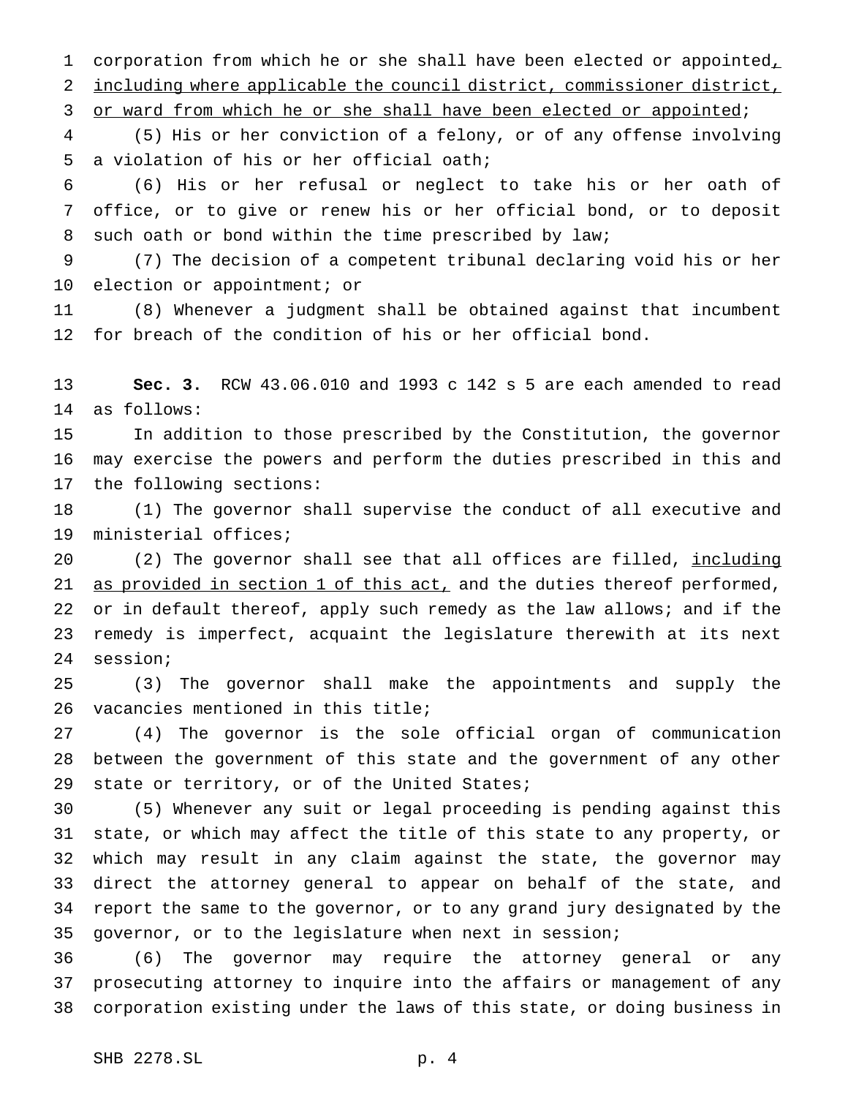1 corporation from which he or she shall have been elected or appointed, including where applicable the council district, commissioner district,

3 or ward from which he or she shall have been elected or appointed;

 (5) His or her conviction of a felony, or of any offense involving a violation of his or her official oath;

 (6) His or her refusal or neglect to take his or her oath of office, or to give or renew his or her official bond, or to deposit 8 such oath or bond within the time prescribed by law;

 (7) The decision of a competent tribunal declaring void his or her election or appointment; or

 (8) Whenever a judgment shall be obtained against that incumbent for breach of the condition of his or her official bond.

 **Sec. 3.** RCW 43.06.010 and 1993 c 142 s 5 are each amended to read as follows:

 In addition to those prescribed by the Constitution, the governor may exercise the powers and perform the duties prescribed in this and the following sections:

 (1) The governor shall supervise the conduct of all executive and ministerial offices;

 (2) The governor shall see that all offices are filled, including 21 as provided in section 1 of this act, and the duties thereof performed, 22 or in default thereof, apply such remedy as the law allows; and if the remedy is imperfect, acquaint the legislature therewith at its next session;

 (3) The governor shall make the appointments and supply the vacancies mentioned in this title;

 (4) The governor is the sole official organ of communication between the government of this state and the government of any other state or territory, or of the United States;

 (5) Whenever any suit or legal proceeding is pending against this state, or which may affect the title of this state to any property, or which may result in any claim against the state, the governor may direct the attorney general to appear on behalf of the state, and report the same to the governor, or to any grand jury designated by the governor, or to the legislature when next in session;

 (6) The governor may require the attorney general or any prosecuting attorney to inquire into the affairs or management of any corporation existing under the laws of this state, or doing business in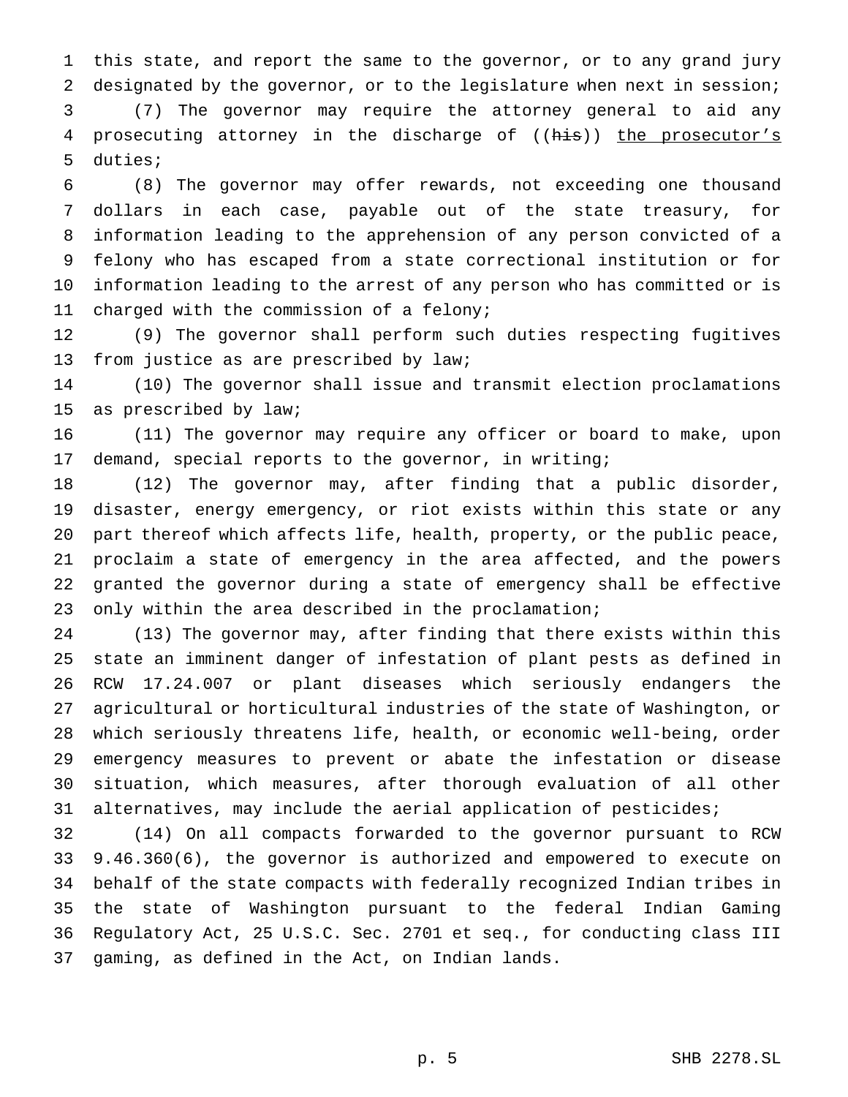this state, and report the same to the governor, or to any grand jury designated by the governor, or to the legislature when next in session;

 (7) The governor may require the attorney general to aid any 4 prosecuting attorney in the discharge of ((his)) the prosecutor's duties;

 (8) The governor may offer rewards, not exceeding one thousand dollars in each case, payable out of the state treasury, for information leading to the apprehension of any person convicted of a felony who has escaped from a state correctional institution or for information leading to the arrest of any person who has committed or is charged with the commission of a felony;

 (9) The governor shall perform such duties respecting fugitives from justice as are prescribed by law;

 (10) The governor shall issue and transmit election proclamations as prescribed by law;

 (11) The governor may require any officer or board to make, upon demand, special reports to the governor, in writing;

 (12) The governor may, after finding that a public disorder, disaster, energy emergency, or riot exists within this state or any part thereof which affects life, health, property, or the public peace, proclaim a state of emergency in the area affected, and the powers granted the governor during a state of emergency shall be effective only within the area described in the proclamation;

 (13) The governor may, after finding that there exists within this state an imminent danger of infestation of plant pests as defined in RCW 17.24.007 or plant diseases which seriously endangers the agricultural or horticultural industries of the state of Washington, or which seriously threatens life, health, or economic well-being, order emergency measures to prevent or abate the infestation or disease situation, which measures, after thorough evaluation of all other alternatives, may include the aerial application of pesticides;

 (14) On all compacts forwarded to the governor pursuant to RCW 9.46.360(6), the governor is authorized and empowered to execute on behalf of the state compacts with federally recognized Indian tribes in the state of Washington pursuant to the federal Indian Gaming Regulatory Act, 25 U.S.C. Sec. 2701 et seq., for conducting class III gaming, as defined in the Act, on Indian lands.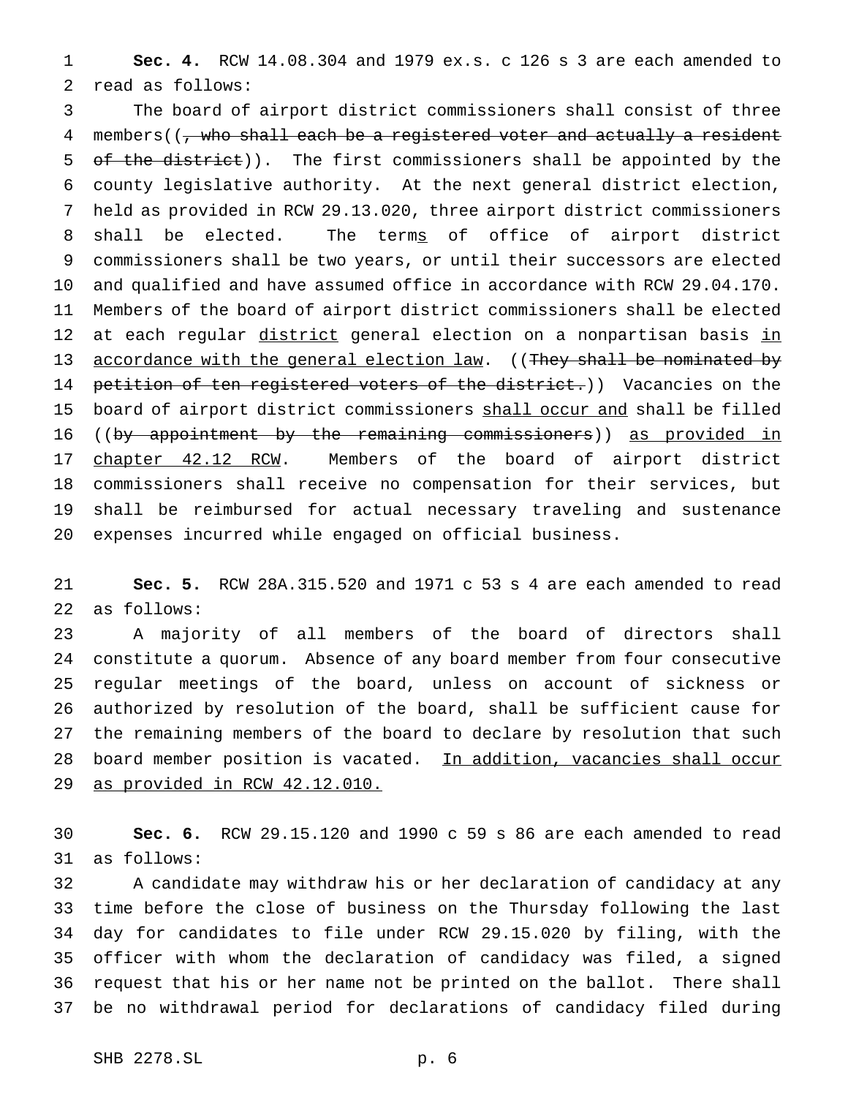**Sec. 4.** RCW 14.08.304 and 1979 ex.s. c 126 s 3 are each amended to read as follows:

 The board of airport district commissioners shall consist of three 4 members((, who shall each be a registered voter and actually a resident 5 of the district)). The first commissioners shall be appointed by the county legislative authority. At the next general district election, held as provided in RCW 29.13.020, three airport district commissioners 8 shall be elected. The terms of office of airport district commissioners shall be two years, or until their successors are elected and qualified and have assumed office in accordance with RCW 29.04.170. Members of the board of airport district commissioners shall be elected 12 at each regular district general election on a nonpartisan basis in 13 accordance with the general election law. ((They shall be nominated by 14 petition of ten registered voters of the district.)) Vacancies on the 15 board of airport district commissioners shall occur and shall be filled 16 ((by appointment by the remaining commissioners)) as provided in 17 chapter 42.12 RCW. Members of the board of airport district commissioners shall receive no compensation for their services, but shall be reimbursed for actual necessary traveling and sustenance expenses incurred while engaged on official business.

 **Sec. 5.** RCW 28A.315.520 and 1971 c 53 s 4 are each amended to read as follows:

 A majority of all members of the board of directors shall constitute a quorum. Absence of any board member from four consecutive regular meetings of the board, unless on account of sickness or authorized by resolution of the board, shall be sufficient cause for the remaining members of the board to declare by resolution that such 28 board member position is vacated. In addition, vacancies shall occur as provided in RCW 42.12.010.

 **Sec. 6.** RCW 29.15.120 and 1990 c 59 s 86 are each amended to read as follows:

 A candidate may withdraw his or her declaration of candidacy at any time before the close of business on the Thursday following the last day for candidates to file under RCW 29.15.020 by filing, with the officer with whom the declaration of candidacy was filed, a signed request that his or her name not be printed on the ballot. There shall be no withdrawal period for declarations of candidacy filed during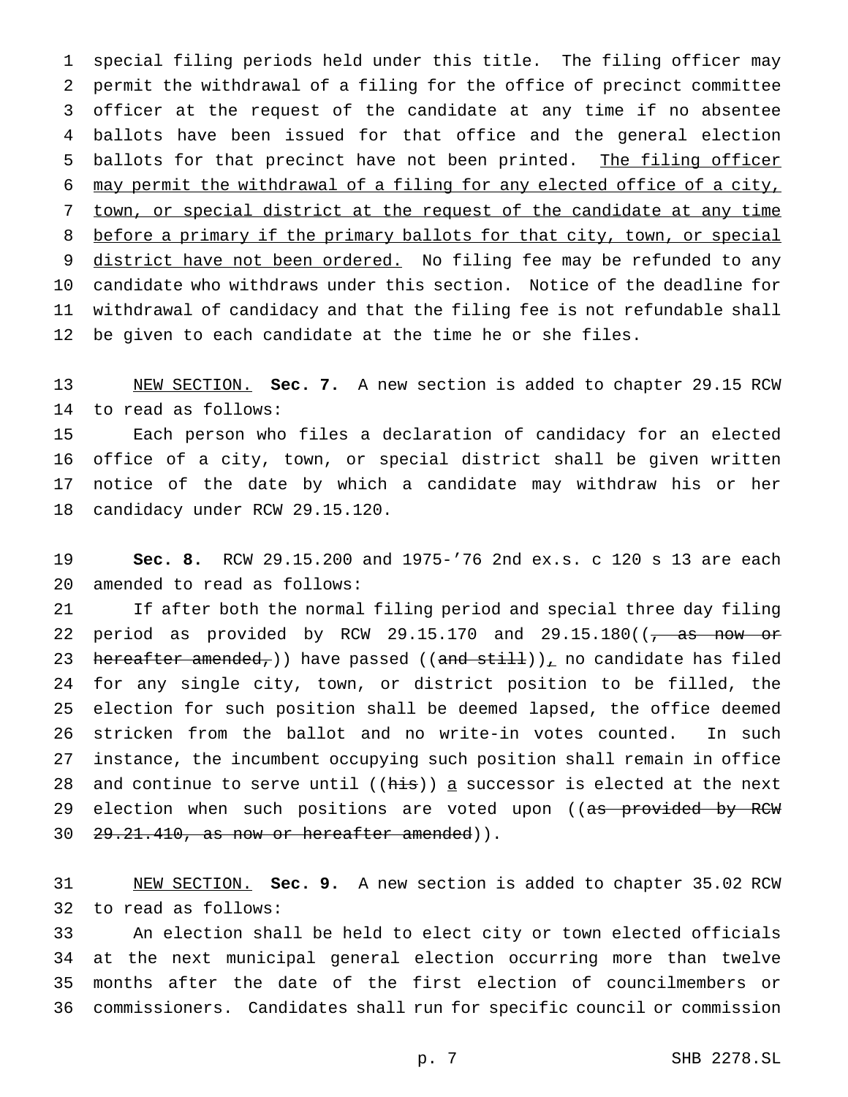special filing periods held under this title. The filing officer may permit the withdrawal of a filing for the office of precinct committee officer at the request of the candidate at any time if no absentee ballots have been issued for that office and the general election 5 ballots for that precinct have not been printed. The filing officer may permit the withdrawal of a filing for any elected office of a city, town, or special district at the request of the candidate at any time 8 before a primary if the primary ballots for that city, town, or special 9 district have not been ordered. No filing fee may be refunded to any candidate who withdraws under this section. Notice of the deadline for withdrawal of candidacy and that the filing fee is not refundable shall be given to each candidate at the time he or she files.

 NEW SECTION. **Sec. 7.** A new section is added to chapter 29.15 RCW to read as follows:

 Each person who files a declaration of candidacy for an elected office of a city, town, or special district shall be given written notice of the date by which a candidate may withdraw his or her candidacy under RCW 29.15.120.

 **Sec. 8.** RCW 29.15.200 and 1975-'76 2nd ex.s. c 120 s 13 are each amended to read as follows:

 If after both the normal filing period and special three day filing 22 period as provided by RCW 29.15.170 and  $29.15.180$  ( $\sqrt{a}$  as now or 23 hereafter amended,)) have passed  $((and still))_1$  no candidate has filed for any single city, town, or district position to be filled, the election for such position shall be deemed lapsed, the office deemed stricken from the ballot and no write-in votes counted. In such instance, the incumbent occupying such position shall remain in office 28 and continue to serve until  $(\overrightarrow{his})$  a successor is elected at the next 29 election when such positions are voted upon ((as provided by RCW 30 29.21.410, as now or hereafter amended)).

 NEW SECTION. **Sec. 9.** A new section is added to chapter 35.02 RCW to read as follows:

 An election shall be held to elect city or town elected officials at the next municipal general election occurring more than twelve months after the date of the first election of councilmembers or commissioners. Candidates shall run for specific council or commission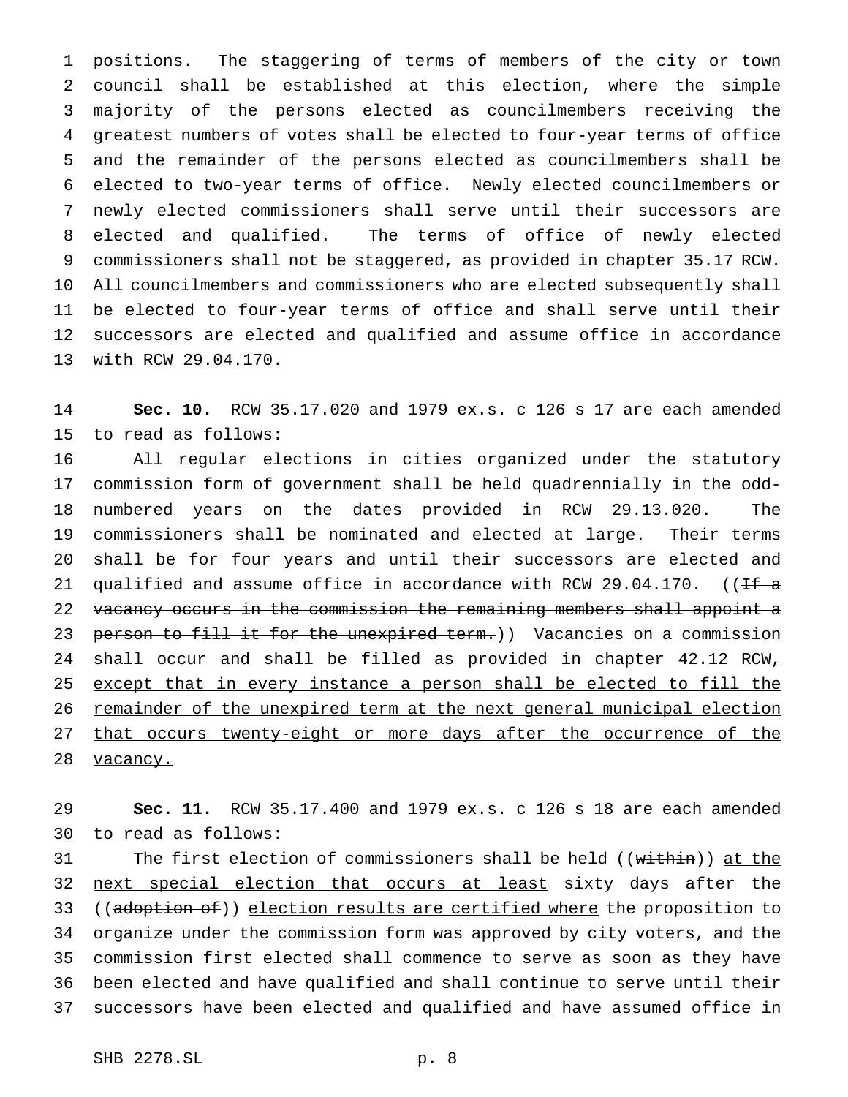positions. The staggering of terms of members of the city or town council shall be established at this election, where the simple majority of the persons elected as councilmembers receiving the greatest numbers of votes shall be elected to four-year terms of office and the remainder of the persons elected as councilmembers shall be elected to two-year terms of office. Newly elected councilmembers or newly elected commissioners shall serve until their successors are elected and qualified. The terms of office of newly elected commissioners shall not be staggered, as provided in chapter 35.17 RCW. All councilmembers and commissioners who are elected subsequently shall be elected to four-year terms of office and shall serve until their successors are elected and qualified and assume office in accordance with RCW 29.04.170.

 **Sec. 10.** RCW 35.17.020 and 1979 ex.s. c 126 s 17 are each amended to read as follows:

 All regular elections in cities organized under the statutory commission form of government shall be held quadrennially in the odd- numbered years on the dates provided in RCW 29.13.020. The commissioners shall be nominated and elected at large. Their terms shall be for four years and until their successors are elected and 21 qualified and assume office in accordance with RCW 29.04.170. ( $If \alpha$ 22 vacancy occurs in the commission the remaining members shall appoint a 23 person to fill it for the unexpired term.)) Vacancies on a commission shall occur and shall be filled as provided in chapter 42.12 RCW, except that in every instance a person shall be elected to fill the remainder of the unexpired term at the next general municipal election 27 that occurs twenty-eight or more days after the occurrence of the 28 vacancy.

 **Sec. 11.** RCW 35.17.400 and 1979 ex.s. c 126 s 18 are each amended to read as follows:

31 The first election of commissioners shall be held ((within)) at the 32 next special election that occurs at least sixty days after the 33 ((adoption of)) election results are certified where the proposition to 34 organize under the commission form was approved by city voters, and the commission first elected shall commence to serve as soon as they have been elected and have qualified and shall continue to serve until their successors have been elected and qualified and have assumed office in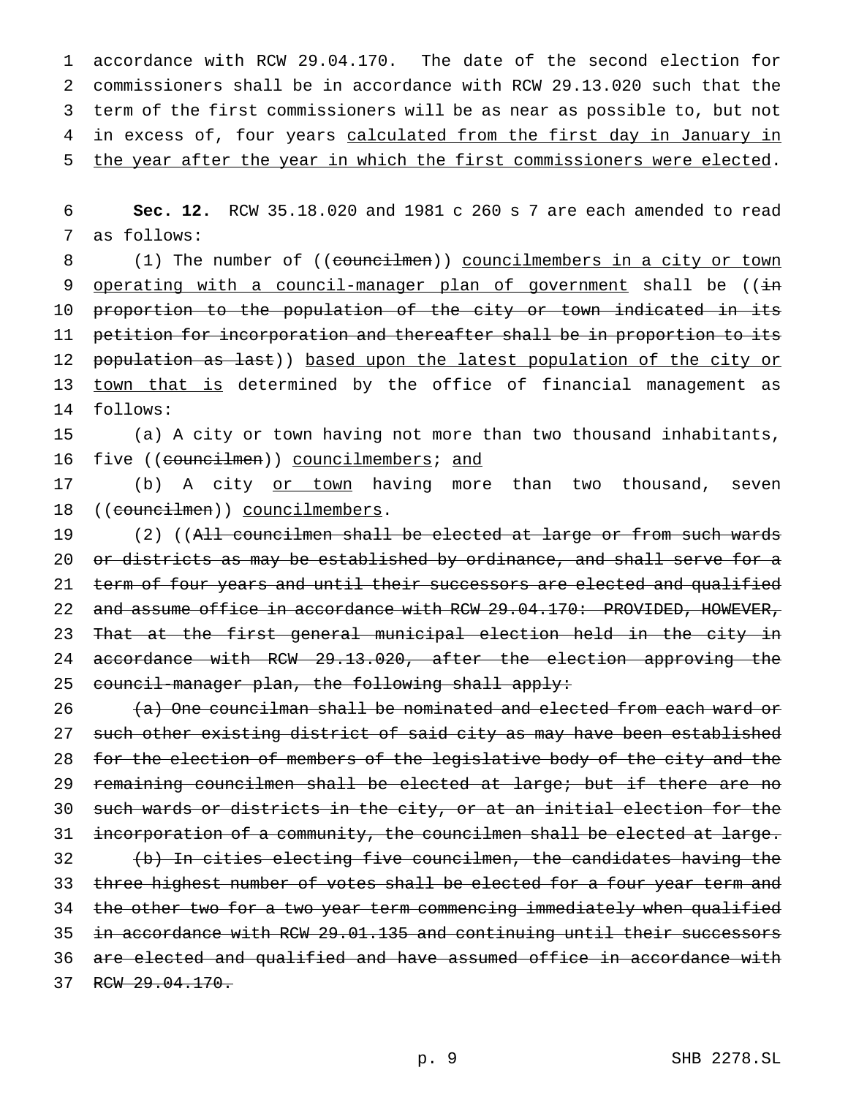accordance with RCW 29.04.170. The date of the second election for commissioners shall be in accordance with RCW 29.13.020 such that the term of the first commissioners will be as near as possible to, but not 4 in excess of, four years calculated from the first day in January in the year after the year in which the first commissioners were elected.

6 **Sec. 12.** RCW 35.18.020 and 1981 c 260 s 7 are each amended to read 7 as follows:

8 (1) The number of ((councilmen)) councilmembers in a city or town 9 operating with a council-manager plan of government shall be ((in 10 proportion to the population of the city or town indicated in its 11 petition for incorporation and thereafter shall be in proportion to its 12 population as last)) based upon the latest population of the city or 13 town that is determined by the office of financial management as 14 follows:

15 (a) A city or town having not more than two thousand inhabitants, 16 five ((councilmen)) councilmembers; and

17 (b) A city or town having more than two thousand, seven 18 ((councilmen)) councilmembers.

19 (2) ((All councilmen shall be elected at large or from such wards 20 or districts as may be established by ordinance, and shall serve for a 21 term of four years and until their successors are elected and qualified 22 and assume office in accordance with RCW 29.04.170: PROVIDED, HOWEVER, 23 That at the first general municipal election held in the city in 24 accordance with RCW 29.13.020, after the election approving the 25 council-manager plan, the following shall apply:

26 (a) One councilman shall be nominated and elected from each ward or 27 such other existing district of said city as may have been established 28 for the election of members of the legislative body of the city and the 29 remaining councilmen shall be elected at large; but if there are no 30 such wards or districts in the city, or at an initial election for the 31 incorporation of a community, the councilmen shall be elected at large. 32 (b) In cities electing five councilmen, the candidates having the 33 three highest number of votes shall be elected for a four year term and 34 the other two for a two year term commencing immediately when qualified 35 in accordance with RCW 29.01.135 and continuing until their successors 36 are elected and qualified and have assumed office in accordance with 37 RCW 29.04.170.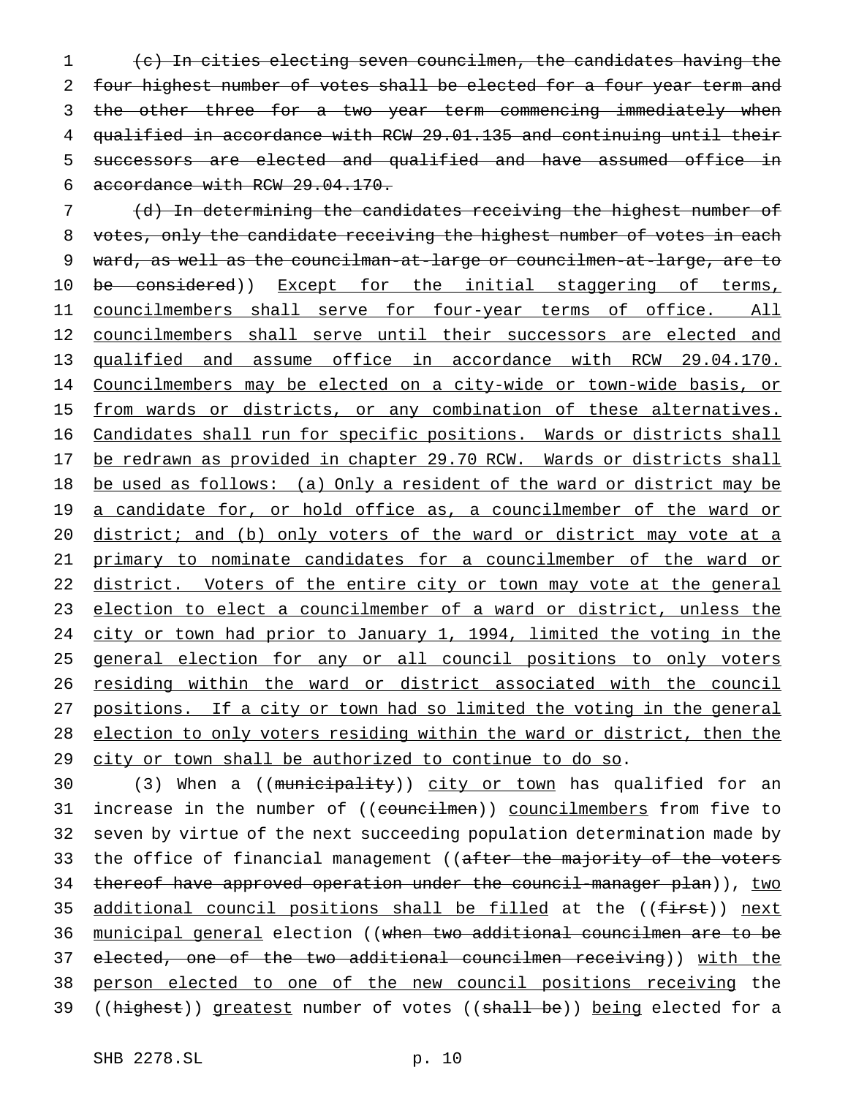(c) In cities electing seven councilmen, the candidates having the 2 four highest number of votes shall be elected for a four year term and 3 the other three for a two year term commencing immediately when qualified in accordance with RCW 29.01.135 and continuing until their successors are elected and qualified and have assumed office in accordance with RCW 29.04.170.

7 (d) In determining the candidates receiving the highest number of 8 votes, only the candidate receiving the highest number of votes in each 9 ward, as well as the councilman-at-large or councilmen-at-large, are to 10 be considered)) Except for the initial staggering of terms, 11 councilmembers shall serve for four-year terms of office. All 12 councilmembers shall serve until their successors are elected and 13 qualified and assume office in accordance with RCW 29.04.170. 14 Councilmembers may be elected on a city-wide or town-wide basis, or 15 from wards or districts, or any combination of these alternatives. 16 Candidates shall run for specific positions. Wards or districts shall 17 be redrawn as provided in chapter 29.70 RCW. Wards or districts shall 18 be used as follows: (a) Only a resident of the ward or district may be 19 a candidate for, or hold office as, a councilmember of the ward or 20 district; and (b) only voters of the ward or district may vote at a 21 primary to nominate candidates for a councilmember of the ward or 22 district. Voters of the entire city or town may vote at the general 23 election to elect a councilmember of a ward or district, unless the 24 city or town had prior to January 1, 1994, limited the voting in the 25 general election for any or all council positions to only voters 26 residing within the ward or district associated with the council 27 positions. If a city or town had so limited the voting in the general 28 election to only voters residing within the ward or district, then the 29 city or town shall be authorized to continue to do so.

30 (3) When a ((municipality)) city or town has qualified for an 31 increase in the number of ((councilmen)) councilmembers from five to 32 seven by virtue of the next succeeding population determination made by 33 the office of financial management ((after the majority of the voters 34 thereof have approved operation under the council-manager plan)), two 35 additional council positions shall be filled at the ((first)) next 36 municipal general election ((when two additional councilmen are to be 37 elected, one of the two additional councilmen receiving)) with the 38 person elected to one of the new council positions receiving the 39 ((highest)) greatest number of votes ((shall be)) being elected for a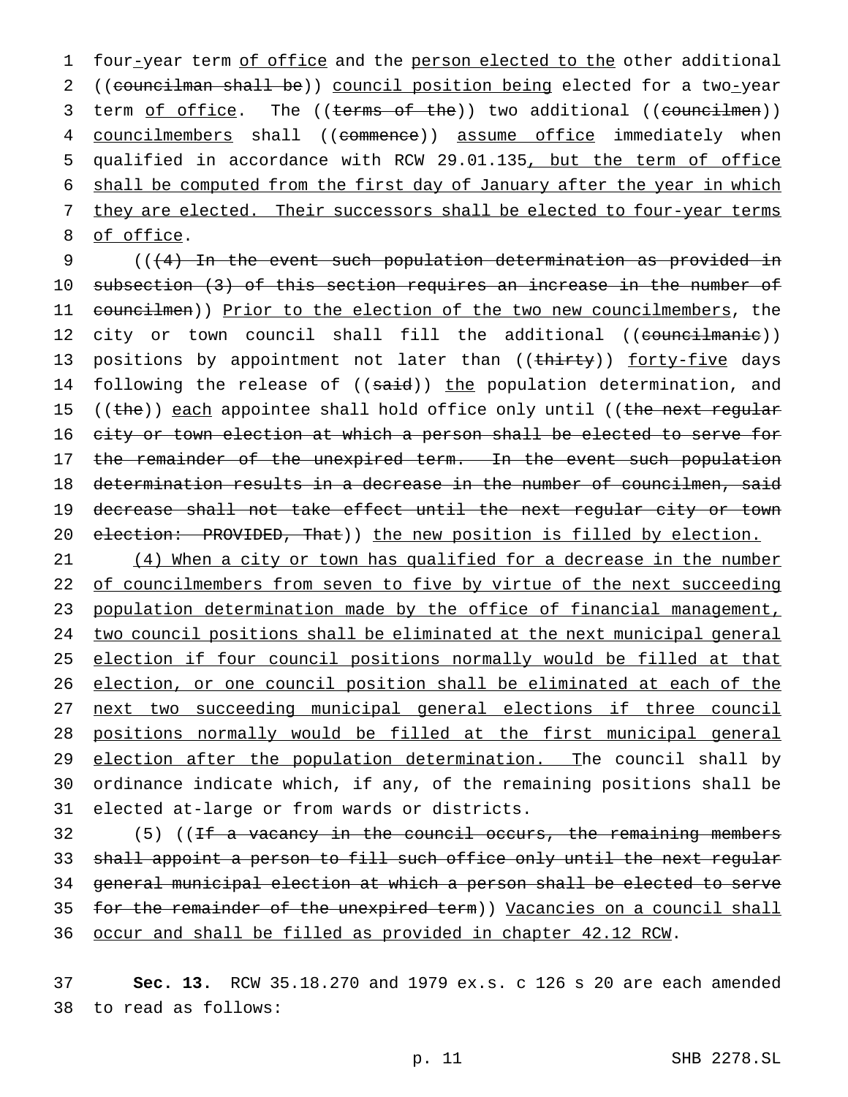1 four-year term of office and the person elected to the other additional 2 ((councilman shall be)) council position being elected for a two-year 3 term of office. The ((terms of the)) two additional ((councilmen)) 4 councilmembers shall ((commence)) assume office immediately when 5 qualified in accordance with RCW 29.01.135, but the term of office 6 shall be computed from the first day of January after the year in which 7 they are elected. Their successors shall be elected to four-year terms 8 of office.

9 (((4) In the event such population determination as provided in 10 subsection (3) of this section requires an increase in the number of 11 councilmen)) Prior to the election of the two new councilmembers, the 12 city or town council shall fill the additional ((councilmanie)) 13 positions by appointment not later than ((thirty)) forty-five days 14 following the release of ((said)) the population determination, and 15 ((the)) each appointee shall hold office only until ((the next regular 16 city or town election at which a person shall be elected to serve for 17 the remainder of the unexpired term. In the event such population 18 determination results in a decrease in the number of councilmen, said 19 decrease shall not take effect until the next regular city or town 20 election: PROVIDED, That)) the new position is filled by election.

21 (4) When a city or town has qualified for a decrease in the number 22 of councilmembers from seven to five by virtue of the next succeeding population determination made by the office of financial management, two council positions shall be eliminated at the next municipal general election if four council positions normally would be filled at that election, or one council position shall be eliminated at each of the next two succeeding municipal general elections if three council positions normally would be filled at the first municipal general 29 election after the population determination. The council shall by ordinance indicate which, if any, of the remaining positions shall be elected at-large or from wards or districts.

32 (5) ((<del>If a vacancy in the council occurs, the remaining members</del> shall appoint a person to fill such office only until the next regular general municipal election at which a person shall be elected to serve for the remainder of the unexpired term)) Vacancies on a council shall occur and shall be filled as provided in chapter 42.12 RCW.

37 **Sec. 13.** RCW 35.18.270 and 1979 ex.s. c 126 s 20 are each amended 38 to read as follows: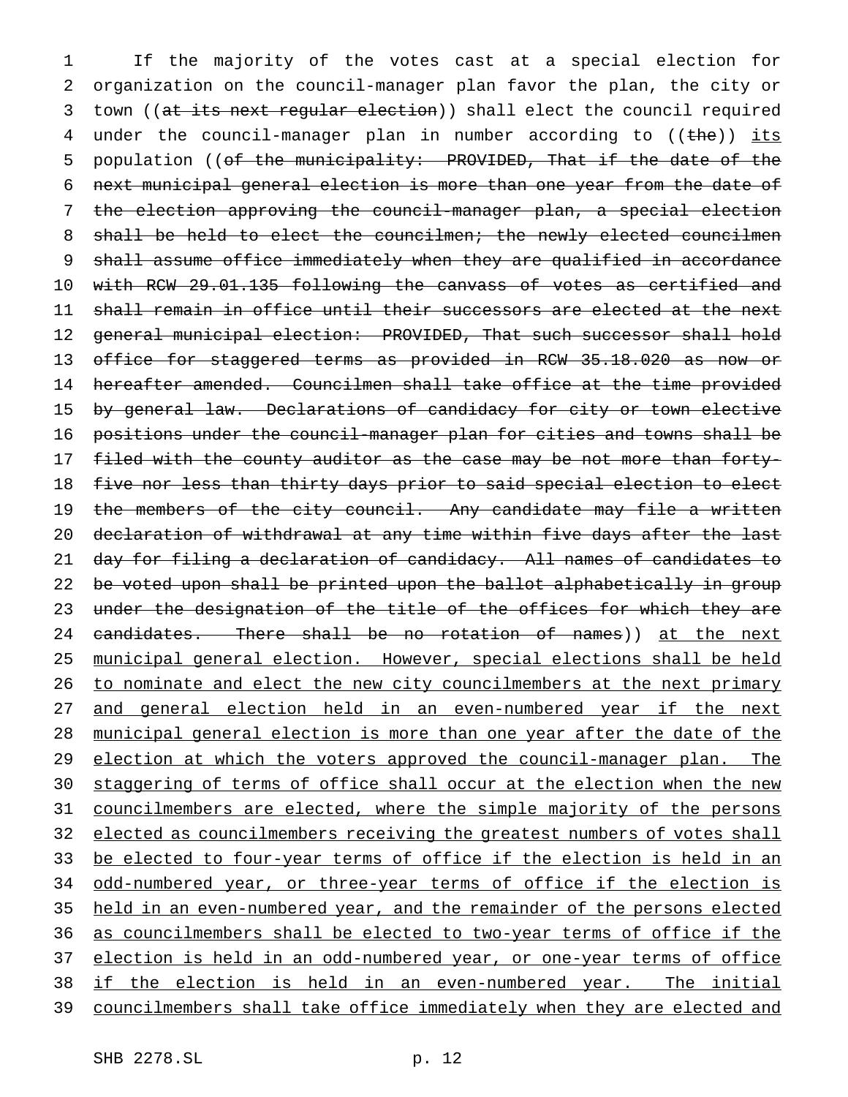1 If the majority of the votes cast at a special election for 2 organization on the council-manager plan favor the plan, the city or 3 town ((at its next regular election)) shall elect the council required 4 under the council-manager plan in number according to ((the)) its 5 population ((of the municipality: PROVIDED, That if the date of the 6 next municipal general election is more than one year from the date of 7 the election approving the council-manager plan, a special election 8 shall be held to elect the councilmen; the newly elected councilmen 9 shall assume office immediately when they are qualified in accordance 10 with RCW 29.01.135 following the canvass of votes as certified and 11 shall remain in office until their successors are elected at the next 12 general municipal election: PROVIDED, That such successor shall hold 13 office for staggered terms as provided in RCW 35.18.020 as now or 14 hereafter amended. Councilmen shall take office at the time provided 15 by general law. Declarations of candidacy for city or town elective 16 positions under the council-manager plan for cities and towns shall be 17 filed with the county auditor as the case may be not more than forty-18 five nor less than thirty days prior to said special election to elect 19 the members of the city council. Any candidate may file a written 20 declaration of withdrawal at any time within five days after the last 21 day for filing a declaration of candidacy. All names of candidates to 22 be voted upon shall be printed upon the ballot alphabetically in group 23 under the designation of the title of the offices for which they are 24 candidates. There shall be no rotation of names)) at the next 25 municipal general election. However, special elections shall be held 26 to nominate and elect the new city councilmembers at the next primary 27 and general election held in an even-numbered year if the next 28 municipal general election is more than one year after the date of the 29 election at which the voters approved the council-manager plan. The 30 staggering of terms of office shall occur at the election when the new 31 councilmembers are elected, where the simple majority of the persons 32 elected as councilmembers receiving the greatest numbers of votes shall 33 be elected to four-year terms of office if the election is held in an 34 odd-numbered year, or three-year terms of office if the election is 35 held in an even-numbered year, and the remainder of the persons elected 36 as councilmembers shall be elected to two-year terms of office if the 37 election is held in an odd-numbered year, or one-year terms of office 38 if the election is held in an even-numbered year. The initial 39 councilmembers shall take office immediately when they are elected and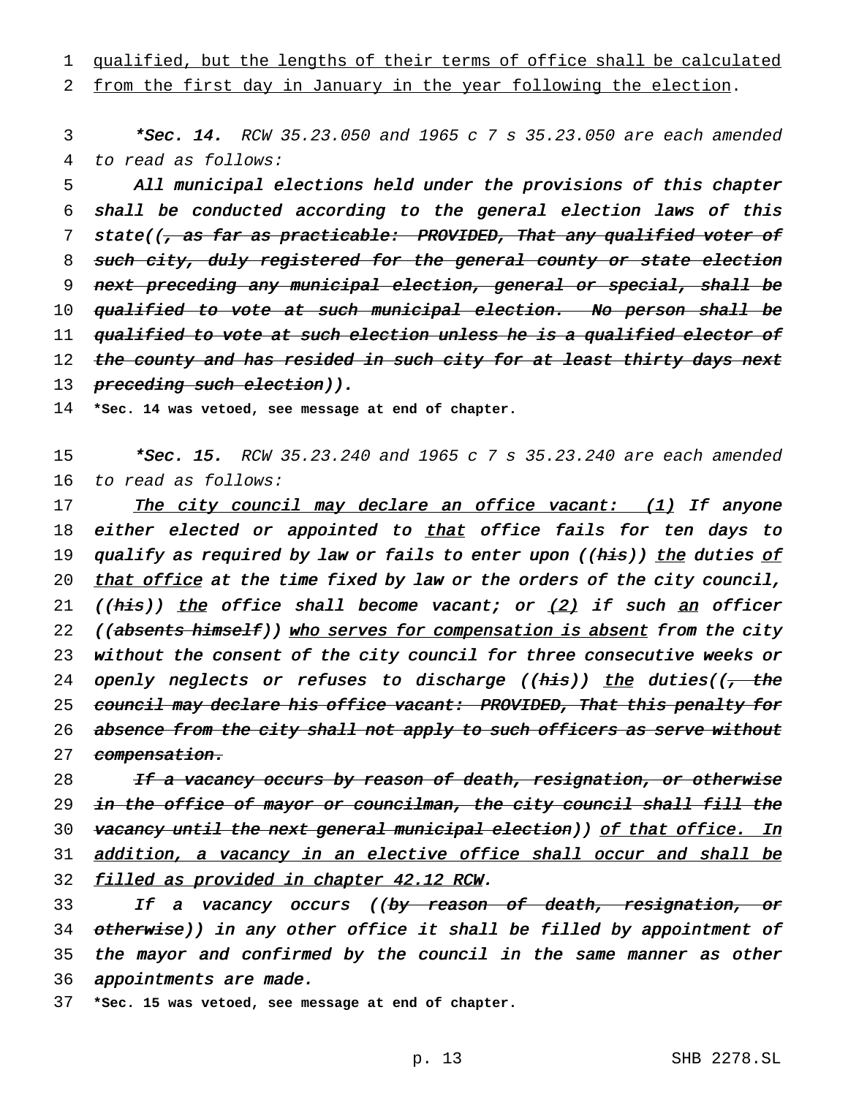1 qualified, but the lengths of their terms of office shall be calculated

# 2 from the first day in January in the year following the election.

3 \*Sec. 14. RCW 35.23.050 and 1965 c 7 s 35.23.050 are each amended 4 to read as follows:

5 All municipal elections held under the provisions of this chapter 6 shall be conducted according to the general election laws of this 7 state((, as far as practicable: PROVIDED, That any qualified voter of 8 such city, duly registered for the general county or state election 9 next preceding any municipal election, general or special, shall be 10 qualified to vote at such municipal election. No person shall be 11 qualified to vote at such election unless he is a qualified elector of 12 the county and has resided in such city for at least thirty days next 13 preceding such election)).

14 **\*Sec. 14 was vetoed, see message at end of chapter.**

15 \*Sec. 15. RCW 35.23.240 and 1965 c 7 s 35.23.240 are each amended 16 to read as follows:

17 The city council may declare an office vacant: (1) If anyone 18 either elected or appointed to that office fails for ten days to 19 qualify as required by law or fails to enter upon ((his)) the duties of 20 that office at the time fixed by law or the orders of the city council, 21 (( $h$ is)) the office shall become vacant; or  $(2)$  if such an officer 22 ((absents himself)) who serves for compensation is absent from the city 23 without the consent of the city council for three consecutive weeks or 24 openly neglects or refuses to discharge (( $h$ is)) the duties(( $\frac{1}{t}$  the 25 council may declare his office vacant: PROVIDED, That this penalty for 26 absence from the city shall not apply to such officers as serve without 27 compensation.

28 If a vacancy occurs by reason of death, resignation, or otherwise 29 in the office of mayor or councilman, the city council shall fill the 30 vacancy until the next general municipal election)) of that office. In 31 addition, <sup>a</sup> vacancy in an elective office shall occur and shall be 32 filled as provided in chapter 42.12 RCW.

33 If a vacancy occurs ((by reason of death, resignation, or 34 otherwise)) in any other office it shall be filled by appointment of 35 the mayor and confirmed by the council in the same manner as other 36 appointments are made.

37 **\*Sec. 15 was vetoed, see message at end of chapter.**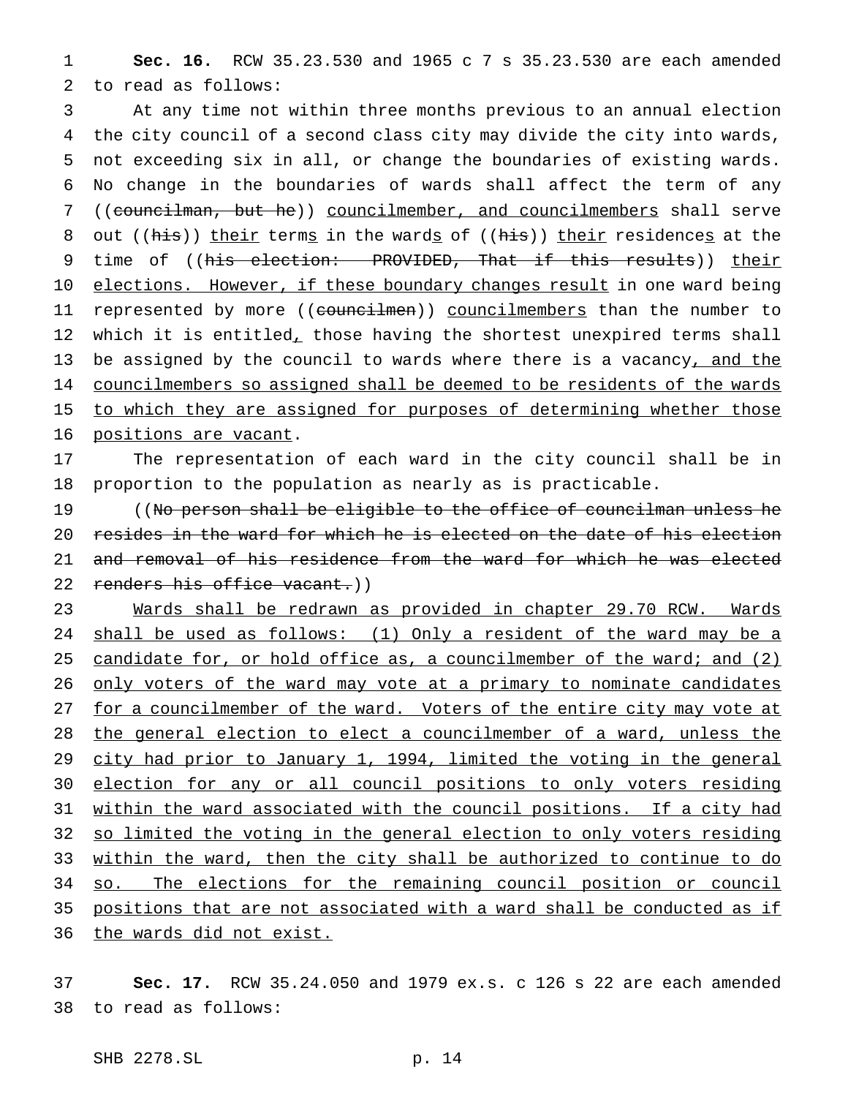1 **Sec. 16.** RCW 35.23.530 and 1965c7s 35.23.530 are each amended 2 to read as follows:

3 At any time not within three months previous to an annual election 4 the city council of a second class city may divide the city into wards, 5 not exceeding six in all, or change the boundaries of existing wards. 6 No change in the boundaries of wards shall affect the term of any 7 ((councilman, but he)) councilmember, and councilmembers shall serve 8 out ((his)) their terms in the wards of ((his)) their residences at the 9 time of ((his election: PROVIDED, That if this results)) their 10 elections. However, if these boundary changes result in one ward being 11 represented by more ((councilmen)) councilmembers than the number to 12 which it is entitled, those having the shortest unexpired terms shall 13 be assigned by the council to wards where there is a vacancy, and the 14 councilmembers so assigned shall be deemed to be residents of the wards 15 to which they are assigned for purposes of determining whether those 16 positions are vacant.

17 The representation of each ward in the city council shall be in 18 proportion to the population as nearly as is practicable.

 ((No person shall be eligible to the office of councilman unless he resides in the ward for which he is elected on the date of his election and removal of his residence from the ward for which he was elected 22 renders his office vacant.))

23 Wards shall be redrawn as provided in chapter 29.70 RCW. Wards 24 shall be used as follows: (1) Only a resident of the ward may be a 25 candidate for, or hold office as, a councilmember of the ward; and (2) 26 only voters of the ward may vote at a primary to nominate candidates 27 for a councilmember of the ward. Voters of the entire city may vote at 28 the general election to elect a councilmember of a ward, unless the 29 city had prior to January 1, 1994, limited the voting in the general 30 election for any or all council positions to only voters residing 31 within the ward associated with the council positions. If a city had 32 so limited the voting in the general election to only voters residing 33 within the ward, then the city shall be authorized to continue to do 34 so. The elections for the remaining council position or council 35 positions that are not associated with a ward shall be conducted as if 36 the wards did not exist.

37 **Sec. 17.** RCW 35.24.050 and 1979 ex.s. c 126 s 22 are each amended 38 to read as follows: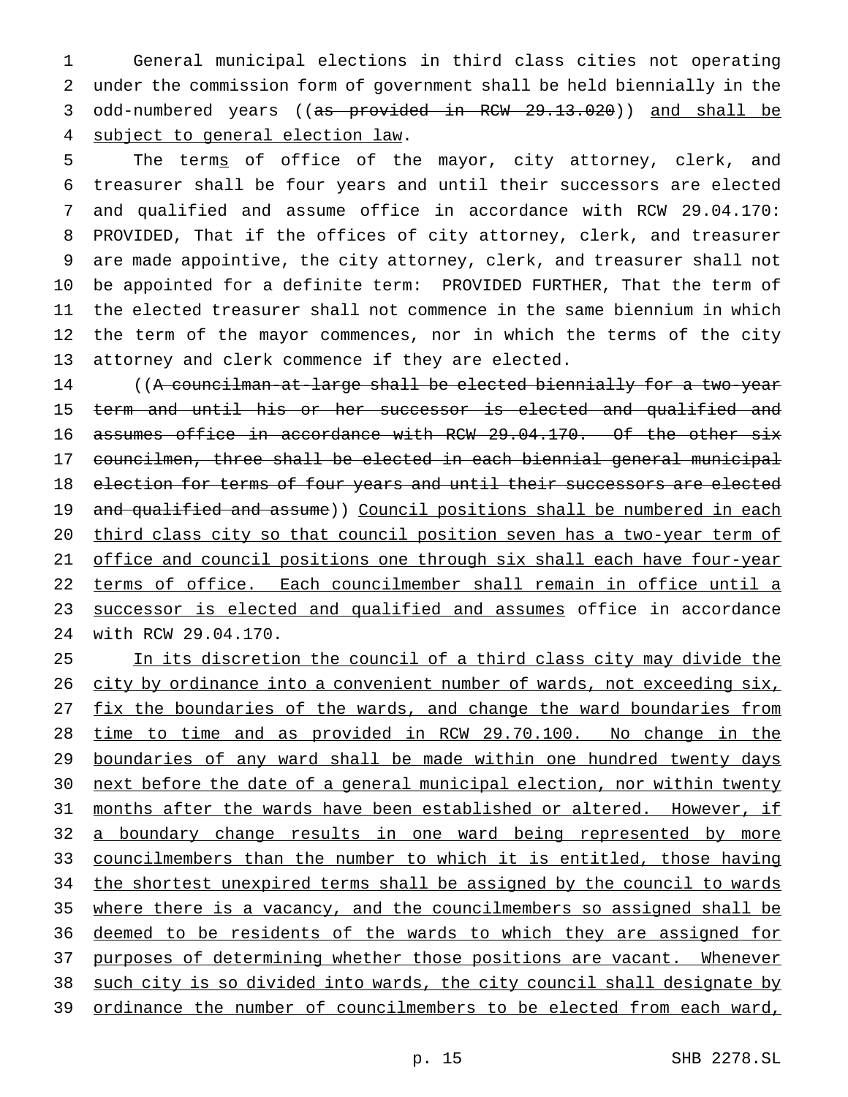General municipal elections in third class cities not operating under the commission form of government shall be held biennially in the odd-numbered years ((as provided in RCW 29.13.020)) and shall be subject to general election law.

5 The terms of office of the mayor, city attorney, clerk, and treasurer shall be four years and until their successors are elected and qualified and assume office in accordance with RCW 29.04.170: PROVIDED, That if the offices of city attorney, clerk, and treasurer are made appointive, the city attorney, clerk, and treasurer shall not be appointed for a definite term: PROVIDED FURTHER, That the term of the elected treasurer shall not commence in the same biennium in which the term of the mayor commences, nor in which the terms of the city attorney and clerk commence if they are elected.

 ((A councilman-at-large shall be elected biennially for a two-year term and until his or her successor is elected and qualified and 16 assumes office in accordance with RCW 29.04.170. Of the other six councilmen, three shall be elected in each biennial general municipal 18 election for terms of four years and until their successors are elected 19 and qualified and assume)) Council positions shall be numbered in each third class city so that council position seven has a two-year term of 21 office and council positions one through six shall each have four-year terms of office. Each councilmember shall remain in office until a 23 successor is elected and qualified and assumes office in accordance with RCW 29.04.170.

 In its discretion the council of a third class city may divide the 26 city by ordinance into a convenient number of wards, not exceeding six, 27 fix the boundaries of the wards, and change the ward boundaries from time to time and as provided in RCW 29.70.100. No change in the boundaries of any ward shall be made within one hundred twenty days 30 next before the date of a general municipal election, nor within twenty months after the wards have been established or altered. However, if 32 a boundary change results in one ward being represented by more councilmembers than the number to which it is entitled, those having 34 the shortest unexpired terms shall be assigned by the council to wards where there is a vacancy, and the councilmembers so assigned shall be 36 deemed to be residents of the wards to which they are assigned for 37 purposes of determining whether those positions are vacant. Whenever such city is so divided into wards, the city council shall designate by ordinance the number of councilmembers to be elected from each ward,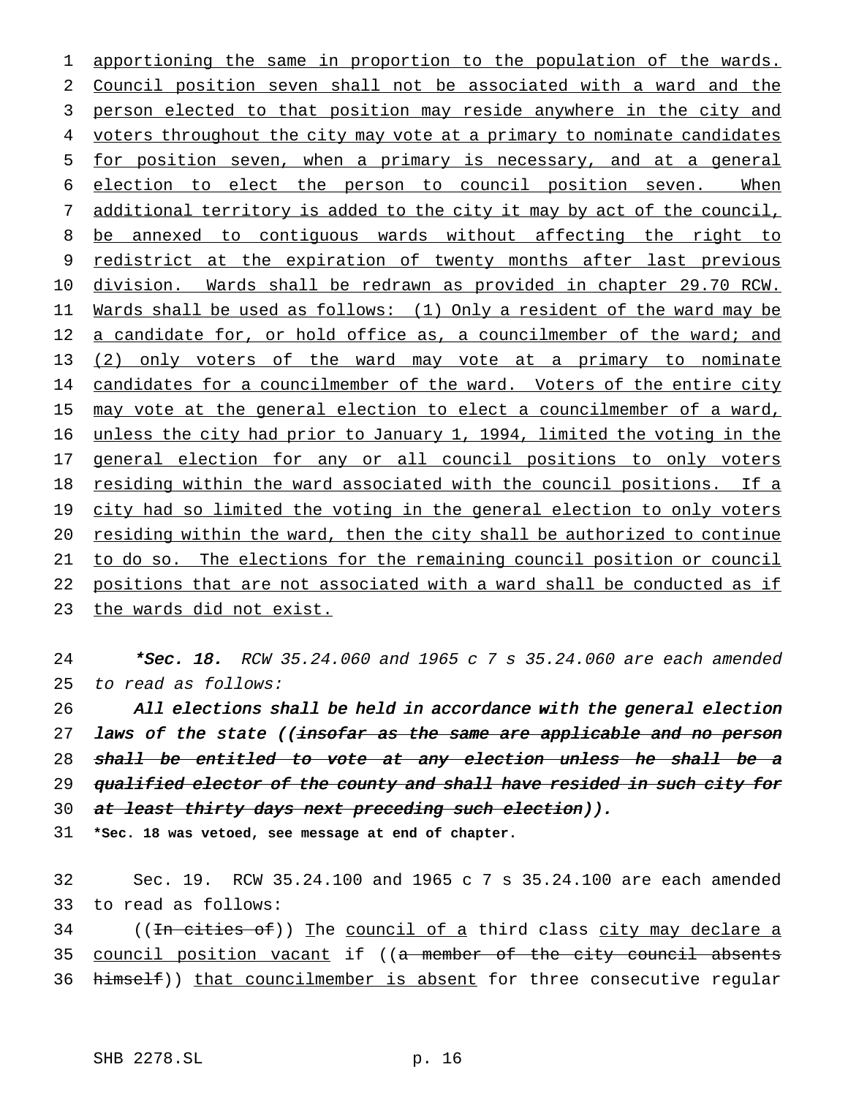1 apportioning the same in proportion to the population of the wards. 2 Council position seven shall not be associated with a ward and the 3 person elected to that position may reside anywhere in the city and 4 voters throughout the city may vote at a primary to nominate candidates 5 for position seven, when a primary is necessary, and at a general 6 election to elect the person to council position seven. When 7 additional territory is added to the city it may by act of the council, 8 be annexed to contiguous wards without affecting the right to 9 redistrict at the expiration of twenty months after last previous 10 division. Wards shall be redrawn as provided in chapter 29.70 RCW. 11 Wards shall be used as follows: (1) Only a resident of the ward may be 12 a candidate for, or hold office as, a councilmember of the ward; and 13 (2) only voters of the ward may vote at a primary to nominate 14 candidates for a councilmember of the ward. Voters of the entire city 15 may vote at the general election to elect a councilmember of a ward, 16 unless the city had prior to January 1, 1994, limited the voting in the 17 general election for any or all council positions to only voters 18 residing within the ward associated with the council positions. If a 19 city had so limited the voting in the general election to only voters 20 residing within the ward, then the city shall be authorized to continue 21 to do so. The elections for the remaining council position or council 22 positions that are not associated with a ward shall be conducted as if 23 the wards did not exist.

24 \*Sec. 18. RCW 35.24.060 and 1965 c 7 s 35.24.060 are each amended 25 to read as follows:

26 All elections shall be held in accordance with the general election 27 laws of the state ((insofar as the same are applicable and no person 28 shall be entitled to vote at any election unless he shall be a 29 qualified elector of the county and shall have resided in such city for 30 at least thirty days next preceding such election)).

31 **\*Sec. 18 was vetoed, see message at end of chapter.**

32 Sec. 19. RCW 35.24.100 and 1965c7s 35.24.100 are each amended 33 to read as follows:

34 ((<del>In cities of</del>)) The council of a third class city may declare a 35 council position vacant if ((a member of the city council absents 36 himself)) that councilmember is absent for three consecutive regular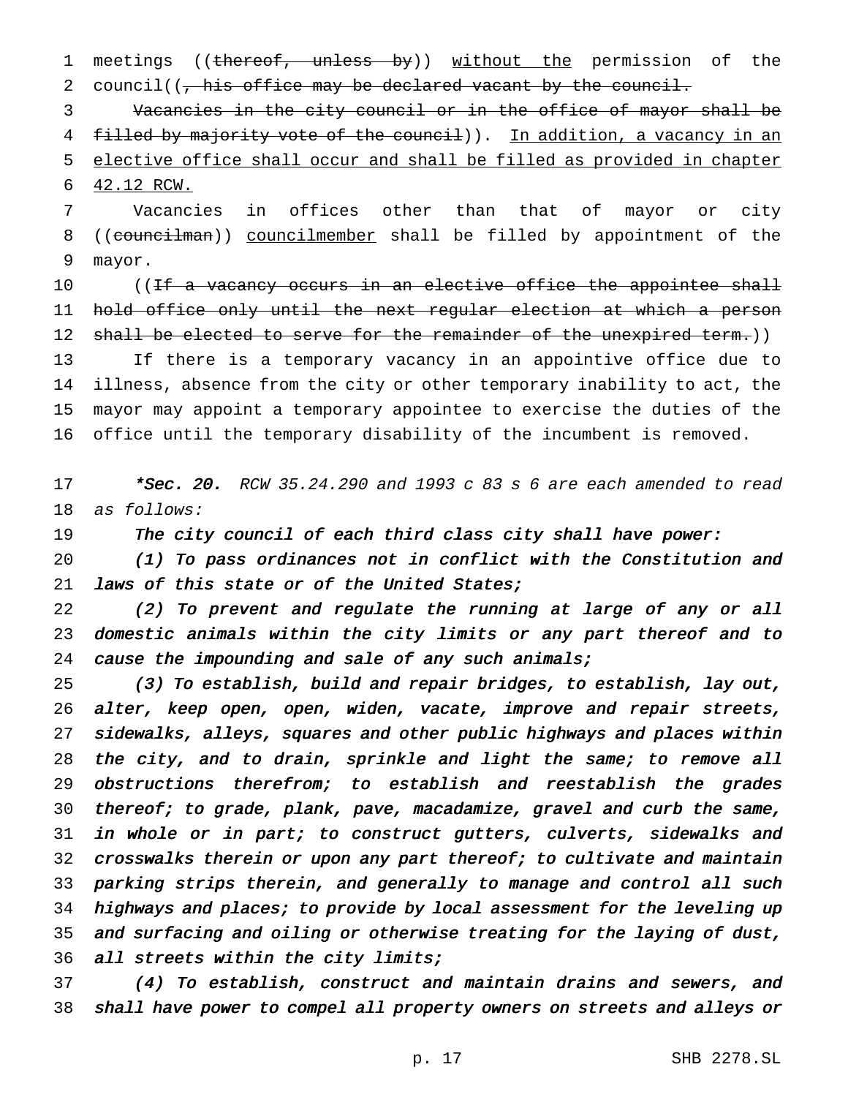1 meetings ((thereof, unless by)) without the permission of the 2 council((, his office may be declared vacant by the council.

 Vacancies in the city council or in the office of mayor shall be 4 filled by majority vote of the council)). In addition, a vacancy in an elective office shall occur and shall be filled as provided in chapter 42.12 RCW.

 Vacancies in offices other than that of mayor or city 8 ((councilman)) councilmember shall be filled by appointment of the mayor.

10 ((<del>If a vacancy occurs in an elective office the appointee shall</del> hold office only until the next regular election at which a person 12 shall be elected to serve for the remainder of the unexpired term.))

 If there is a temporary vacancy in an appointive office due to illness, absence from the city or other temporary inability to act, the mayor may appoint a temporary appointee to exercise the duties of the office until the temporary disability of the incumbent is removed.

17  $*Sec. 20.$  RCW 35.24.290 and 1993 c 83 s 6 are each amended to read as follows:

19 The city council of each third class city shall have power:

 (1) To pass ordinances not in conflict with the Constitution and 21 laws of this state or of the United States;

 (2) To prevent and regulate the running at large of any or all domestic animals within the city limits or any part thereof and to 24 cause the impounding and sale of any such animals;

 (3) To establish, build and repair bridges, to establish, lay out, alter, keep open, open, widen, vacate, improve and repair streets, sidewalks, alleys, squares and other public highways and places within 28 the city, and to drain, sprinkle and light the same; to remove all obstructions therefrom; to establish and reestablish the grades 30 thereof; to grade, plank, pave, macadamize, gravel and curb the same, in whole or in part; to construct gutters, culverts, sidewalks and 32 crosswalks therein or upon any part thereof; to cultivate and maintain parking strips therein, and generally to manage and control all such 34 highways and places; to provide by local assessment for the leveling up and surfacing and oiling or otherwise treating for the laying of dust, all streets within the city limits;

 (4) To establish, construct and maintain drains and sewers, and shall have power to compel all property owners on streets and alleys or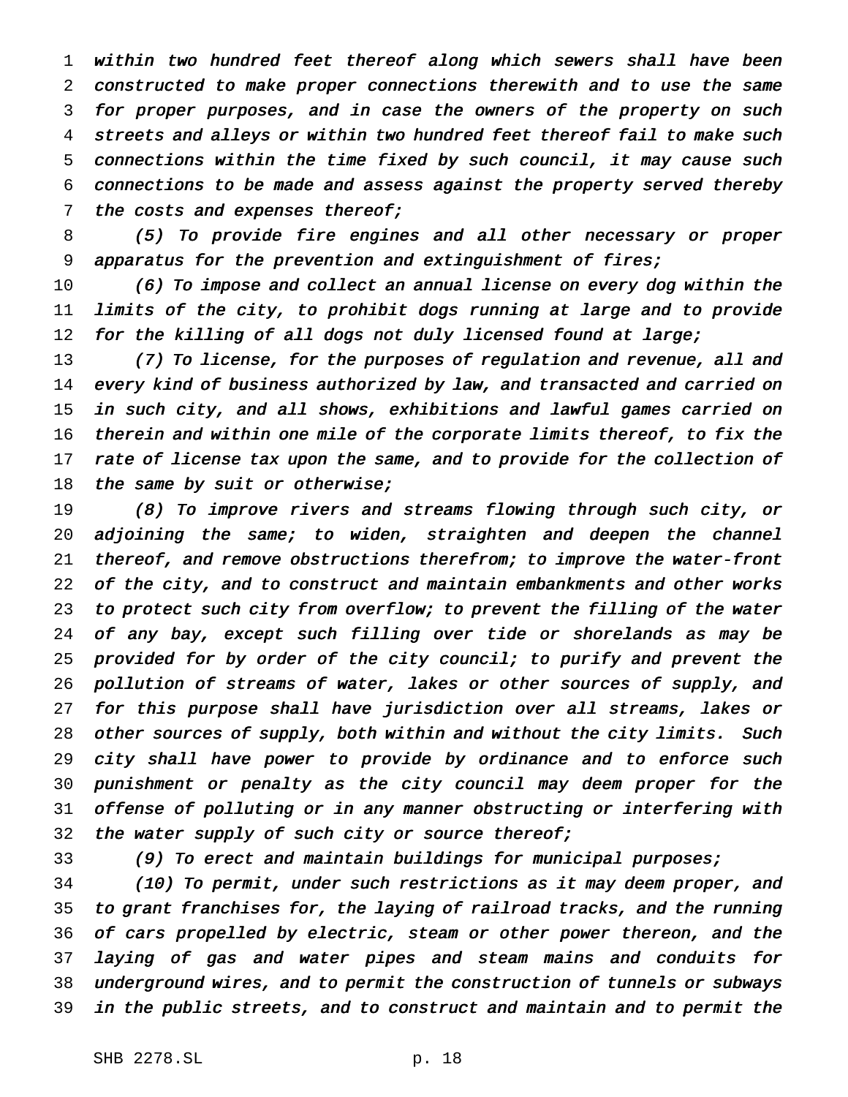within two hundred feet thereof along which sewers shall have been constructed to make proper connections therewith and to use the same for proper purposes, and in case the owners of the property on such streets and alleys or within two hundred feet thereof fail to make such connections within the time fixed by such council, it may cause such connections to be made and assess against the property served thereby 7 the costs and expenses thereof;

 (5) To provide fire engines and all other necessary or proper apparatus for the prevention and extinguishment of fires;

 (6) To impose and collect an annual license on every dog within the limits of the city, to prohibit dogs running at large and to provide 12 for the killing of all dogs not duly licensed found at large;

 (7) To license, for the purposes of regulation and revenue, all and every kind of business authorized by law, and transacted and carried on in such city, and all shows, exhibitions and lawful games carried on therein and within one mile of the corporate limits thereof, to fix the 17 rate of license tax upon the same, and to provide for the collection of 18 the same by suit or otherwise;

 (8) To improve rivers and streams flowing through such city, or 20 adjoining the same; to widen, straighten and deepen the channel thereof, and remove obstructions therefrom; to improve the water-front of the city, and to construct and maintain embankments and other works to protect such city from overflow; to prevent the filling of the water 24 of any bay, except such filling over tide or shorelands as may be provided for by order of the city council; to purify and prevent the pollution of streams of water, lakes or other sources of supply, and for this purpose shall have jurisdiction over all streams, lakes or other sources of supply, both within and without the city limits. Such city shall have power to provide by ordinance and to enforce such punishment or penalty as the city council may deem proper for the offense of polluting or in any manner obstructing or interfering with 32 the water supply of such city or source thereof;

(9) To erect and maintain buildings for municipal purposes;

 (10) To permit, under such restrictions as it may deem proper, and to grant franchises for, the laying of railroad tracks, and the running of cars propelled by electric, steam or other power thereon, and the laying of gas and water pipes and steam mains and conduits for underground wires, and to permit the construction of tunnels or subways in the public streets, and to construct and maintain and to permit the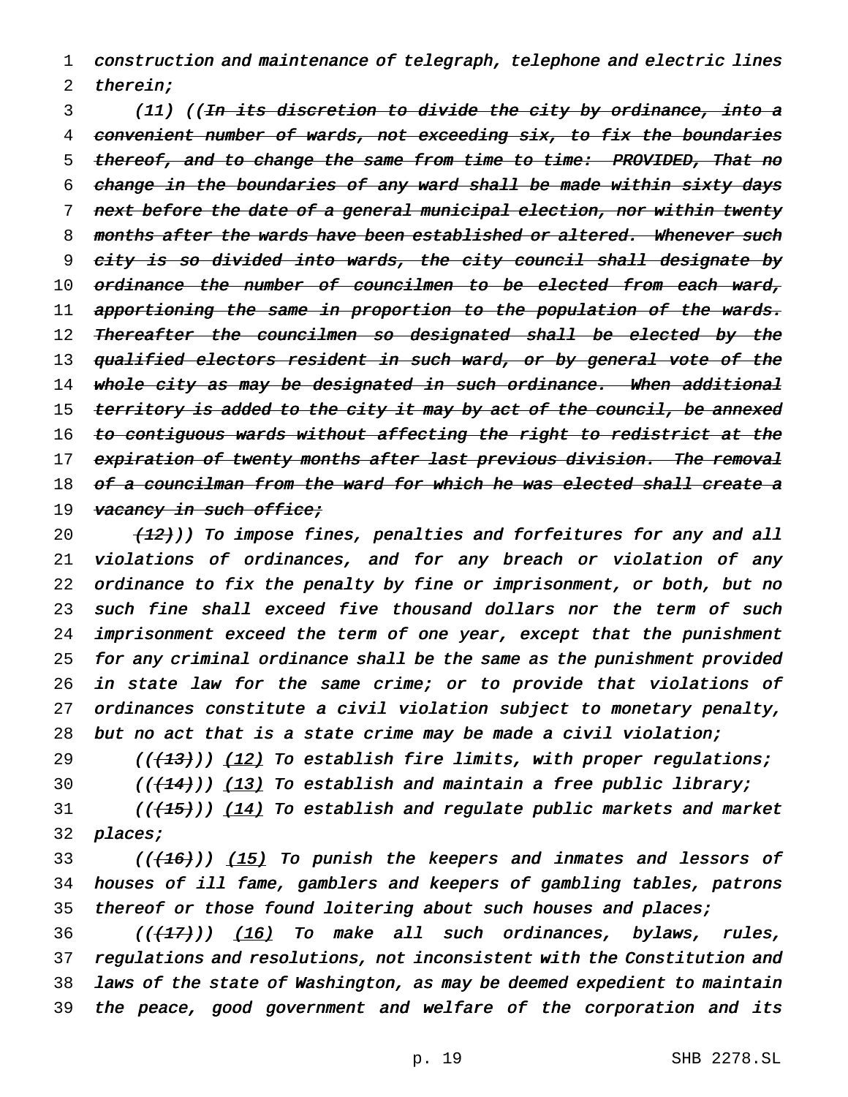1 construction and maintenance of telegraph, telephone and electric lines 2 therein;

3 (11) ((<del>In its discretion to divide the city by ordinance, into a</del> 4 convenient number of wards, not exceeding six, to fix the boundaries 5 thereof, and to change the same from time to time: PROVIDED, That no 6 change in the boundaries of any ward shall be made within sixty days 7 next before the date of a general municipal election, nor within twenty 8 months after the wards have been established or altered. Whenever such 9 city is so divided into wards, the city council shall designate by 10 ordinance the number of councilmen to be elected from each ward, 11 apportioning the same in proportion to the population of the wards. 12 Thereafter the councilmen so designated shall be elected by the 13 qualified electors resident in such ward, or by general vote of the 14 whole city as may be designated in such ordinance. When additional 15 territory is added to the city it may by act of the council, be annexed 16 to contiguous wards without affecting the right to redistrict at the 17 expiration of twenty months after last previous division. The removal 18 <del>of a councilman from the ward for which he was elected shall create a</del> 19 vacancy in such office;

 $(12)$ ) To impose fines, penalties and forfeitures for any and all violations of ordinances, and for any breach or violation of any ordinance to fix the penalty by fine or imprisonment, or both, but no 23 such fine shall exceed five thousand dollars nor the term of such imprisonment exceed the term of one year, except that the punishment for any criminal ordinance shall be the same as the punishment provided 26 in state law for the same crime; or to provide that violations of ordinances constitute <sup>a</sup> civil violation subject to monetary penalty, but no act that is <sup>a</sup> state crime may be made <sup>a</sup> civil violation;

29 ((<del>(13)</del>)) <u>(12)</u> To establish fire limits, with proper regulations; 30 ( $(144)$ )) (13) To establish and maintain a free public library;  $(1)$  (( $(15)$ )) (14) To establish and regulate public markets and market 32 places;

33 ((<del>(16)</del>)) <u>(15)</u> To punish the keepers and inmates and lessors of 34 houses of ill fame, gamblers and keepers of gambling tables, patrons 35 thereof or those found loitering about such houses and places;

36 ((<del>(17)</del>)) <u>(16)</u> To make all such ordinances, bylaws, rules, regulations and resolutions, not inconsistent with the Constitution and laws of the state of Washington, as may be deemed expedient to maintain the peace, good government and welfare of the corporation and its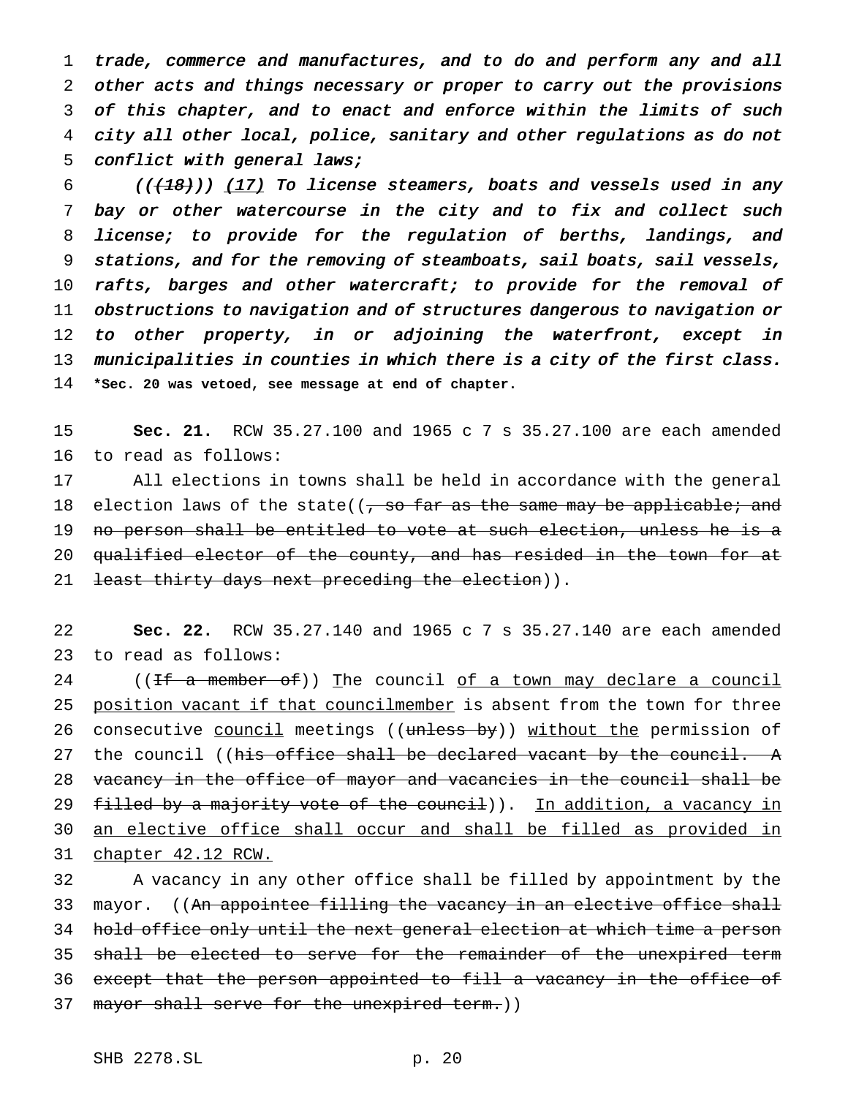trade, commerce and manufactures, and to do and perform any and all other acts and things necessary or proper to carry out the provisions of this chapter, and to enact and enforce within the limits of such city all other local, police, sanitary and other regulations as do not 5 conflict with general laws;

 (( $\left(\frac{18}{18}\right)$ ) (17) To license steamers, boats and vessels used in any bay or other watercourse in the city and to fix and collect such license; to provide for the regulation of berths, landings, and stations, and for the removing of steamboats, sail boats, sail vessels, 10 rafts, barges and other watercraft; to provide for the removal of obstructions to navigation and of structures dangerous to navigation or 12 to other property, in or adjoining the waterfront, except in 13 municipalities in counties in which there is a city of the first class. **\*Sec. 20 was vetoed, see message at end of chapter.**

15 **Sec. 21.** RCW 35.27.100 and 1965c7s 35.27.100 are each amended 16 to read as follows:

17 All elections in towns shall be held in accordance with the general 18 election laws of the state( $\left( \frac{1}{f} \right)$  and  $\frac{1}{f}$  and  $\frac{1}{f}$  and  $\frac{1}{f}$  and  $\frac{1}{f}$  and  $\frac{1}{f}$  and  $\frac{1}{f}$  and  $\frac{1}{f}$  and  $\frac{1}{f}$  and  $\frac{1}{f}$  and  $\frac{1}{f}$  and  $\frac{1}{f}$  and  $\frac{1}{f}$  and  $\frac$ 19 no person shall be entitled to vote at such election, unless he is a 20 qualified elector of the county, and has resided in the town for at 21 least thirty days next preceding the election)).

22 **Sec. 22.** RCW 35.27.140 and 1965c7s 35.27.140 are each amended 23 to read as follows:

24 ((If a member of)) The council of a town may declare a council 25 position vacant if that councilmember is absent from the town for three 26 consecutive council meetings ((unless by)) without the permission of 27 the council ((his office shall be declared vacant by the council. A 28 vacancy in the office of mayor and vacancies in the council shall be 29 filled by a majority vote of the council)). In addition, a vacancy in 30 an elective office shall occur and shall be filled as provided in 31 chapter 42.12 RCW.

32 A vacancy in any other office shall be filled by appointment by the 33 mayor. ((An appointee filling the vacancy in an elective office shall 34 hold office only until the next general election at which time a person 35 shall be elected to serve for the remainder of the unexpired term 36 except that the person appointed to fill a vacancy in the office of 37 mayor shall serve for the unexpired term.))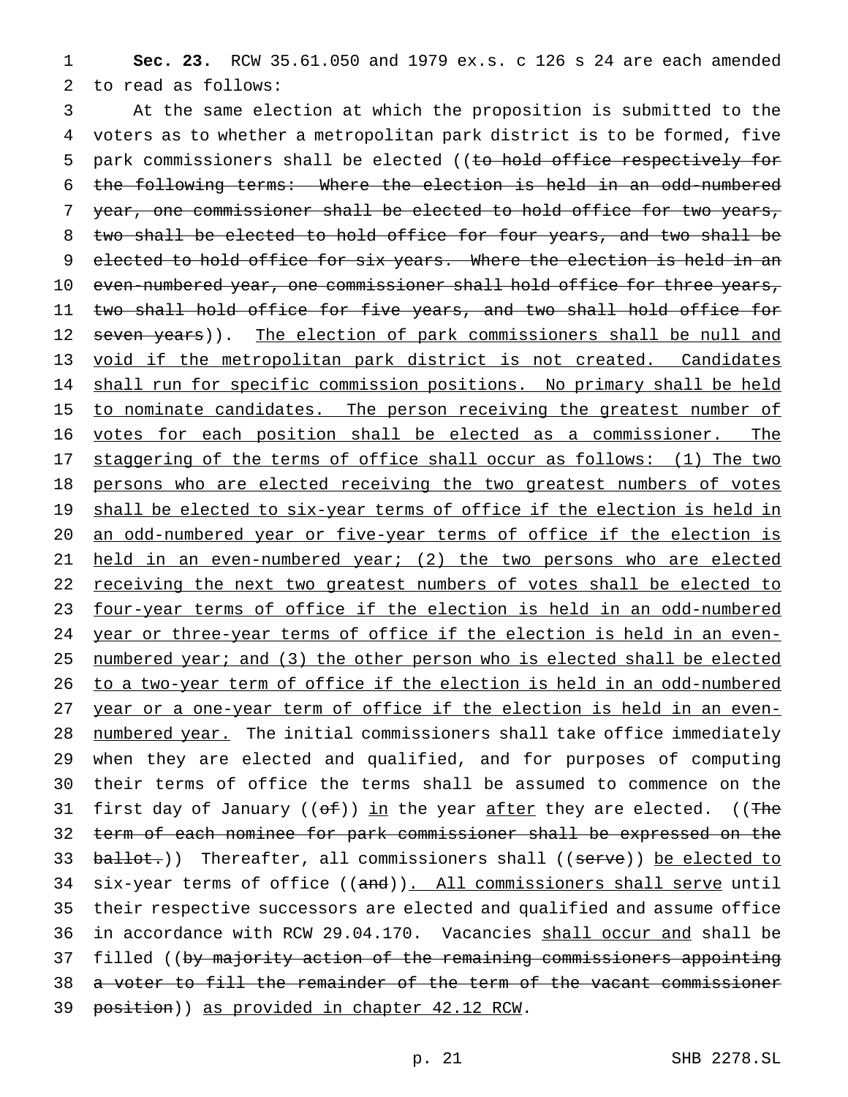**Sec. 23.** RCW 35.61.050 and 1979 ex.s. c 126 s 24 are each amended to read as follows:

 At the same election at which the proposition is submitted to the voters as to whether a metropolitan park district is to be formed, five 5 park commissioners shall be elected ((to hold office respectively for the following terms: Where the election is held in an odd-numbered year, one commissioner shall be elected to hold office for two years, two shall be elected to hold office for four years, and two shall be 9 elected to hold office for six years. Where the election is held in an 10 even-numbered year, one commissioner shall hold office for three years, two shall hold office for five years, and two shall hold office for 12 seven years)). The election of park commissioners shall be null and void if the metropolitan park district is not created. Candidates 14 shall run for specific commission positions. No primary shall be held 15 to nominate candidates. The person receiving the greatest number of votes for each position shall be elected as a commissioner. The staggering of the terms of office shall occur as follows: (1) The two persons who are elected receiving the two greatest numbers of votes 19 shall be elected to six-year terms of office if the election is held in an odd-numbered year or five-year terms of office if the election is held in an even-numbered year; (2) the two persons who are elected 22 receiving the next two greatest numbers of votes shall be elected to four-year terms of office if the election is held in an odd-numbered year or three-year terms of office if the election is held in an even-25 numbered year; and (3) the other person who is elected shall be elected to a two-year term of office if the election is held in an odd-numbered year or a one-year term of office if the election is held in an even- numbered year. The initial commissioners shall take office immediately when they are elected and qualified, and for purposes of computing their terms of office the terms shall be assumed to commence on the 31 first day of January (( $\theta f$ )) in the year after they are elected. ((The term of each nominee for park commissioner shall be expressed on the 33 ballot.)) Thereafter, all commissioners shall ((serve)) be elected to 34 six-year terms of office ((and)). All commissioners shall serve until their respective successors are elected and qualified and assume office 36 in accordance with RCW 29.04.170. Vacancies shall occur and shall be 37 filled ((by majority action of the remaining commissioners appointing a voter to fill the remainder of the term of the vacant commissioner position)) as provided in chapter 42.12 RCW.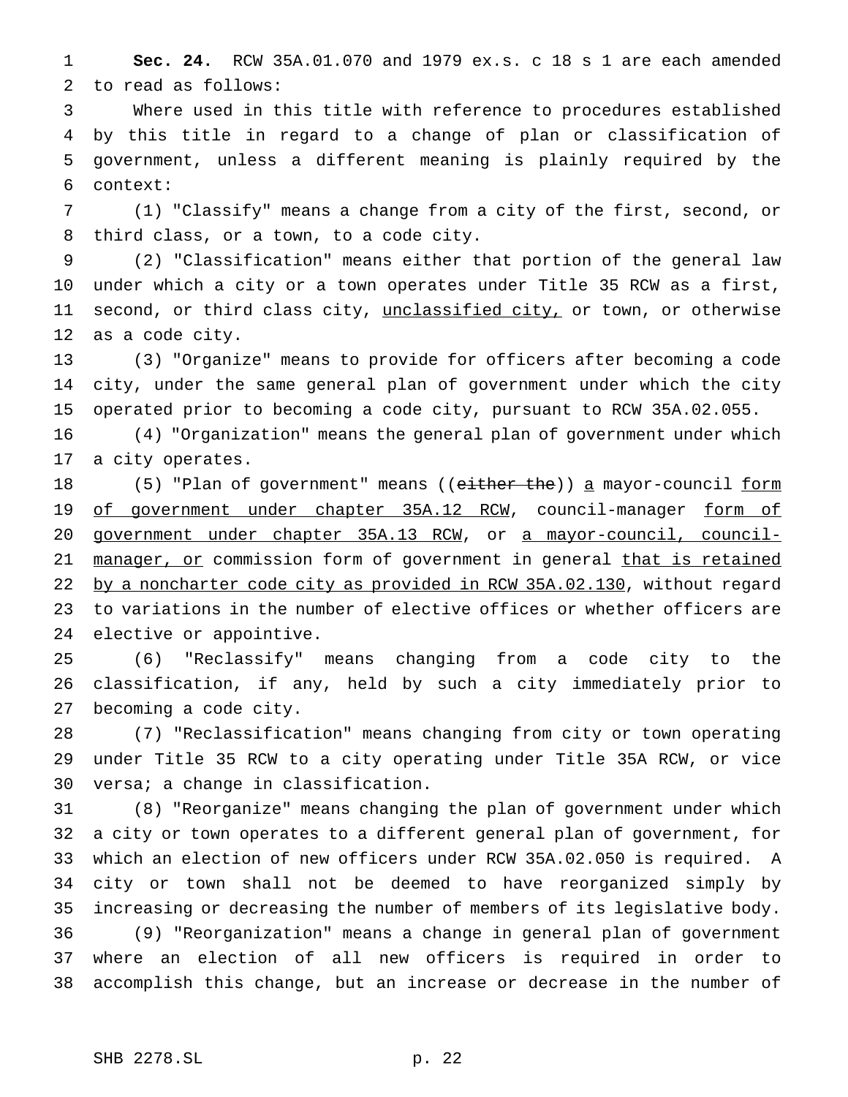**Sec. 24.** RCW 35A.01.070 and 1979 ex.s. c 18 s 1 are each amended to read as follows:

 Where used in this title with reference to procedures established by this title in regard to a change of plan or classification of government, unless a different meaning is plainly required by the context:

 (1) "Classify" means a change from a city of the first, second, or third class, or a town, to a code city.

 (2) "Classification" means either that portion of the general law under which a city or a town operates under Title 35 RCW as a first, 11 second, or third class city, unclassified city, or town, or otherwise as a code city.

 (3) "Organize" means to provide for officers after becoming a code city, under the same general plan of government under which the city operated prior to becoming a code city, pursuant to RCW 35A.02.055.

 (4) "Organization" means the general plan of government under which a city operates.

18 (5) "Plan of government" means ((either the)) a mayor-council form 19 of government under chapter 35A.12 RCW, council-manager form of government under chapter 35A.13 RCW, or a mayor-council, council-21 manager, or commission form of government in general that is retained 22 by a noncharter code city as provided in RCW 35A.02.130, without regard to variations in the number of elective offices or whether officers are elective or appointive.

 (6) "Reclassify" means changing from a code city to the classification, if any, held by such a city immediately prior to becoming a code city.

 (7) "Reclassification" means changing from city or town operating under Title 35 RCW to a city operating under Title 35A RCW, or vice versa; a change in classification.

 (8) "Reorganize" means changing the plan of government under which a city or town operates to a different general plan of government, for which an election of new officers under RCW 35A.02.050 is required. A city or town shall not be deemed to have reorganized simply by increasing or decreasing the number of members of its legislative body. (9) "Reorganization" means a change in general plan of government where an election of all new officers is required in order to accomplish this change, but an increase or decrease in the number of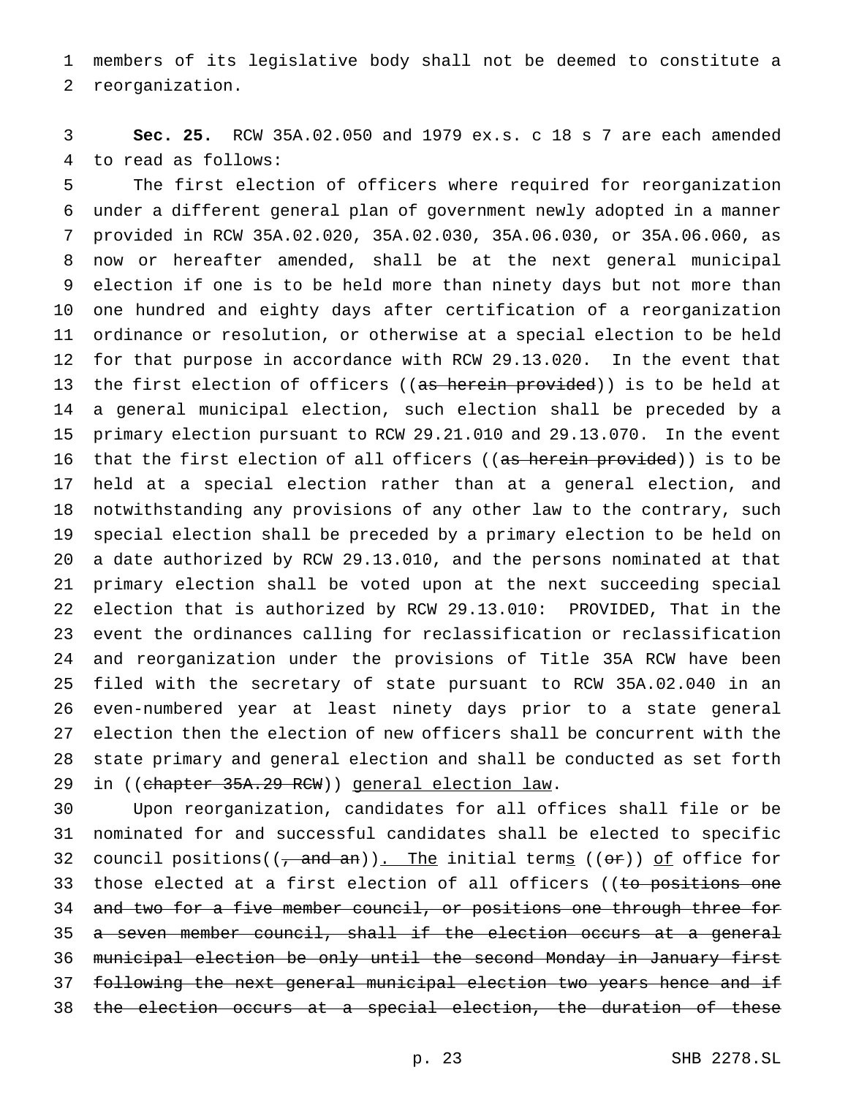members of its legislative body shall not be deemed to constitute a reorganization.

 **Sec. 25.** RCW 35A.02.050 and 1979 ex.s. c 18 s 7 are each amended to read as follows:

 The first election of officers where required for reorganization under a different general plan of government newly adopted in a manner provided in RCW 35A.02.020, 35A.02.030, 35A.06.030, or 35A.06.060, as now or hereafter amended, shall be at the next general municipal election if one is to be held more than ninety days but not more than one hundred and eighty days after certification of a reorganization ordinance or resolution, or otherwise at a special election to be held for that purpose in accordance with RCW 29.13.020. In the event that 13 the first election of officers ((as herein provided)) is to be held at a general municipal election, such election shall be preceded by a primary election pursuant to RCW 29.21.010 and 29.13.070. In the event 16 that the first election of all officers ((as herein provided)) is to be held at a special election rather than at a general election, and notwithstanding any provisions of any other law to the contrary, such special election shall be preceded by a primary election to be held on a date authorized by RCW 29.13.010, and the persons nominated at that primary election shall be voted upon at the next succeeding special election that is authorized by RCW 29.13.010: PROVIDED, That in the event the ordinances calling for reclassification or reclassification and reorganization under the provisions of Title 35A RCW have been filed with the secretary of state pursuant to RCW 35A.02.040 in an even-numbered year at least ninety days prior to a state general election then the election of new officers shall be concurrent with the state primary and general election and shall be conducted as set forth 29 in ((chapter 35A.29 RCW)) general election law.

 Upon reorganization, candidates for all offices shall file or be nominated for and successful candidates shall be elected to specific 32 council positions( $(\frac{1}{2} + \frac{1}{2})$ . The initial terms ( $(\theta \hat{r})$ ) of office for 33 those elected at a first election of all officers ((to positions one 34 and two for a five member council, or positions one through three for 35 a seven member council, shall if the election occurs at a general municipal election be only until the second Monday in January first following the next general municipal election two years hence and if the election occurs at a special election, the duration of these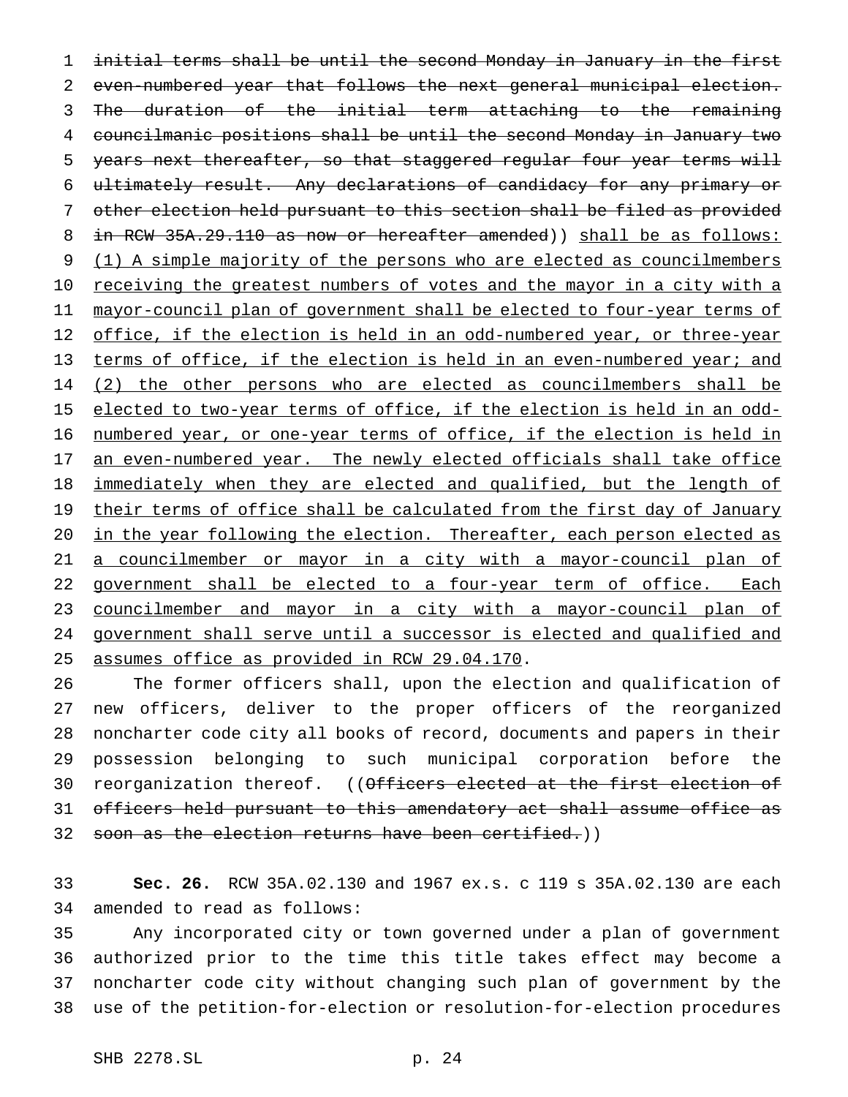1 initial terms shall be until the second Monday in January in the first 2 even-numbered year that follows the next general municipal election. 3 The duration of the initial term attaching to the remaining 4 councilmanic positions shall be until the second Monday in January two 5 years next thereafter, so that staggered regular four year terms will 6 ultimately result. Any declarations of candidacy for any primary or 7 other election held pursuant to this section shall be filed as provided 8 in RCW 35A.29.110 as now or hereafter amended)) shall be as follows: 9 (1) A simple majority of the persons who are elected as councilmembers 10 receiving the greatest numbers of votes and the mayor in a city with a 11 mayor-council plan of government shall be elected to four-year terms of 12 office, if the election is held in an odd-numbered year, or three-year 13 terms of office, if the election is held in an even-numbered year; and 14 (2) the other persons who are elected as councilmembers shall be 15 elected to two-year terms of office, if the election is held in an odd-16 numbered year, or one-year terms of office, if the election is held in 17 an even-numbered year. The newly elected officials shall take office 18 immediately when they are elected and qualified, but the length of 19 their terms of office shall be calculated from the first day of January 20 in the year following the election. Thereafter, each person elected as 21 a councilmember or mayor in a city with a mayor-council plan of 22 government shall be elected to a four-year term of office. Each 23 councilmember and mayor in a city with a mayor-council plan of 24 government shall serve until a successor is elected and qualified and 25 assumes office as provided in RCW 29.04.170.

 The former officers shall, upon the election and qualification of new officers, deliver to the proper officers of the reorganized noncharter code city all books of record, documents and papers in their possession belonging to such municipal corporation before the 30 reorganization thereof. ((Officers elected at the first election of officers held pursuant to this amendatory act shall assume office as 32 soon as the election returns have been certified.))

33 **Sec. 26.** RCW 35A.02.130 and 1967 ex.s. c 119 s 35A.02.130 are each 34 amended to read as follows:

 Any incorporated city or town governed under a plan of government authorized prior to the time this title takes effect may become a noncharter code city without changing such plan of government by the use of the petition-for-election or resolution-for-election procedures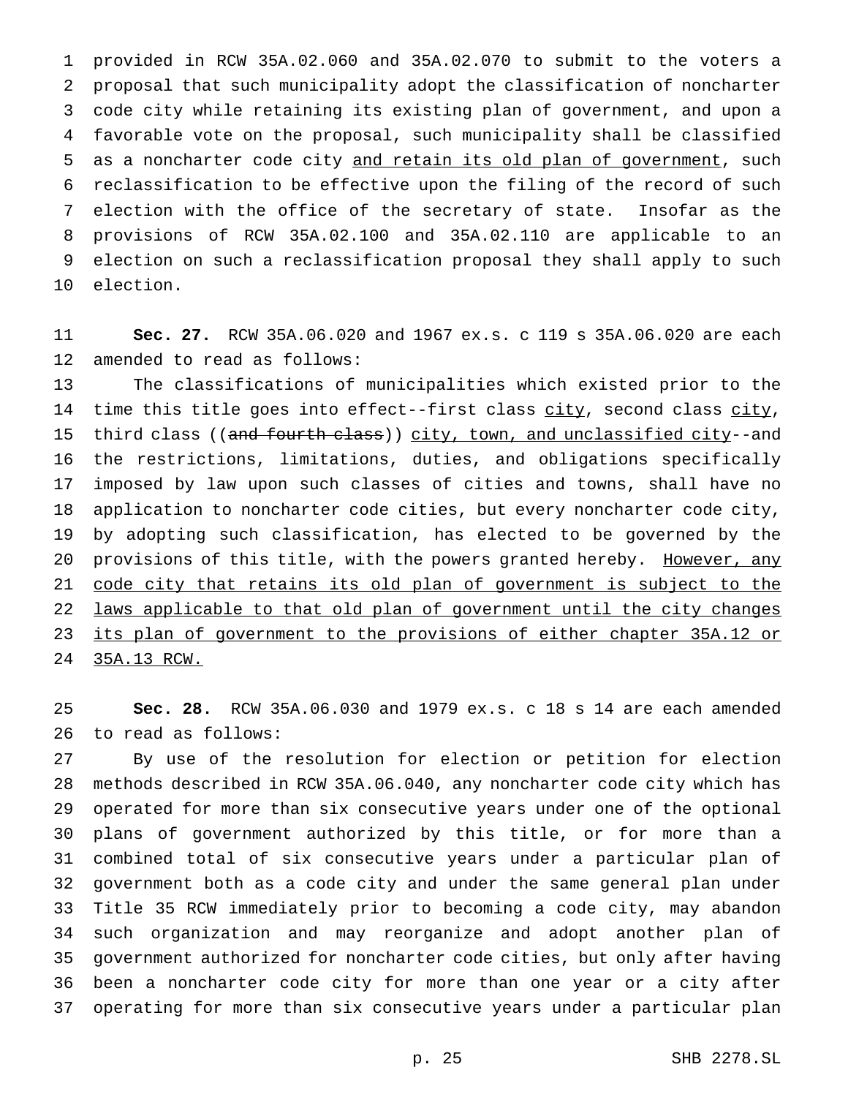provided in RCW 35A.02.060 and 35A.02.070 to submit to the voters a proposal that such municipality adopt the classification of noncharter code city while retaining its existing plan of government, and upon a favorable vote on the proposal, such municipality shall be classified as a noncharter code city and retain its old plan of government, such reclassification to be effective upon the filing of the record of such election with the office of the secretary of state. Insofar as the provisions of RCW 35A.02.100 and 35A.02.110 are applicable to an election on such a reclassification proposal they shall apply to such election.

 **Sec. 27.** RCW 35A.06.020 and 1967 ex.s. c 119 s 35A.06.020 are each amended to read as follows:

 The classifications of municipalities which existed prior to the 14 time this title goes into effect--first class city, second class city, 15 third class ((and fourth class)) city, town, and unclassified city--and the restrictions, limitations, duties, and obligations specifically imposed by law upon such classes of cities and towns, shall have no application to noncharter code cities, but every noncharter code city, by adopting such classification, has elected to be governed by the 20 provisions of this title, with the powers granted hereby. However, any 21 code city that retains its old plan of government is subject to the laws applicable to that old plan of government until the city changes its plan of government to the provisions of either chapter 35A.12 or 35A.13 RCW.

 **Sec. 28.** RCW 35A.06.030 and 1979 ex.s. c 18 s 14 are each amended to read as follows:

 By use of the resolution for election or petition for election methods described in RCW 35A.06.040, any noncharter code city which has operated for more than six consecutive years under one of the optional plans of government authorized by this title, or for more than a combined total of six consecutive years under a particular plan of government both as a code city and under the same general plan under Title 35 RCW immediately prior to becoming a code city, may abandon such organization and may reorganize and adopt another plan of government authorized for noncharter code cities, but only after having been a noncharter code city for more than one year or a city after operating for more than six consecutive years under a particular plan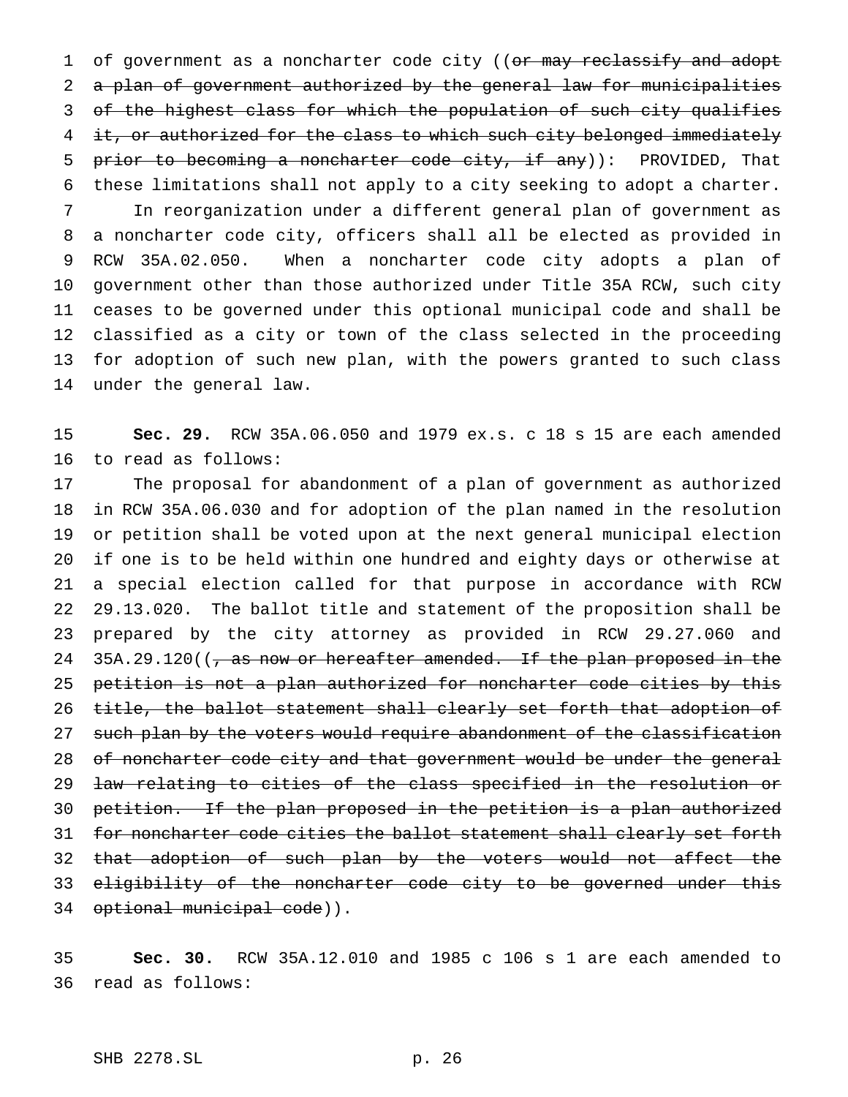1 of government as a noncharter code city ((or may reclassify and adopt a plan of government authorized by the general law for municipalities of the highest class for which the population of such city qualifies 4 it, or authorized for the class to which such city belonged immediately 5 prior to becoming a noncharter code city, if any)): PROVIDED, That these limitations shall not apply to a city seeking to adopt a charter. In reorganization under a different general plan of government as a noncharter code city, officers shall all be elected as provided in RCW 35A.02.050. When a noncharter code city adopts a plan of government other than those authorized under Title 35A RCW, such city ceases to be governed under this optional municipal code and shall be classified as a city or town of the class selected in the proceeding for adoption of such new plan, with the powers granted to such class under the general law.

 **Sec. 29.** RCW 35A.06.050 and 1979 ex.s. c 18 s 15 are each amended to read as follows:

 The proposal for abandonment of a plan of government as authorized in RCW 35A.06.030 and for adoption of the plan named in the resolution or petition shall be voted upon at the next general municipal election if one is to be held within one hundred and eighty days or otherwise at a special election called for that purpose in accordance with RCW 29.13.020. The ballot title and statement of the proposition shall be prepared by the city attorney as provided in RCW 29.27.060 and 24 35A.29.120(( $\tau$  as now or hereafter amended. If the plan proposed in the petition is not a plan authorized for noncharter code cities by this title, the ballot statement shall clearly set forth that adoption of 27 such plan by the voters would require abandonment of the classification 28 of noncharter code city and that government would be under the general law relating to cities of the class specified in the resolution or petition. If the plan proposed in the petition is a plan authorized 31 for noncharter code cities the ballot statement shall clearly set forth 32 that adoption of such plan by the voters would not affect the 33 eligibility of the noncharter code city to be governed under this optional municipal code)).

 **Sec. 30.** RCW 35A.12.010 and 1985 c 106 s 1 are each amended to read as follows: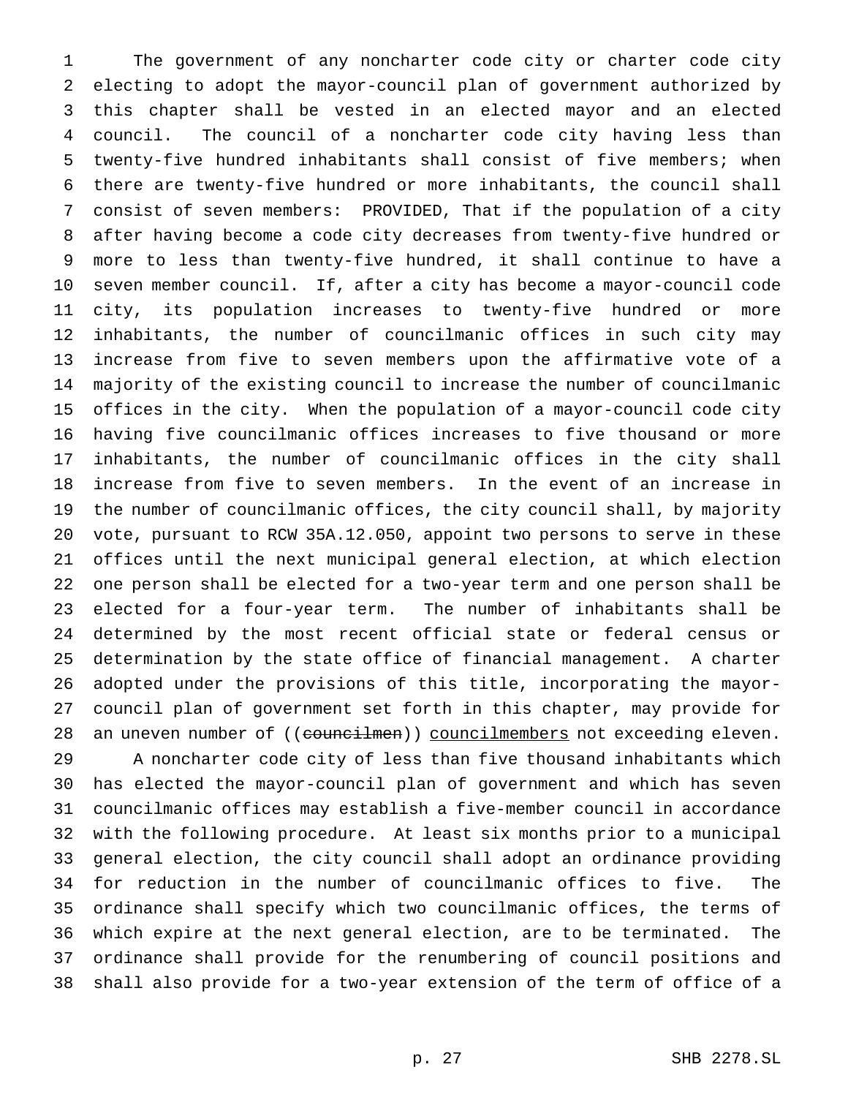The government of any noncharter code city or charter code city electing to adopt the mayor-council plan of government authorized by this chapter shall be vested in an elected mayor and an elected council. The council of a noncharter code city having less than twenty-five hundred inhabitants shall consist of five members; when there are twenty-five hundred or more inhabitants, the council shall consist of seven members: PROVIDED, That if the population of a city after having become a code city decreases from twenty-five hundred or more to less than twenty-five hundred, it shall continue to have a seven member council. If, after a city has become a mayor-council code city, its population increases to twenty-five hundred or more inhabitants, the number of councilmanic offices in such city may increase from five to seven members upon the affirmative vote of a majority of the existing council to increase the number of councilmanic offices in the city. When the population of a mayor-council code city having five councilmanic offices increases to five thousand or more inhabitants, the number of councilmanic offices in the city shall increase from five to seven members. In the event of an increase in the number of councilmanic offices, the city council shall, by majority vote, pursuant to RCW 35A.12.050, appoint two persons to serve in these offices until the next municipal general election, at which election one person shall be elected for a two-year term and one person shall be elected for a four-year term. The number of inhabitants shall be determined by the most recent official state or federal census or determination by the state office of financial management. A charter adopted under the provisions of this title, incorporating the mayor- council plan of government set forth in this chapter, may provide for 28 an uneven number of ((councilmen)) councilmembers not exceeding eleven.

 A noncharter code city of less than five thousand inhabitants which has elected the mayor-council plan of government and which has seven councilmanic offices may establish a five-member council in accordance with the following procedure. At least six months prior to a municipal general election, the city council shall adopt an ordinance providing for reduction in the number of councilmanic offices to five. The ordinance shall specify which two councilmanic offices, the terms of which expire at the next general election, are to be terminated. The ordinance shall provide for the renumbering of council positions and shall also provide for a two-year extension of the term of office of a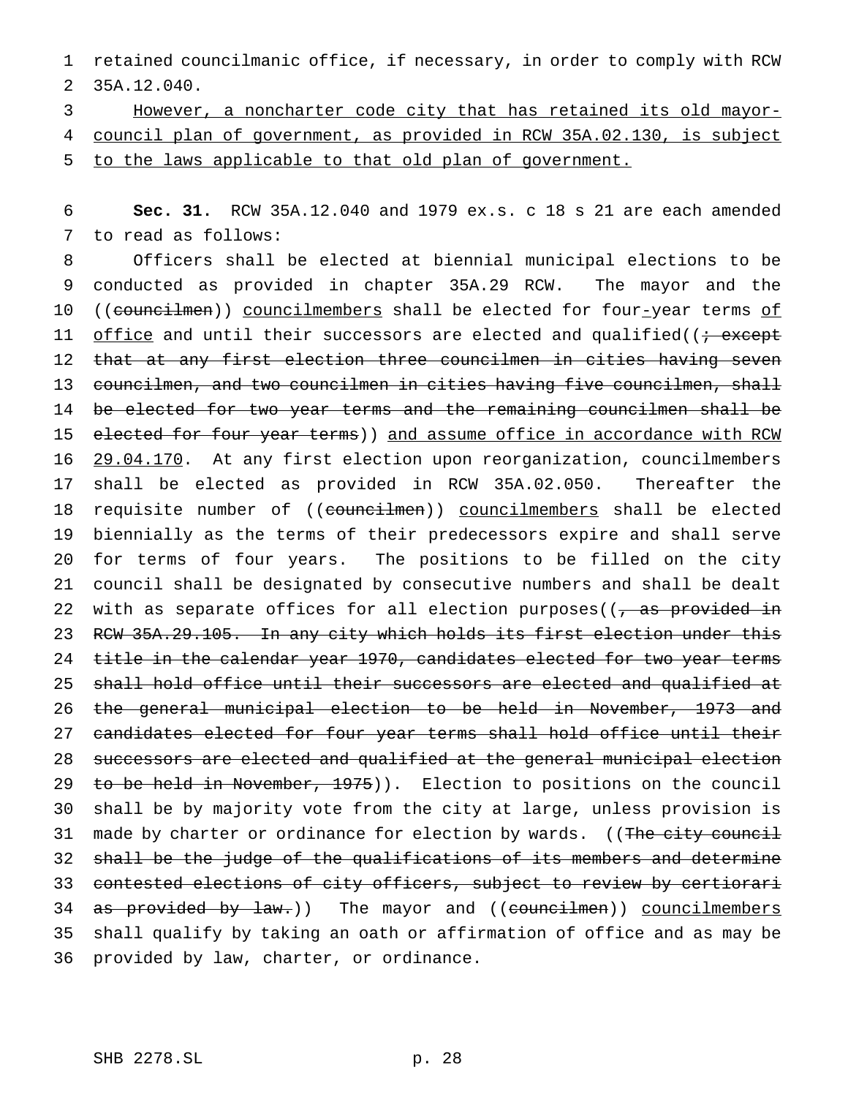retained councilmanic office, if necessary, in order to comply with RCW 35A.12.040.

 However, a noncharter code city that has retained its old mayor- council plan of government, as provided in RCW 35A.02.130, is subject to the laws applicable to that old plan of government.

 **Sec. 31.** RCW 35A.12.040 and 1979 ex.s. c 18 s 21 are each amended to read as follows:

 Officers shall be elected at biennial municipal elections to be conducted as provided in chapter 35A.29 RCW. The mayor and the 10 ((councilmen)) councilmembers shall be elected for four-year terms of 11 office and until their successors are elected and qualified((; except 12 that at any first election three councilmen in cities having seven councilmen, and two councilmen in cities having five councilmen, shall be elected for two year terms and the remaining councilmen shall be 15 elected for four year terms)) and assume office in accordance with RCW 29.04.170. At any first election upon reorganization, councilmembers shall be elected as provided in RCW 35A.02.050. Thereafter the 18 requisite number of ((councilmen)) councilmembers shall be elected biennially as the terms of their predecessors expire and shall serve for terms of four years. The positions to be filled on the city council shall be designated by consecutive numbers and shall be dealt 22 with as separate offices for all election purposes( $(-$ as provided in RCW 35A.29.105. In any city which holds its first election under this 24 title in the calendar year 1970, candidates elected for two year terms 25 shall hold office until their successors are elected and qualified at the general municipal election to be held in November, 1973 and 27 candidates elected for four year terms shall hold office until their successors are elected and qualified at the general municipal election 29 to be held in November, 1975)). Election to positions on the council shall be by majority vote from the city at large, unless provision is 31 made by charter or ordinance for election by wards. ((The city council 32 shall be the judge of the qualifications of its members and determine contested elections of city officers, subject to review by certiorari 34 as provided by law.)) The mayor and ((councilmen)) councilmembers shall qualify by taking an oath or affirmation of office and as may be provided by law, charter, or ordinance.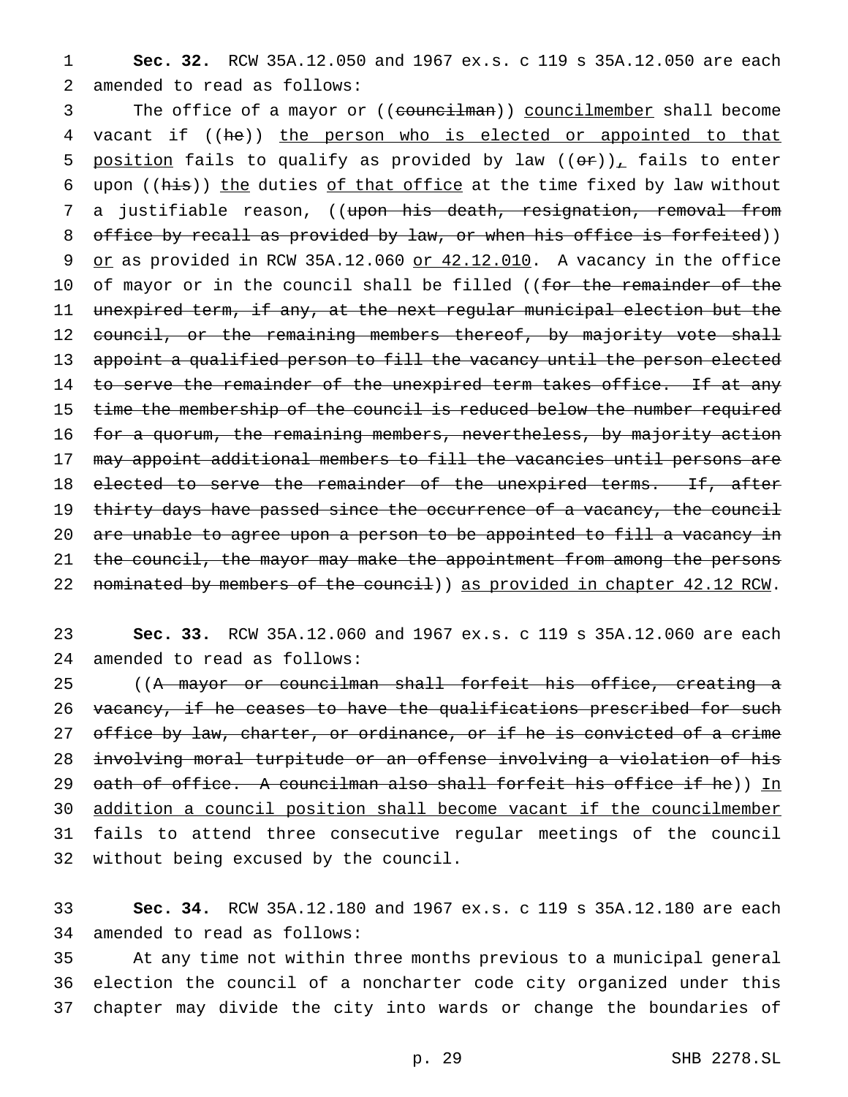1 **Sec. 32.** RCW 35A.12.050 and 1967 ex.s. c 119 s 35A.12.050 are each 2 amended to read as follows:

3 The office of a mayor or ((councilman)) councilmember shall become 4 vacant if ((he)) the person who is elected or appointed to that 5 position fails to qualify as provided by law  $((er))_+$  fails to enter 6 upon ((his)) the duties of that office at the time fixed by law without 7 a justifiable reason, ((upon his death, resignation, removal from 8 office by recall as provided by law, or when his office is forfeited)) 9 or as provided in RCW 35A.12.060 or 42.12.010. A vacancy in the office 10 of mayor or in the council shall be filled ((for the remainder of the 11 unexpired term, if any, at the next regular municipal election but the 12 council, or the remaining members thereof, by majority vote shall 13 appoint a qualified person to fill the vacancy until the person elected 14 to serve the remainder of the unexpired term takes office. If at any 15 time the membership of the council is reduced below the number required 16 for a quorum, the remaining members, nevertheless, by majority action 17 may appoint additional members to fill the vacancies until persons are 18 elected to serve the remainder of the unexpired terms. If, after 19 thirty days have passed since the occurrence of a vacancy, the council 20 are unable to agree upon a person to be appointed to fill a vacancy in 21 the council, the mayor may make the appointment from among the persons 22 nominated by members of the council) as provided in chapter 42.12 RCW.

23 **Sec. 33.** RCW 35A.12.060 and 1967 ex.s. c 119 s 35A.12.060 are each 24 amended to read as follows:

25 ((A mayor or councilman shall forfeit his office, creating a 26 vacancy, if he ceases to have the qualifications prescribed for such 27 office by law, charter, or ordinance, or if he is convicted of a crime 28 involving moral turpitude or an offense involving a violation of his 29 oath of office. A councilman also shall forfeit his office if he)) In 30 addition a council position shall become vacant if the councilmember 31 fails to attend three consecutive regular meetings of the council 32 without being excused by the council.

33 **Sec. 34.** RCW 35A.12.180 and 1967 ex.s. c 119 s 35A.12.180 are each 34 amended to read as follows:

35 At any time not within three months previous to a municipal general 36 election the council of a noncharter code city organized under this 37 chapter may divide the city into wards or change the boundaries of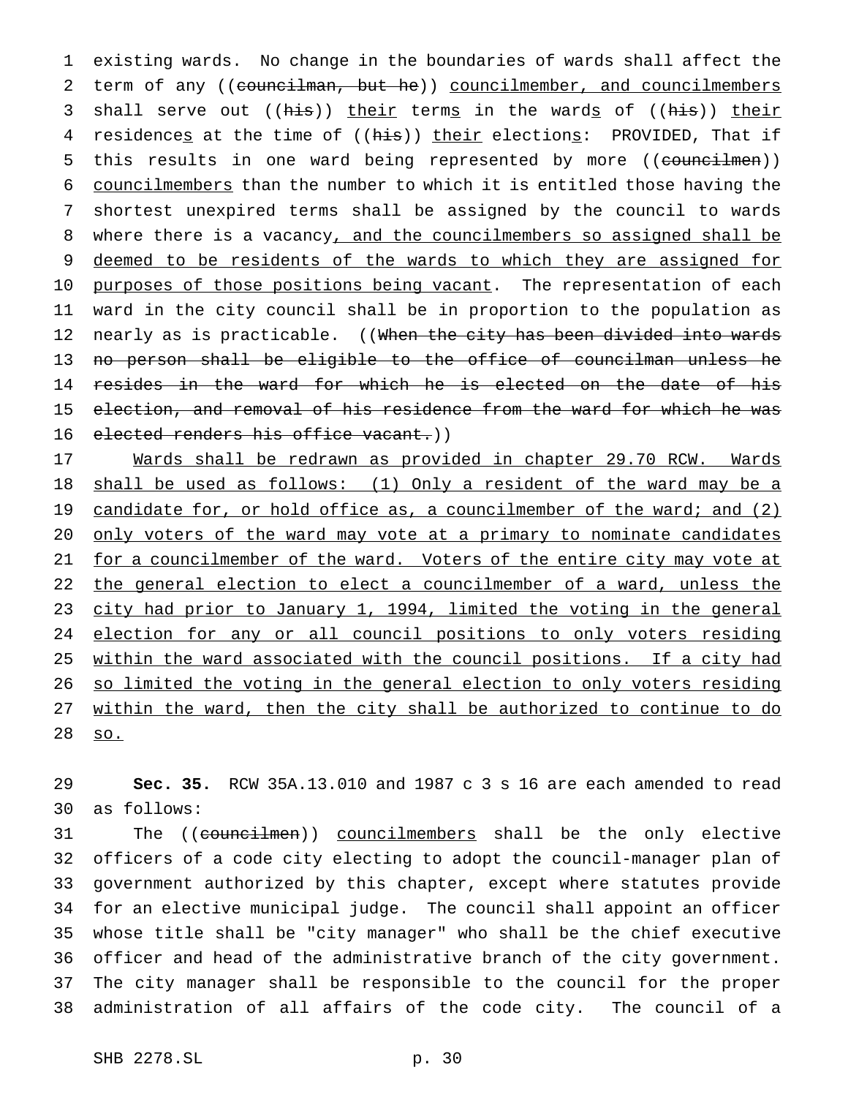existing wards. No change in the boundaries of wards shall affect the 2 term of any ((councilman, but he)) councilmember, and councilmembers 3 shall serve out ((his)) their terms in the wards of ((his)) their 4 residences at the time of ((his)) their elections: PROVIDED, That if 5 this results in one ward being represented by more ((councilmen)) councilmembers than the number to which it is entitled those having the shortest unexpired terms shall be assigned by the council to wards 8 where there is a vacancy, and the councilmembers so assigned shall be deemed to be residents of the wards to which they are assigned for 10 purposes of those positions being vacant. The representation of each ward in the city council shall be in proportion to the population as 12 nearly as is practicable. ((When the city has been divided into wards no person shall be eligible to the office of councilman unless he 14 resides in the ward for which he is elected on the date of his election, and removal of his residence from the ward for which he was elected renders his office vacant.))

 Wards shall be redrawn as provided in chapter 29.70 RCW. Wards shall be used as follows: (1) Only a resident of the ward may be a 19 candidate for, or hold office as, a councilmember of the ward; and (2) 20 only voters of the ward may vote at a primary to nominate candidates 21 for a councilmember of the ward. Voters of the entire city may vote at 22 the general election to elect a councilmember of a ward, unless the city had prior to January 1, 1994, limited the voting in the general election for any or all council positions to only voters residing 25 within the ward associated with the council positions. If a city had so limited the voting in the general election to only voters residing within the ward, then the city shall be authorized to continue to do so.

 **Sec. 35.** RCW 35A.13.010 and 1987 c 3 s 16 are each amended to read as follows:

 The ((councilmen)) councilmembers shall be the only elective officers of a code city electing to adopt the council-manager plan of government authorized by this chapter, except where statutes provide for an elective municipal judge. The council shall appoint an officer whose title shall be "city manager" who shall be the chief executive officer and head of the administrative branch of the city government. The city manager shall be responsible to the council for the proper administration of all affairs of the code city. The council of a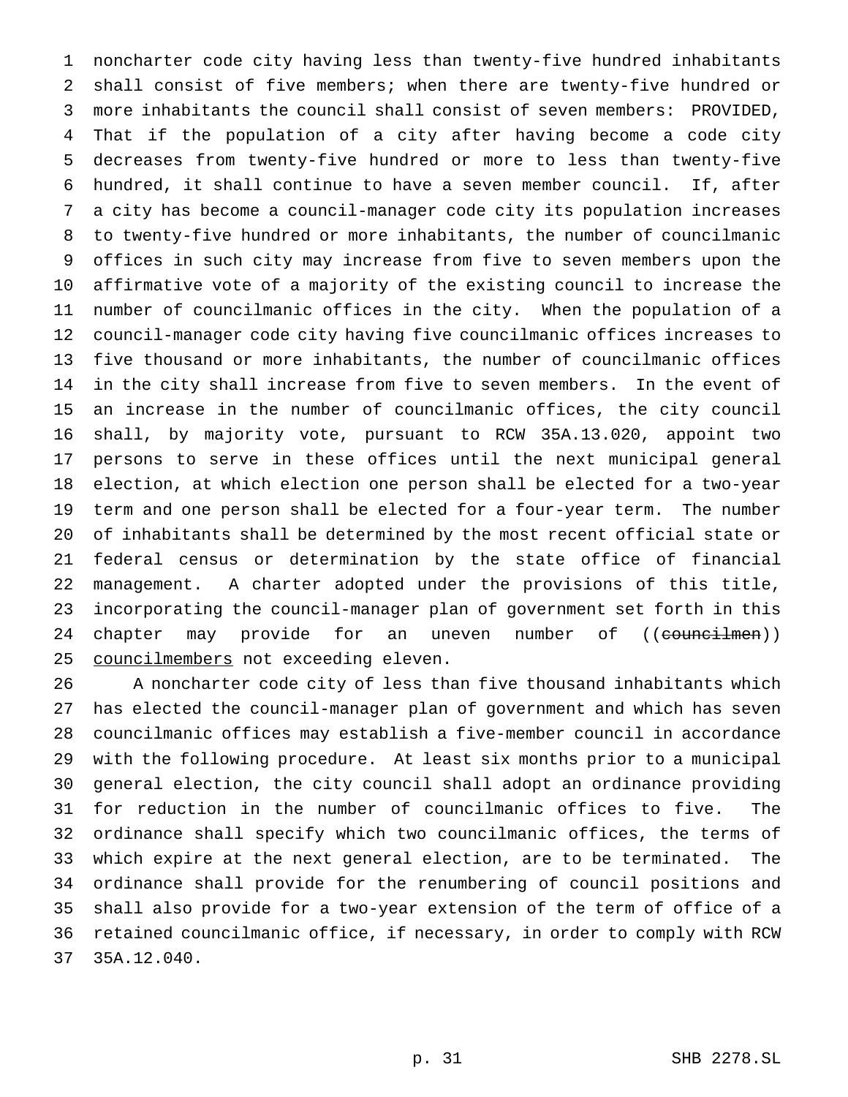noncharter code city having less than twenty-five hundred inhabitants shall consist of five members; when there are twenty-five hundred or more inhabitants the council shall consist of seven members: PROVIDED, That if the population of a city after having become a code city decreases from twenty-five hundred or more to less than twenty-five hundred, it shall continue to have a seven member council. If, after a city has become a council-manager code city its population increases to twenty-five hundred or more inhabitants, the number of councilmanic offices in such city may increase from five to seven members upon the affirmative vote of a majority of the existing council to increase the number of councilmanic offices in the city. When the population of a council-manager code city having five councilmanic offices increases to five thousand or more inhabitants, the number of councilmanic offices in the city shall increase from five to seven members. In the event of an increase in the number of councilmanic offices, the city council shall, by majority vote, pursuant to RCW 35A.13.020, appoint two persons to serve in these offices until the next municipal general election, at which election one person shall be elected for a two-year term and one person shall be elected for a four-year term. The number of inhabitants shall be determined by the most recent official state or federal census or determination by the state office of financial management. A charter adopted under the provisions of this title, incorporating the council-manager plan of government set forth in this 24 chapter may provide for an uneven number of ((councilmen)) 25 councilmembers not exceeding eleven.

 A noncharter code city of less than five thousand inhabitants which has elected the council-manager plan of government and which has seven councilmanic offices may establish a five-member council in accordance with the following procedure. At least six months prior to a municipal general election, the city council shall adopt an ordinance providing for reduction in the number of councilmanic offices to five. The ordinance shall specify which two councilmanic offices, the terms of which expire at the next general election, are to be terminated. The ordinance shall provide for the renumbering of council positions and shall also provide for a two-year extension of the term of office of a retained councilmanic office, if necessary, in order to comply with RCW 35A.12.040.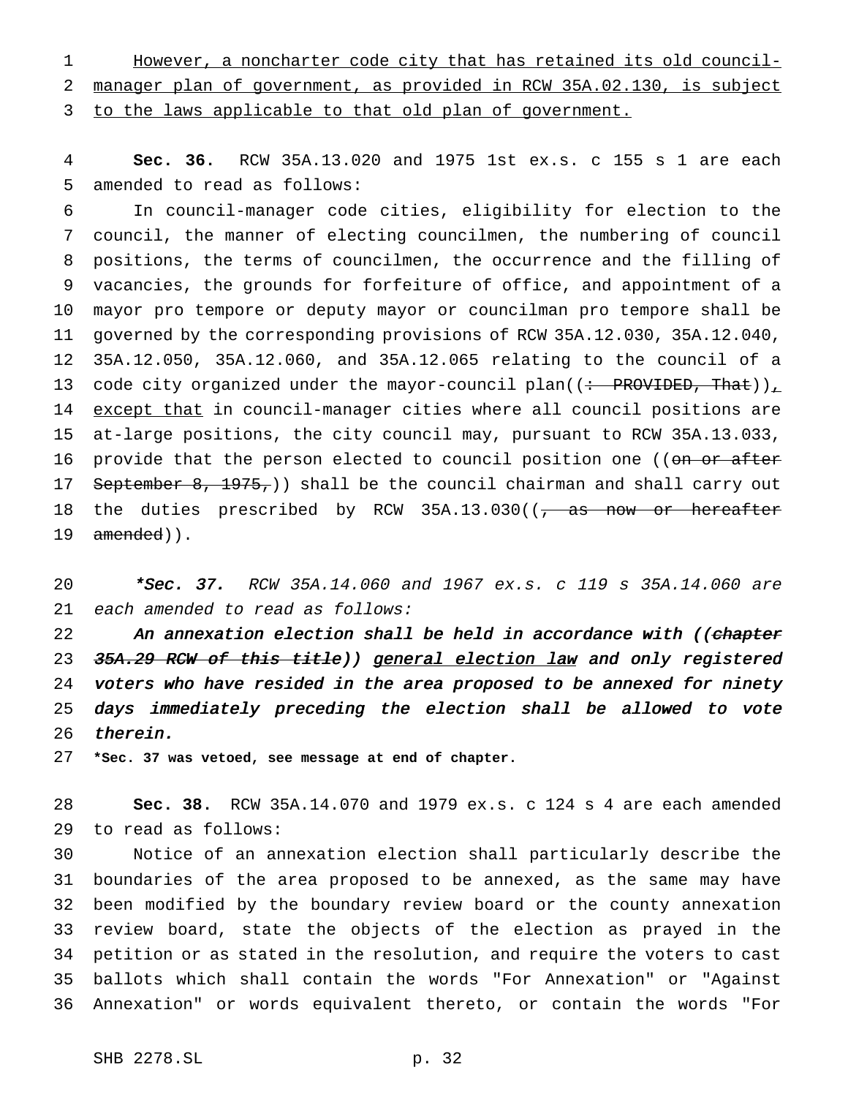However, a noncharter code city that has retained its old council- manager plan of government, as provided in RCW 35A.02.130, is subject 3 to the laws applicable to that old plan of government.

 **Sec. 36.** RCW 35A.13.020 and 1975 1st ex.s. c 155 s 1 are each amended to read as follows:

 In council-manager code cities, eligibility for election to the council, the manner of electing councilmen, the numbering of council positions, the terms of councilmen, the occurrence and the filling of vacancies, the grounds for forfeiture of office, and appointment of a mayor pro tempore or deputy mayor or councilman pro tempore shall be governed by the corresponding provisions of RCW 35A.12.030, 35A.12.040, 35A.12.050, 35A.12.060, and 35A.12.065 relating to the council of a 13 code city organized under the mayor-council plan( $($  + PROVIDED, That))<sub></sub> 14 except that in council-manager cities where all council positions are at-large positions, the city council may, pursuant to RCW 35A.13.033, 16 provide that the person elected to council position one ((on or after 17 September 8, 1975,) shall be the council chairman and shall carry out 18 the duties prescribed by RCW 35A.13.030(( $\frac{1}{10}$  as now or hereafter 19 amended)).

20 \*Sec. 37. RCW 35A.14.060 and 1967 ex.s. c 119 s 35A.14.060 are each amended to read as follows:

22 An annexation election shall be held in accordance with ((chapter 23 35A.29 RCW of this title)) general election law and only registered voters who have resided in the area proposed to be annexed for ninety days immediately preceding the election shall be allowed to vote therein.

**\*Sec. 37 was vetoed, see message at end of chapter.**

 **Sec. 38.** RCW 35A.14.070 and 1979 ex.s. c 124 s 4 are each amended to read as follows:

 Notice of an annexation election shall particularly describe the boundaries of the area proposed to be annexed, as the same may have been modified by the boundary review board or the county annexation review board, state the objects of the election as prayed in the petition or as stated in the resolution, and require the voters to cast ballots which shall contain the words "For Annexation" or "Against Annexation" or words equivalent thereto, or contain the words "For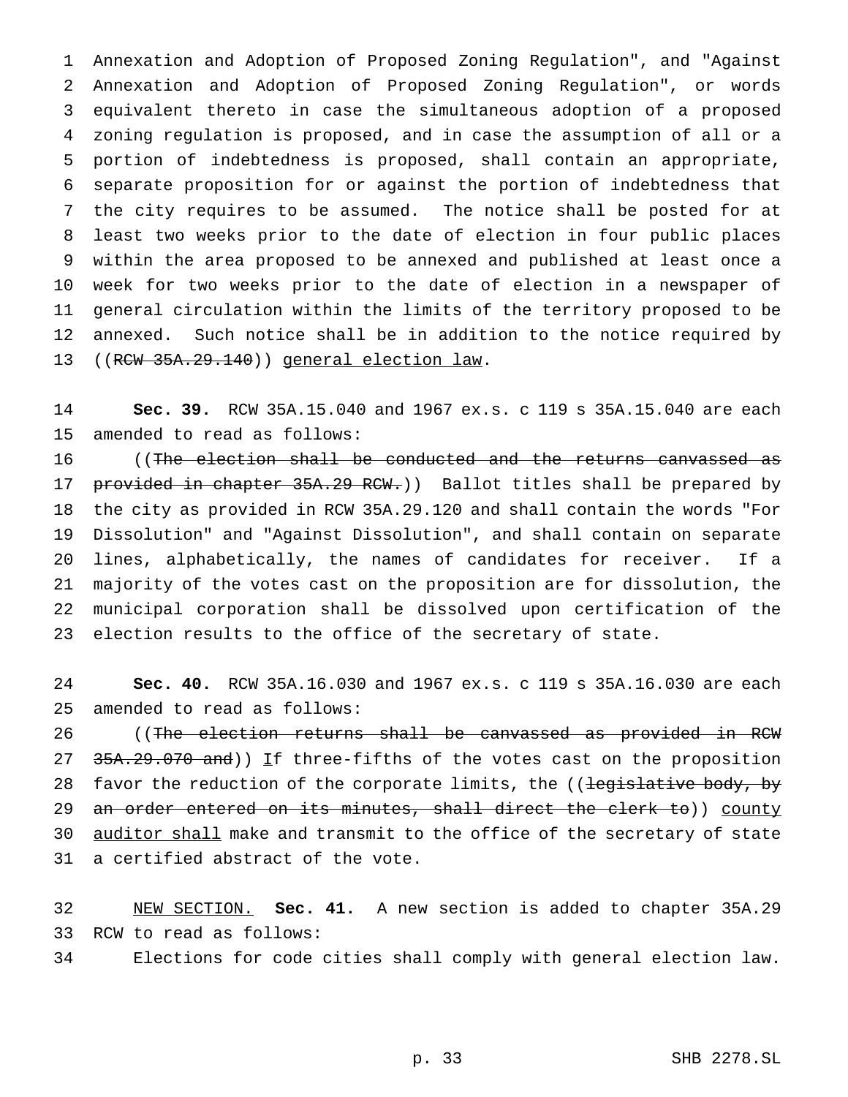Annexation and Adoption of Proposed Zoning Regulation", and "Against Annexation and Adoption of Proposed Zoning Regulation", or words equivalent thereto in case the simultaneous adoption of a proposed zoning regulation is proposed, and in case the assumption of all or a portion of indebtedness is proposed, shall contain an appropriate, separate proposition for or against the portion of indebtedness that the city requires to be assumed. The notice shall be posted for at least two weeks prior to the date of election in four public places within the area proposed to be annexed and published at least once a week for two weeks prior to the date of election in a newspaper of general circulation within the limits of the territory proposed to be annexed. Such notice shall be in addition to the notice required by ((RCW 35A.29.140)) general election law.

 **Sec. 39.** RCW 35A.15.040 and 1967 ex.s. c 119 s 35A.15.040 are each amended to read as follows:

 ((The election shall be conducted and the returns canvassed as 17 provided in chapter 35A.29 RCW.) Ballot titles shall be prepared by the city as provided in RCW 35A.29.120 and shall contain the words "For Dissolution" and "Against Dissolution", and shall contain on separate lines, alphabetically, the names of candidates for receiver. If a majority of the votes cast on the proposition are for dissolution, the municipal corporation shall be dissolved upon certification of the election results to the office of the secretary of state.

 **Sec. 40.** RCW 35A.16.030 and 1967 ex.s. c 119 s 35A.16.030 are each amended to read as follows:

26 ((The election returns shall be canvassed as provided in RCW 27 35A.29.070 and)) If three-fifths of the votes cast on the proposition 28 favor the reduction of the corporate limits, the ((legislative body, by 29 an order entered on its minutes, shall direct the clerk to)) county 30 <u>auditor shall</u> make and transmit to the office of the secretary of state a certified abstract of the vote.

 NEW SECTION. **Sec. 41.** A new section is added to chapter 35A.29 RCW to read as follows:

Elections for code cities shall comply with general election law.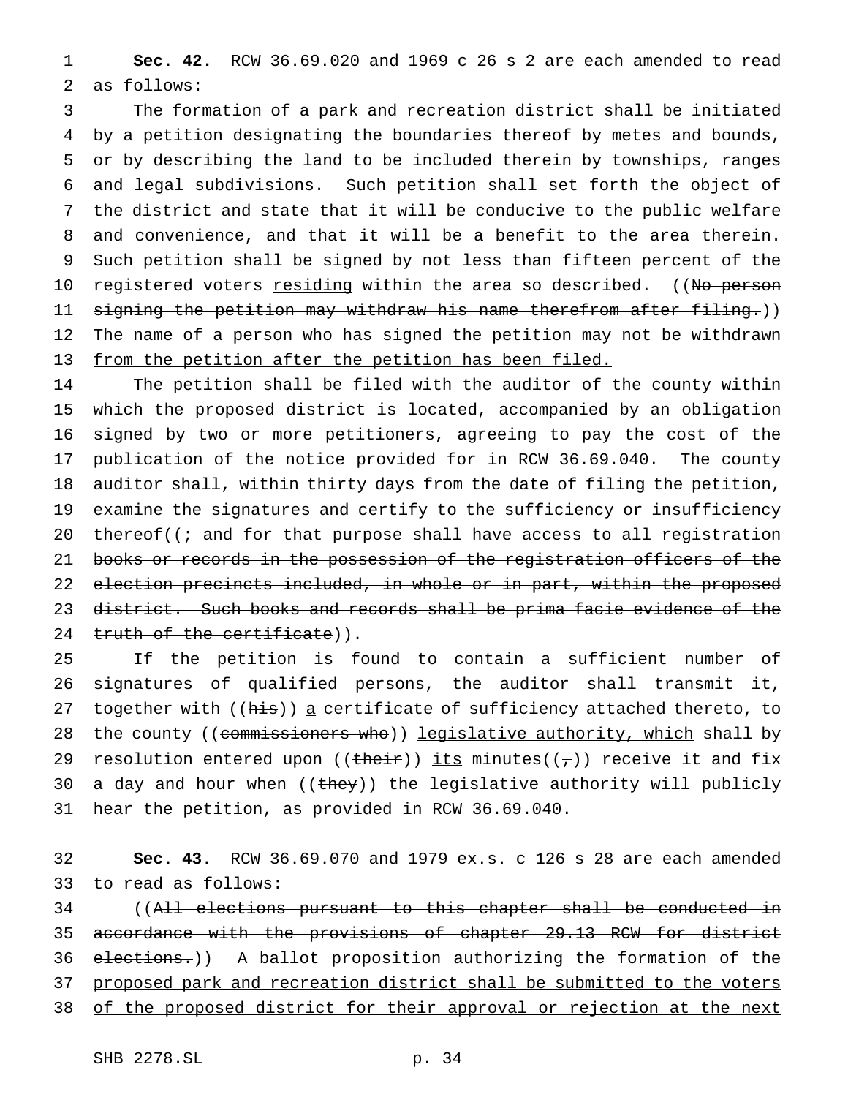**Sec. 42.** RCW 36.69.020 and 1969 c 26 s 2 are each amended to read as follows:

 The formation of a park and recreation district shall be initiated by a petition designating the boundaries thereof by metes and bounds, or by describing the land to be included therein by townships, ranges and legal subdivisions. Such petition shall set forth the object of the district and state that it will be conducive to the public welfare and convenience, and that it will be a benefit to the area therein. Such petition shall be signed by not less than fifteen percent of the 10 registered voters <u>residing</u> within the area so described. ((No person 11 s<del>igning the petition may withdraw his name therefrom after filing.</del>)) 12 The name of a person who has signed the petition may not be withdrawn from the petition after the petition has been filed.

 The petition shall be filed with the auditor of the county within which the proposed district is located, accompanied by an obligation signed by two or more petitioners, agreeing to pay the cost of the publication of the notice provided for in RCW 36.69.040. The county auditor shall, within thirty days from the date of filing the petition, examine the signatures and certify to the sufficiency or insufficiency 20 thereof( $(i \cdot$  and for that purpose shall have access to all registration 21 books or records in the possession of the registration officers of the election precincts included, in whole or in part, within the proposed district. Such books and records shall be prima facie evidence of the 24 truth of the certificate)).

 If the petition is found to contain a sufficient number of signatures of qualified persons, the auditor shall transmit it, 27 together with ((his)) a certificate of sufficiency attached thereto, to 28 the county ((commissioners who)) legislative authority, which shall by 29 resolution entered upon ((their)) its minutes( $(\tau)$ ) receive it and fix 30 a day and hour when ((they)) the legislative authority will publicly hear the petition, as provided in RCW 36.69.040.

 **Sec. 43.** RCW 36.69.070 and 1979 ex.s. c 126 s 28 are each amended to read as follows:

34 ((All elections pursuant to this chapter shall be conducted in accordance with the provisions of chapter 29.13 RCW for district elections.)) A ballot proposition authorizing the formation of the proposed park and recreation district shall be submitted to the voters 38 of the proposed district for their approval or rejection at the next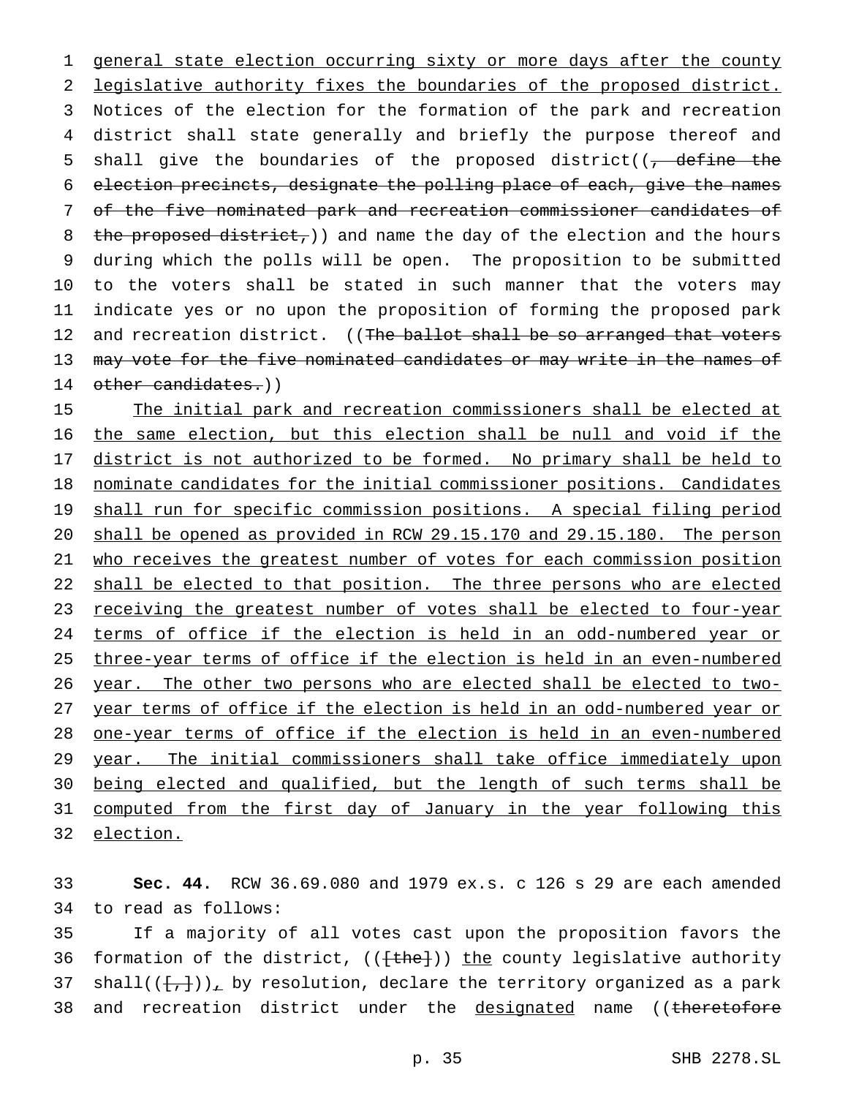1 general state election occurring sixty or more days after the county 2 legislative authority fixes the boundaries of the proposed district. 3 Notices of the election for the formation of the park and recreation 4 district shall state generally and briefly the purpose thereof and 5 shall give the boundaries of the proposed district( $\sqrt{ }$  define the 6 election precincts, designate the polling place of each, give the names 7 of the five nominated park and recreation commissioner candidates of 8 the proposed district,  $)$  and name the day of the election and the hours 9 during which the polls will be open. The proposition to be submitted 10 to the voters shall be stated in such manner that the voters may 11 indicate yes or no upon the proposition of forming the proposed park 12 and recreation district. ((The ballot shall be so arranged that voters 13 may vote for the five nominated candidates or may write in the names of 14 other candidates.))

15 The initial park and recreation commissioners shall be elected at the same election, but this election shall be null and void if the 17 district is not authorized to be formed. No primary shall be held to nominate candidates for the initial commissioner positions. Candidates shall run for specific commission positions. A special filing period shall be opened as provided in RCW 29.15.170 and 29.15.180. The person 21 who receives the greatest number of votes for each commission position 22 shall be elected to that position. The three persons who are elected receiving the greatest number of votes shall be elected to four-year terms of office if the election is held in an odd-numbered year or three-year terms of office if the election is held in an even-numbered year. The other two persons who are elected shall be elected to two- year terms of office if the election is held in an odd-numbered year or one-year terms of office if the election is held in an even-numbered 29 year. The initial commissioners shall take office immediately upon being elected and qualified, but the length of such terms shall be 31 computed from the first day of January in the year following this election.

33 **Sec. 44.** RCW 36.69.080 and 1979 ex.s. c 126 s 29 are each amended 34 to read as follows:

35 If a majority of all votes cast upon the proposition favors the 36 formation of the district,  $((\text{the})\,)$  the county legislative authority 37 shall( $(\{+, \})$ ), by resolution, declare the territory organized as a park 38 and recreation district under the designated name ((theretofore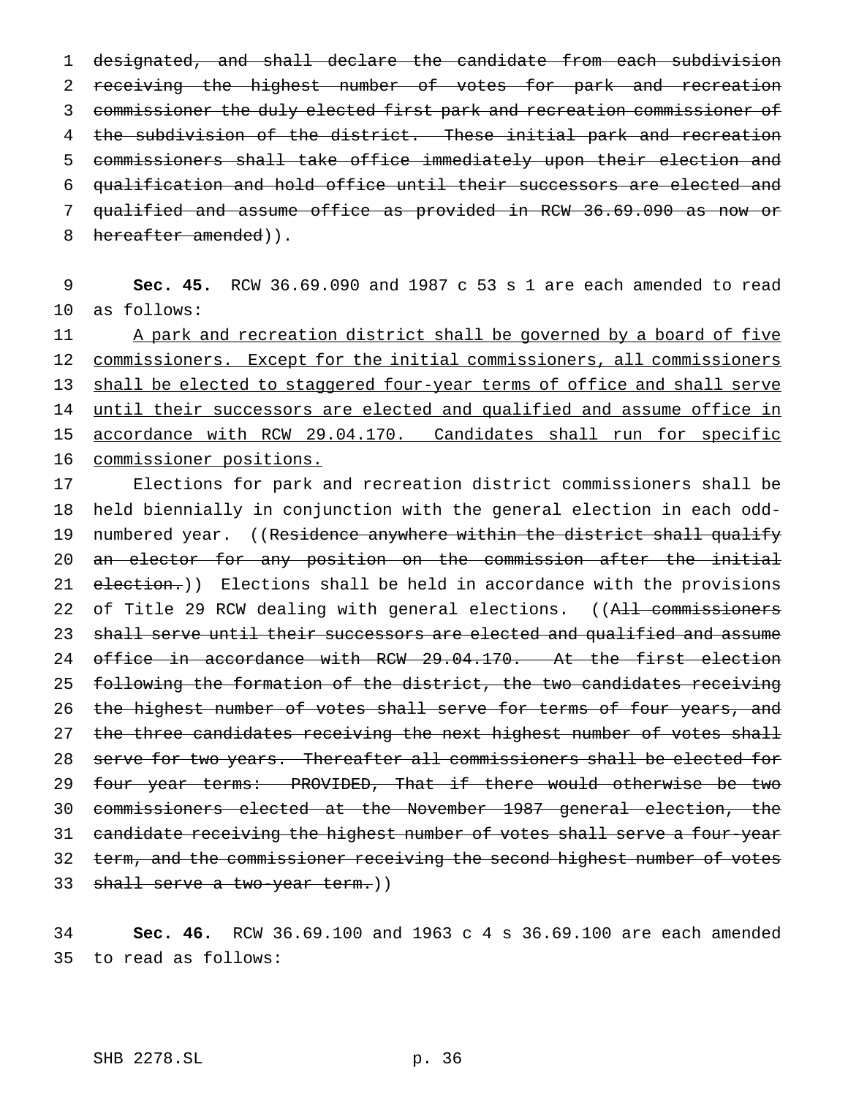designated, and shall declare the candidate from each subdivision 2 receiving the highest number of votes for park and recreation commissioner the duly elected first park and recreation commissioner of 4 the subdivision of the district. These initial park and recreation commissioners shall take office immediately upon their election and qualification and hold office until their successors are elected and qualified and assume office as provided in RCW 36.69.090 as now or 8 hereafter amended)).

9 **Sec. 45.** RCW 36.69.090 and 1987 c 53 s 1 are each amended to read 10 as follows:

11 A park and recreation district shall be governed by a board of five 12 commissioners. Except for the initial commissioners, all commissioners 13 shall be elected to staggered four-year terms of office and shall serve 14 until their successors are elected and qualified and assume office in 15 accordance with RCW 29.04.170. Candidates shall run for specific 16 commissioner positions.

17 Elections for park and recreation district commissioners shall be 18 held biennially in conjunction with the general election in each odd-19 numbered year. ((Residence anywhere within the district shall qualify 20 an elector for any position on the commission after the initial 21 election.)) Elections shall be held in accordance with the provisions 22 of Title 29 RCW dealing with general elections. ((All commissioners 23 shall serve until their successors are elected and qualified and assume 24 office in accordance with RCW 29.04.170. At the first election 25 following the formation of the district, the two candidates receiving 26 the highest number of votes shall serve for terms of four years, and 27 the three candidates receiving the next highest number of votes shall 28 serve for two years. Thereafter all commissioners shall be elected for 29 four year terms: PROVIDED, That if there would otherwise be two 30 commissioners elected at the November 1987 general election, the 31 candidate receiving the highest number of votes shall serve a four-year 32 term, and the commissioner receiving the second highest number of votes 33 shall serve a two-year term.))

34 **Sec. 46.** RCW 36.69.100 and 1963c4s 36.69.100 are each amended 35 to read as follows: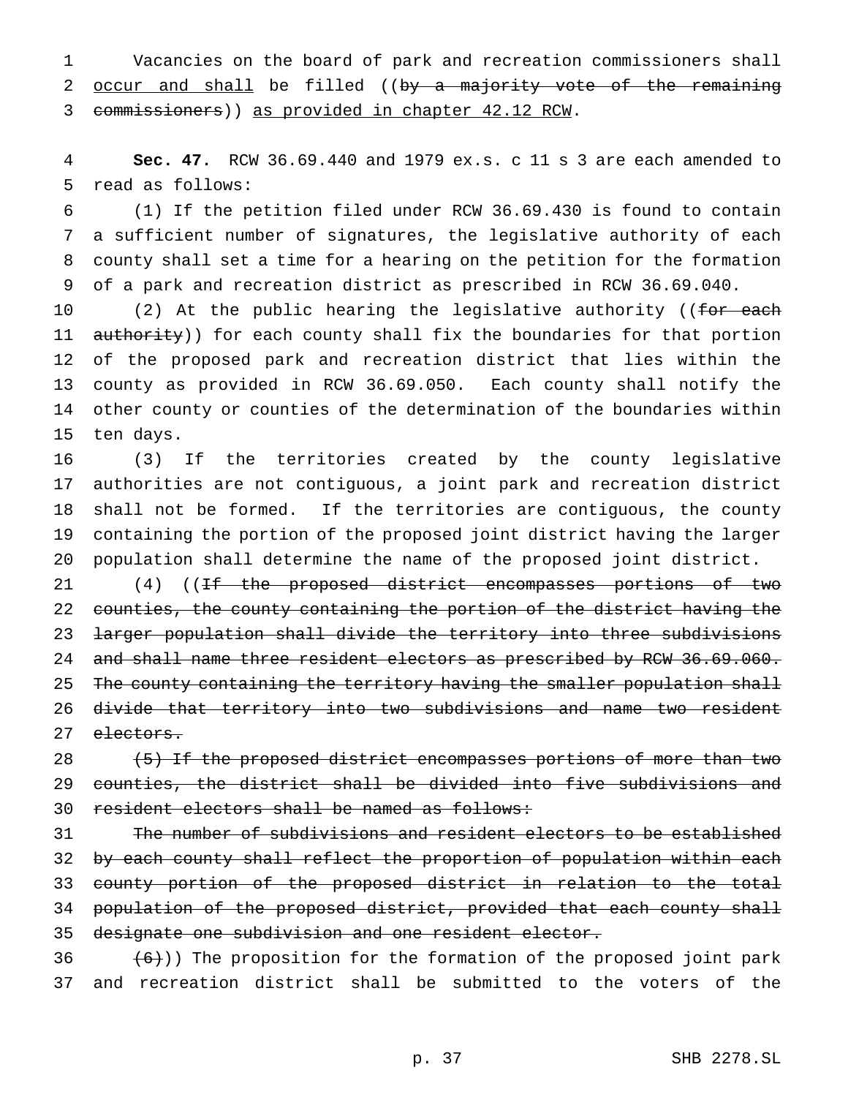Vacancies on the board of park and recreation commissioners shall 2 occur and shall be filled ((by a majority vote of the remaining commissioners)) as provided in chapter 42.12 RCW.

 **Sec. 47.** RCW 36.69.440 and 1979 ex.s. c 11 s 3 are each amended to read as follows:

 (1) If the petition filed under RCW 36.69.430 is found to contain a sufficient number of signatures, the legislative authority of each county shall set a time for a hearing on the petition for the formation of a park and recreation district as prescribed in RCW 36.69.040.

10 (2) At the public hearing the legislative authority ((for each 11 authority)) for each county shall fix the boundaries for that portion of the proposed park and recreation district that lies within the county as provided in RCW 36.69.050. Each county shall notify the other county or counties of the determination of the boundaries within ten days.

 (3) If the territories created by the county legislative authorities are not contiguous, a joint park and recreation district shall not be formed. If the territories are contiguous, the county containing the portion of the proposed joint district having the larger population shall determine the name of the proposed joint district.

21 (4) ((If the proposed district encompasses portions of two counties, the county containing the portion of the district having the larger population shall divide the territory into three subdivisions 24 and shall name three resident electors as prescribed by RCW 36.69.060. 25 The county containing the territory having the smaller population shall divide that territory into two subdivisions and name two resident 27 electors.

28 (5) If the proposed district encompasses portions of more than two counties, the district shall be divided into five subdivisions and resident electors shall be named as follows:

 The number of subdivisions and resident electors to be established 32 by each county shall reflect the proportion of population within each county portion of the proposed district in relation to the total population of the proposed district, provided that each county shall designate one subdivision and one resident elector.

 $(6)$ )) The proposition for the formation of the proposed joint park and recreation district shall be submitted to the voters of the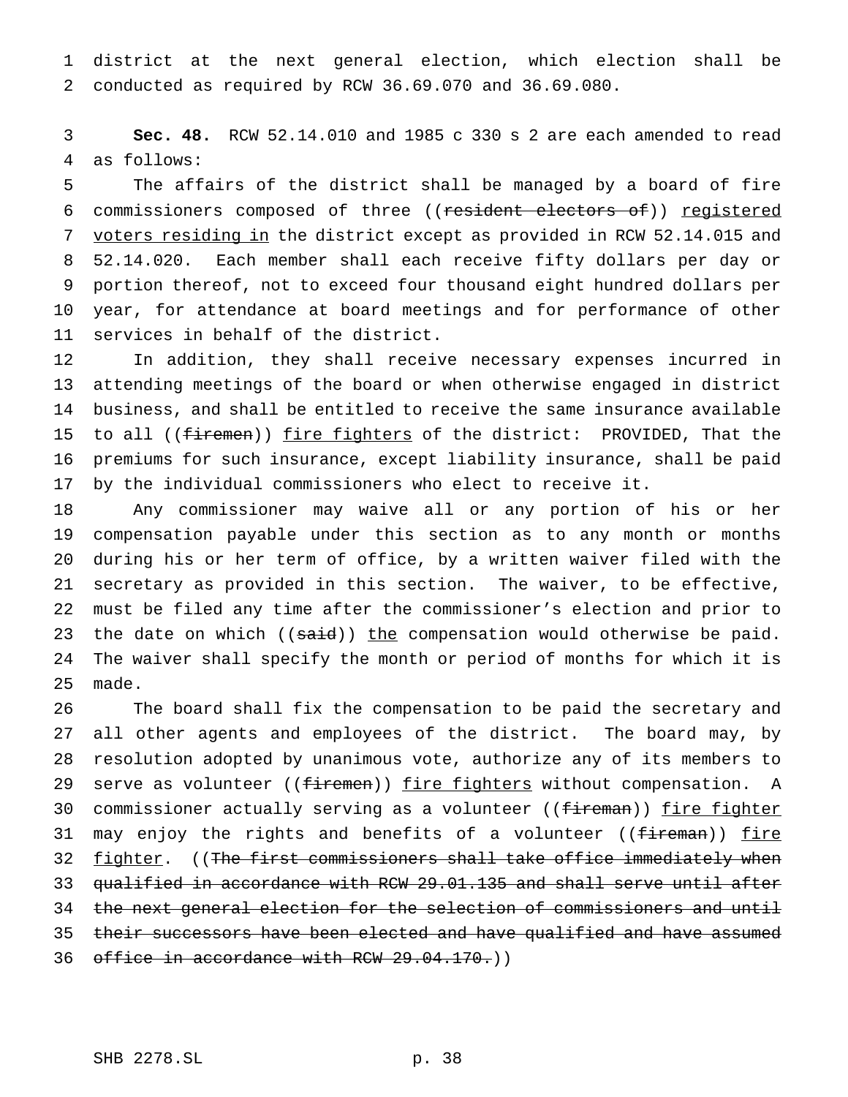district at the next general election, which election shall be conducted as required by RCW 36.69.070 and 36.69.080.

 **Sec. 48.** RCW 52.14.010 and 1985 c 330 s 2 are each amended to read as follows:

 The affairs of the district shall be managed by a board of fire 6 commissioners composed of three ((resident electors of)) registered 7 voters residing in the district except as provided in RCW 52.14.015 and 52.14.020. Each member shall each receive fifty dollars per day or portion thereof, not to exceed four thousand eight hundred dollars per year, for attendance at board meetings and for performance of other services in behalf of the district.

 In addition, they shall receive necessary expenses incurred in attending meetings of the board or when otherwise engaged in district business, and shall be entitled to receive the same insurance available 15 to all ((firemen)) fire fighters of the district: PROVIDED, That the premiums for such insurance, except liability insurance, shall be paid by the individual commissioners who elect to receive it.

 Any commissioner may waive all or any portion of his or her compensation payable under this section as to any month or months during his or her term of office, by a written waiver filed with the secretary as provided in this section. The waiver, to be effective, must be filed any time after the commissioner's election and prior to 23 the date on which ((said)) the compensation would otherwise be paid. The waiver shall specify the month or period of months for which it is made.

 The board shall fix the compensation to be paid the secretary and all other agents and employees of the district. The board may, by resolution adopted by unanimous vote, authorize any of its members to 29 serve as volunteer ((firemen)) fire fighters without compensation. A 30 commissioner actually serving as a volunteer ((fireman)) fire fighter 31 may enjoy the rights and benefits of a volunteer ((fireman)) fire 32 fighter. ((The first commissioners shall take office immediately when qualified in accordance with RCW 29.01.135 and shall serve until after 34 the next general election for the selection of commissioners and until 35 their successors have been elected and have qualified and have assumed 36 office in accordance with RCW 29.04.170.)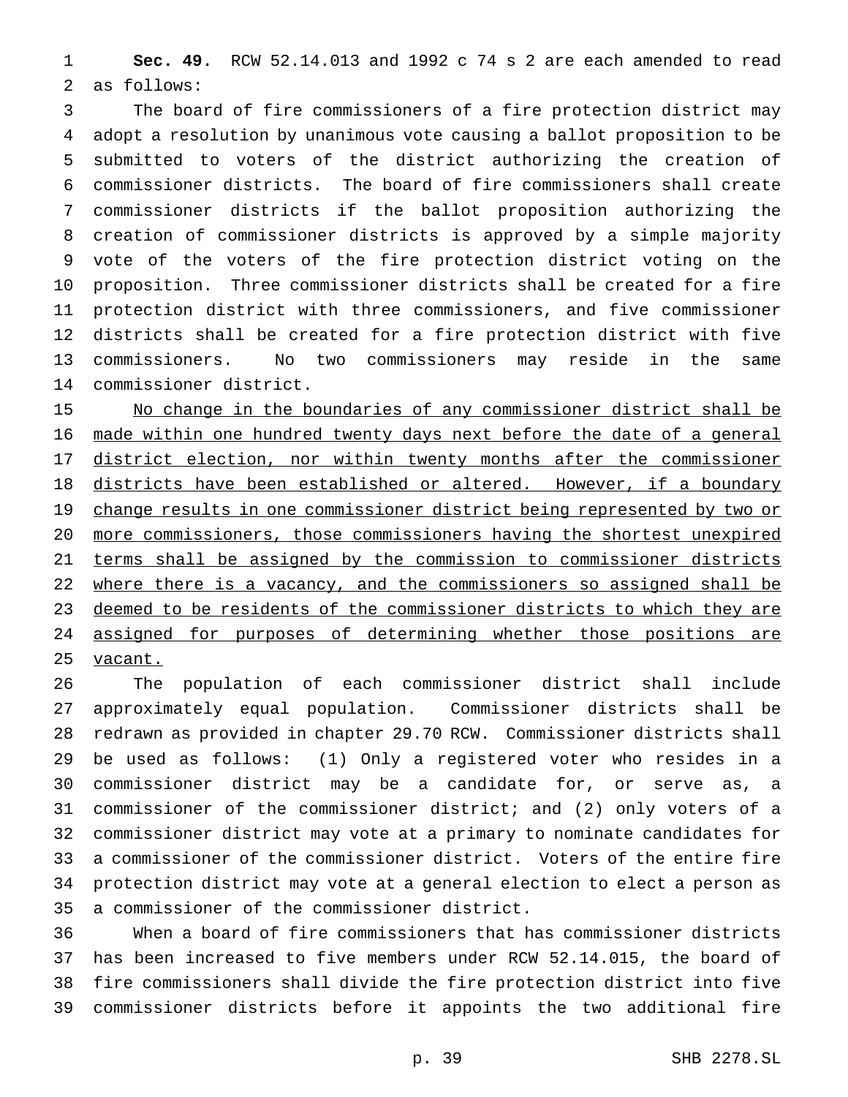**Sec. 49.** RCW 52.14.013 and 1992 c 74 s 2 are each amended to read as follows:

 The board of fire commissioners of a fire protection district may adopt a resolution by unanimous vote causing a ballot proposition to be submitted to voters of the district authorizing the creation of commissioner districts. The board of fire commissioners shall create commissioner districts if the ballot proposition authorizing the creation of commissioner districts is approved by a simple majority vote of the voters of the fire protection district voting on the proposition. Three commissioner districts shall be created for a fire protection district with three commissioners, and five commissioner districts shall be created for a fire protection district with five commissioners. No two commissioners may reside in the same commissioner district.

 No change in the boundaries of any commissioner district shall be made within one hundred twenty days next before the date of a general 17 district election, nor within twenty months after the commissioner districts have been established or altered. However, if a boundary 19 change results in one commissioner district being represented by two or more commissioners, those commissioners having the shortest unexpired terms shall be assigned by the commission to commissioner districts 22 where there is a vacancy, and the commissioners so assigned shall be 23 deemed to be residents of the commissioner districts to which they are assigned for purposes of determining whether those positions are 25 vacant.

 The population of each commissioner district shall include approximately equal population. Commissioner districts shall be redrawn as provided in chapter 29.70 RCW. Commissioner districts shall be used as follows: (1) Only a registered voter who resides in a commissioner district may be a candidate for, or serve as, a commissioner of the commissioner district; and (2) only voters of a commissioner district may vote at a primary to nominate candidates for a commissioner of the commissioner district. Voters of the entire fire protection district may vote at a general election to elect a person as a commissioner of the commissioner district.

 When a board of fire commissioners that has commissioner districts has been increased to five members under RCW 52.14.015, the board of fire commissioners shall divide the fire protection district into five commissioner districts before it appoints the two additional fire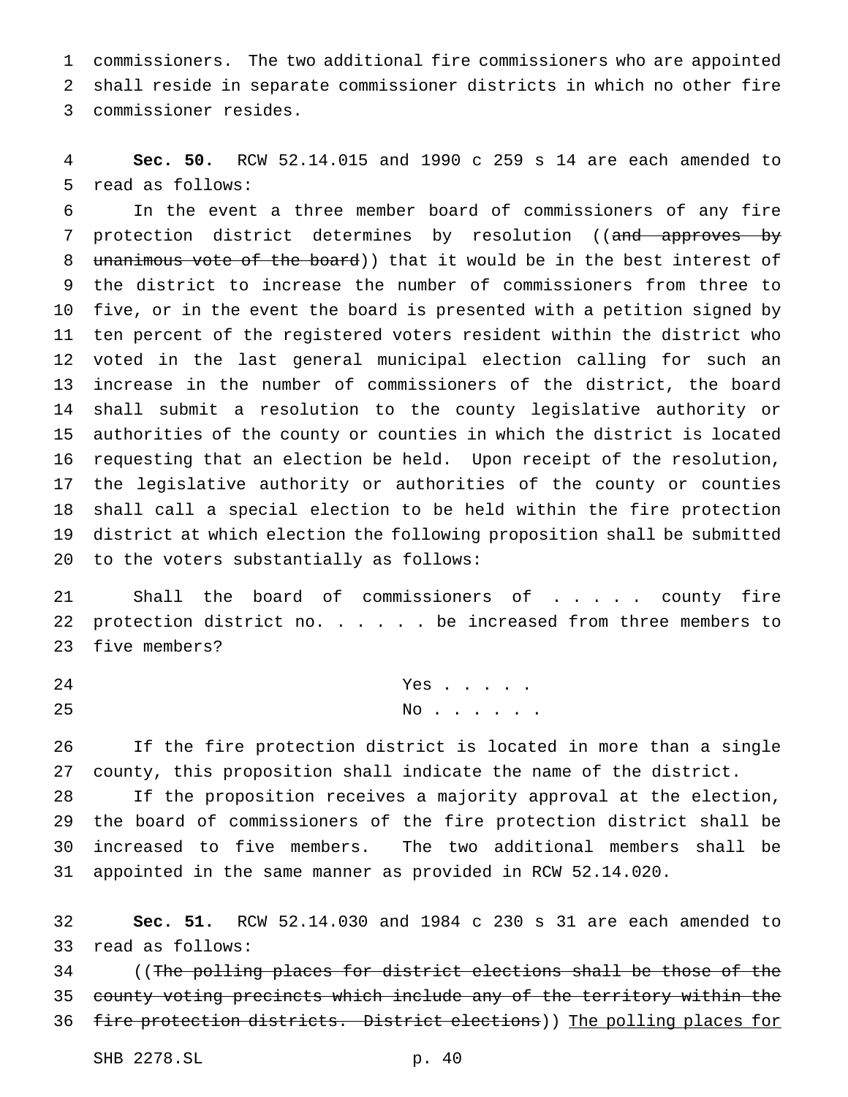commissioners. The two additional fire commissioners who are appointed shall reside in separate commissioner districts in which no other fire commissioner resides.

 **Sec. 50.** RCW 52.14.015 and 1990 c 259 s 14 are each amended to read as follows:

 In the event a three member board of commissioners of any fire 7 protection district determines by resolution ((and approves by 8 unanimous vote of the board)) that it would be in the best interest of the district to increase the number of commissioners from three to five, or in the event the board is presented with a petition signed by ten percent of the registered voters resident within the district who voted in the last general municipal election calling for such an increase in the number of commissioners of the district, the board shall submit a resolution to the county legislative authority or authorities of the county or counties in which the district is located requesting that an election be held. Upon receipt of the resolution, the legislative authority or authorities of the county or counties shall call a special election to be held within the fire protection district at which election the following proposition shall be submitted to the voters substantially as follows:

 Shall the board of commissioners of ..... county fire 22 protection district no. . . . . be increased from three members to five members?

| 24 | Yes |  |  |  |
|----|-----|--|--|--|
| 25 | No. |  |  |  |

 If the fire protection district is located in more than a single county, this proposition shall indicate the name of the district.

 If the proposition receives a majority approval at the election, the board of commissioners of the fire protection district shall be increased to five members. The two additional members shall be appointed in the same manner as provided in RCW 52.14.020.

 **Sec. 51.** RCW 52.14.030 and 1984 c 230 s 31 are each amended to read as follows:

34 ((The polling places for district elections shall be those of the 35 county voting precincts which include any of the territory within the fire protection districts. District elections)) The polling places for

SHB 2278.SL p. 40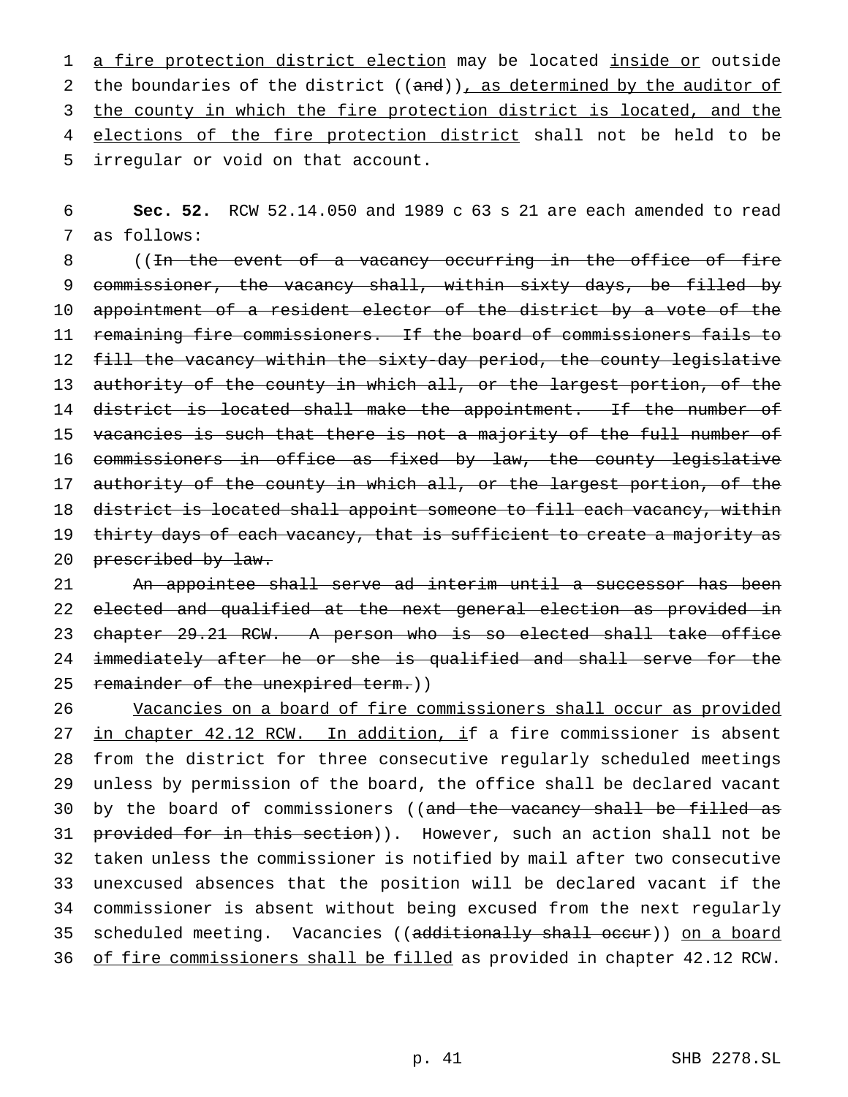1 a fire protection district election may be located inside or outside 2 the boundaries of the district ((and)), as determined by the auditor of 3 the county in which the fire protection district is located, and the 4 elections of the fire protection district shall not be held to be 5 irregular or void on that account.

6 **Sec. 52.** RCW 52.14.050 and 1989 c 63 s 21 are each amended to read 7 as follows:

8 ((In the event of a vacancy occurring in the office of fire 9 commissioner, the vacancy shall, within sixty days, be filled by 10 appointment of a resident elector of the district by a vote of the 11 remaining fire commissioners. If the board of commissioners fails to 12 fill the vacancy within the sixty-day period, the county legislative 13 authority of the county in which all, or the largest portion, of the 14 district is located shall make the appointment. If the number of 15 vacancies is such that there is not a majority of the full number of 16 commissioners in office as fixed by law, the county legislative 17 authority of the county in which all, or the largest portion, of the 18 district is located shall appoint someone to fill each vacancy, within 19 thirty days of each vacancy, that is sufficient to create a majority as 20 prescribed by law.

21 An appointee shall serve ad interim until a successor has been 22 elected and qualified at the next general election as provided in 23 chapter 29.21 RCW. A person who is so elected shall take office 24 immediately after he or she is qualified and shall serve for the 25 remainder of the unexpired term.))

26 Vacancies on a board of fire commissioners shall occur as provided 27 in chapter 42.12 RCW. In addition, if a fire commissioner is absent 28 from the district for three consecutive regularly scheduled meetings 29 unless by permission of the board, the office shall be declared vacant 30 by the board of commissioners ((and the vacancy shall be filled as 31 provided for in this section)). However, such an action shall not be 32 taken unless the commissioner is notified by mail after two consecutive 33 unexcused absences that the position will be declared vacant if the 34 commissioner is absent without being excused from the next regularly 35 scheduled meeting. Vacancies ((additionally shall occur)) on a board 36 of fire commissioners shall be filled as provided in chapter 42.12 RCW.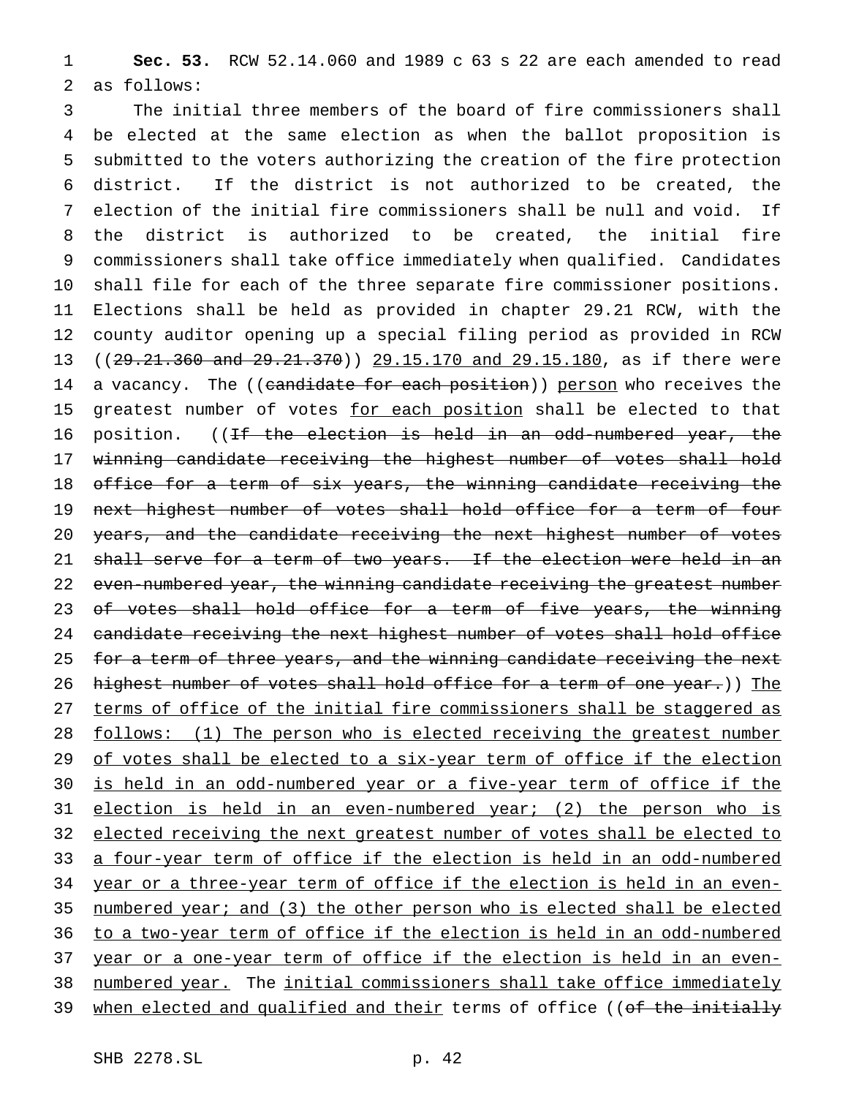1 **Sec. 53.** RCW 52.14.060 and 1989 c 63 s 22 are each amended to read 2 as follows:

3 The initial three members of the board of fire commissioners shall 4 be elected at the same election as when the ballot proposition is 5 submitted to the voters authorizing the creation of the fire protection 6 district. If the district is not authorized to be created, the 7 election of the initial fire commissioners shall be null and void. If 8 the district is authorized to be created, the initial fire 9 commissioners shall take office immediately when qualified. Candidates 10 shall file for each of the three separate fire commissioner positions. 11 Elections shall be held as provided in chapter 29.21 RCW, with the 12 county auditor opening up a special filing period as provided in RCW 13 ((29.21.360 and 29.21.370)) 29.15.170 and 29.15.180, as if there were 14 a vacancy. The ((candidate for each position)) person who receives the 15 greatest number of votes for each position shall be elected to that 16 position. ((<del>If the election is held in an odd-numbered year, the</del> 17 winning candidate receiving the highest number of votes shall hold 18 office for a term of six years, the winning candidate receiving the 19 next highest number of votes shall hold office for a term of four 20 years, and the candidate receiving the next highest number of votes 21 shall serve for a term of two years. If the election were held in an 22 even-numbered year, the winning candidate receiving the greatest number 23 of votes shall hold office for a term of five years, the winning 24 candidate receiving the next highest number of votes shall hold office 25 for a term of three years, and the winning candidate receiving the next 26 highest number of votes shall hold office for a term of one year.)) The 27 terms of office of the initial fire commissioners shall be staggered as 28 follows: (1) The person who is elected receiving the greatest number 29 of votes shall be elected to a six-year term of office if the election 30 is held in an odd-numbered year or a five-year term of office if the 31 election is held in an even-numbered year; (2) the person who is 32 elected receiving the next greatest number of votes shall be elected to 33 a four-year term of office if the election is held in an odd-numbered 34 year or a three-year term of office if the election is held in an even-35 numbered year; and (3) the other person who is elected shall be elected 36 to a two-year term of office if the election is held in an odd-numbered 37 year or a one-year term of office if the election is held in an even-38 numbered year. The initial commissioners shall take office immediately 39 when elected and qualified and their terms of office ((of the initially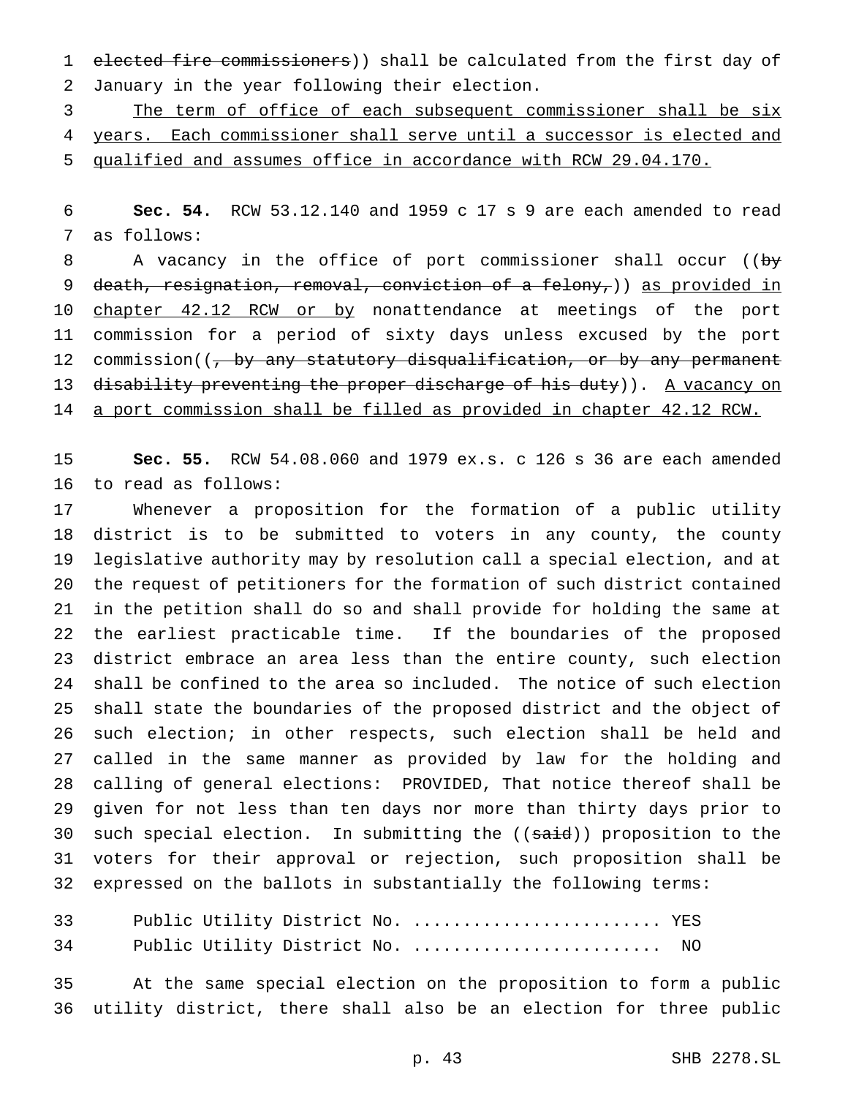elected fire commissioners)) shall be calculated from the first day of January in the year following their election.

 The term of office of each subsequent commissioner shall be six years. Each commissioner shall serve until a successor is elected and qualified and assumes office in accordance with RCW 29.04.170.

 **Sec. 54.** RCW 53.12.140 and 1959 c 17 s 9 are each amended to read as follows:

8 A vacancy in the office of port commissioner shall occur ((by 9 death, resignation, removal, conviction of a felony,)) as provided in 10 chapter 42.12 RCW or by nonattendance at meetings of the port commission for a period of sixty days unless excused by the port 12 commission((, by any statutory disqualification, or by any permanent 13 disability preventing the proper discharge of his duty)). A vacancy on 14 a port commission shall be filled as provided in chapter 42.12 RCW.

 **Sec. 55.** RCW 54.08.060 and 1979 ex.s. c 126 s 36 are each amended to read as follows:

 Whenever a proposition for the formation of a public utility district is to be submitted to voters in any county, the county legislative authority may by resolution call a special election, and at the request of petitioners for the formation of such district contained in the petition shall do so and shall provide for holding the same at the earliest practicable time. If the boundaries of the proposed district embrace an area less than the entire county, such election shall be confined to the area so included. The notice of such election shall state the boundaries of the proposed district and the object of such election; in other respects, such election shall be held and called in the same manner as provided by law for the holding and calling of general elections: PROVIDED, That notice thereof shall be given for not less than ten days nor more than thirty days prior to 30 such special election. In submitting the ((said)) proposition to the voters for their approval or rejection, such proposition shall be expressed on the ballots in substantially the following terms:

| 33 |  | Public Utility District No.  YES |     |
|----|--|----------------------------------|-----|
| 34 |  | Public Utility District No.      | NO. |

 At the same special election on the proposition to form a public utility district, there shall also be an election for three public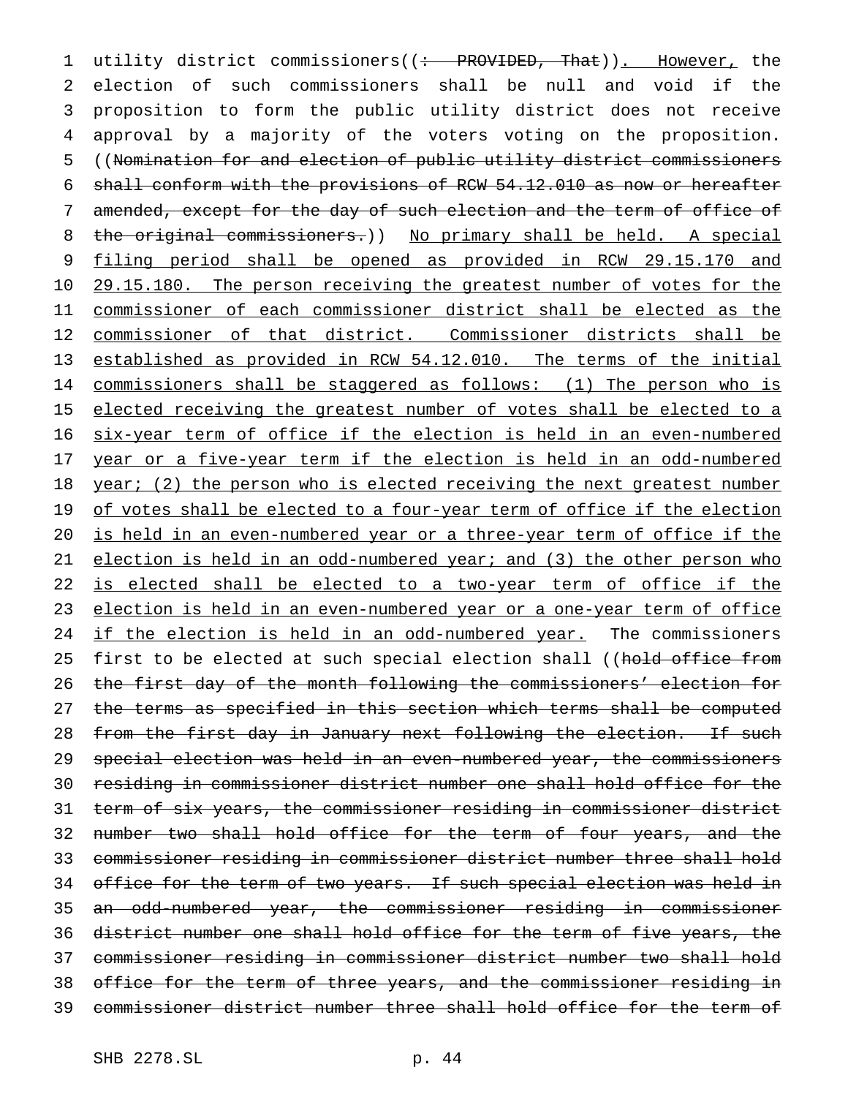1 utility district commissioners((: PROVIDED, That)). However, the election of such commissioners shall be null and void if the proposition to form the public utility district does not receive approval by a majority of the voters voting on the proposition. ((Nomination for and election of public utility district commissioners shall conform with the provisions of RCW 54.12.010 as now or hereafter amended, except for the day of such election and the term of office of the original commissioners.)) No primary shall be held. A special filing period shall be opened as provided in RCW 29.15.170 and 29.15.180. The person receiving the greatest number of votes for the commissioner of each commissioner district shall be elected as the commissioner of that district. Commissioner districts shall be established as provided in RCW 54.12.010. The terms of the initial commissioners shall be staggered as follows: (1) The person who is 15 elected receiving the greatest number of votes shall be elected to a six-year term of office if the election is held in an even-numbered year or a five-year term if the election is held in an odd-numbered 18 year; (2) the person who is elected receiving the next greatest number 19 of votes shall be elected to a four-year term of office if the election is held in an even-numbered year or a three-year term of office if the election is held in an odd-numbered year; and (3) the other person who 22 is elected shall be elected to a two-year term of office if the election is held in an even-numbered year or a one-year term of office 24 if the election is held in an odd-numbered year. The commissioners 25 first to be elected at such special election shall ((hold office from the first day of the month following the commissioners' election for 27 the terms as specified in this section which terms shall be computed 28 from the first day in January next following the election. If such special election was held in an even-numbered year, the commissioners residing in commissioner district number one shall hold office for the term of six years, the commissioner residing in commissioner district number two shall hold office for the term of four years, and the commissioner residing in commissioner district number three shall hold 34 office for the term of two years. If such special election was held in an odd-numbered year, the commissioner residing in commissioner district number one shall hold office for the term of five years, the commissioner residing in commissioner district number two shall hold office for the term of three years, and the commissioner residing in commissioner district number three shall hold office for the term of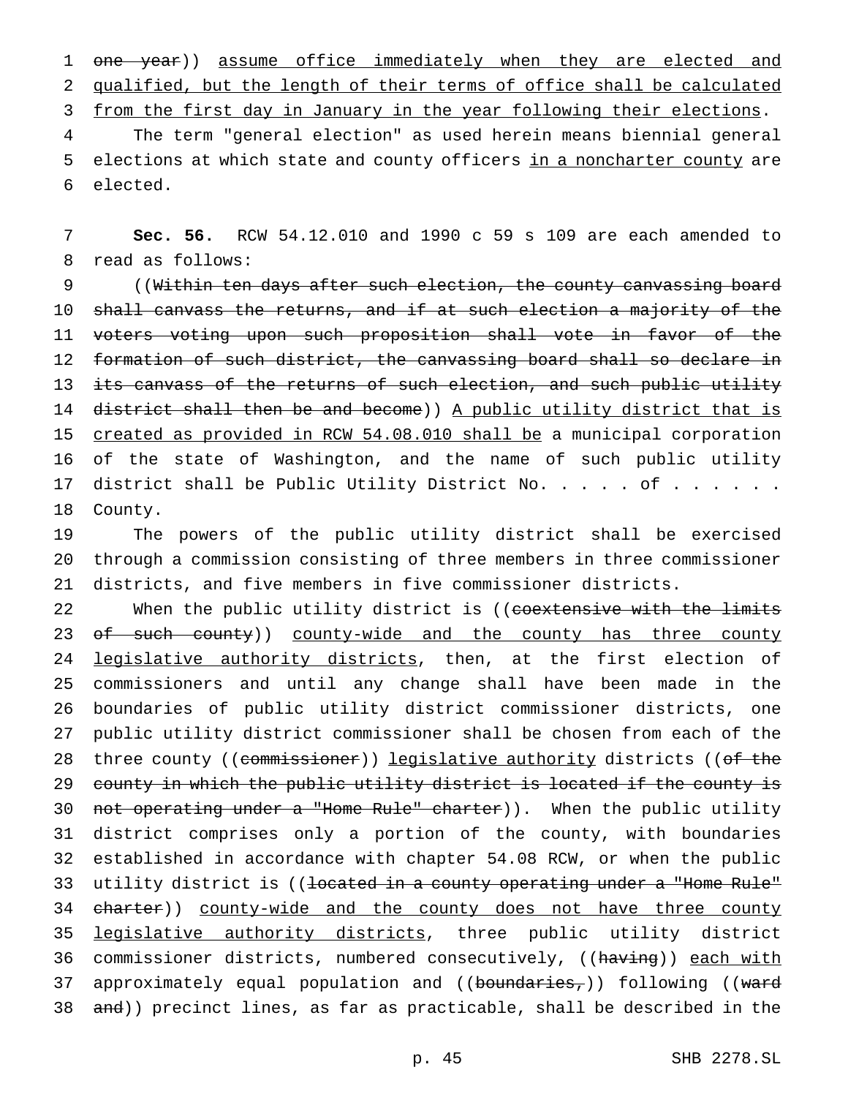1 one year)) assume office immediately when they are elected and 2 qualified, but the length of their terms of office shall be calculated 3 from the first day in January in the year following their elections.

4 The term "general election" as used herein means biennial general 5 elections at which state and county officers in a noncharter county are 6 elected.

7 **Sec. 56.** RCW 54.12.010 and 1990 c 59 s 109 are each amended to 8 read as follows:

9 ((Within ten days after such election, the county canvassing board 10 shall canvass the returns, and if at such election a majority of the 11 voters voting upon such proposition shall vote in favor of the 12 formation of such district, the canvassing board shall so declare in 13 its canvass of the returns of such election, and such public utility 14 district shall then be and become)) A public utility district that is 15 created as provided in RCW 54.08.010 shall be a municipal corporation 16 of the state of Washington, and the name of such public utility 17 district shall be Public Utility District No. . . . of . . . . . . 18 County.

19 The powers of the public utility district shall be exercised 20 through a commission consisting of three members in three commissioner 21 districts, and five members in five commissioner districts.

22 When the public utility district is ((coextensive with the limits 23 of such county)) county-wide and the county has three county 24 legislative authority districts, then, at the first election of 25 commissioners and until any change shall have been made in the 26 boundaries of public utility district commissioner districts, one 27 public utility district commissioner shall be chosen from each of the 28 three county ((commissioner)) legislative authority districts ((of the 29 county in which the public utility district is located if the county is 30 not operating under a "Home Rule" charter)). When the public utility 31 district comprises only a portion of the county, with boundaries 32 established in accordance with chapter 54.08 RCW, or when the public 33 utility district is ((located in a county operating under a "Home Rule" 34 charter)) county-wide and the county does not have three county 35 legislative authority districts, three public utility district 36 commissioner districts, numbered consecutively, ((having)) each with 37 approximately equal population and ((boundaries,)) following ((ward 38 and)) precinct lines, as far as practicable, shall be described in the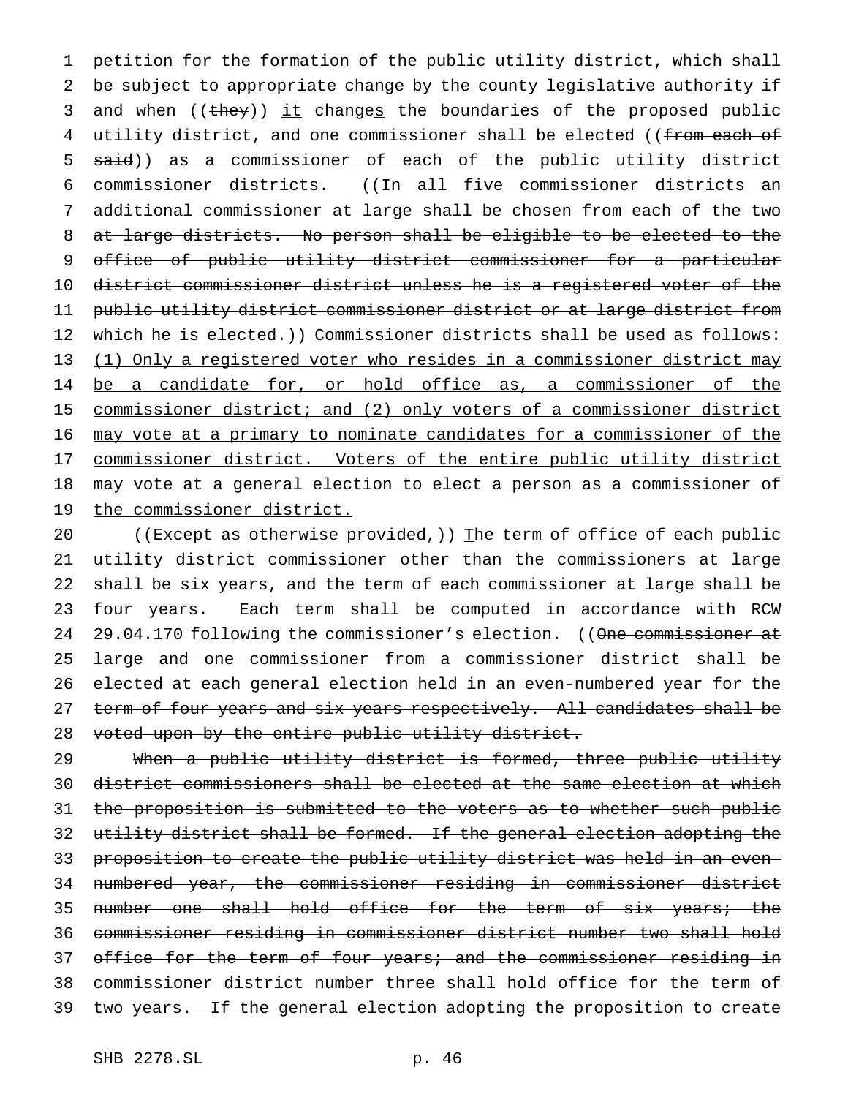petition for the formation of the public utility district, which shall be subject to appropriate change by the county legislative authority if 3 and when ((they)) it changes the boundaries of the proposed public 4 utility district, and one commissioner shall be elected ((from each of 5 said)) as a commissioner of each of the public utility district commissioner districts. ((In all five commissioner districts an additional commissioner at large shall be chosen from each of the two at large districts. No person shall be eligible to be elected to the office of public utility district commissioner for a particular district commissioner district unless he is a registered voter of the public utility district commissioner district or at large district from 12 which he is elected.)) Commissioner districts shall be used as follows: (1) Only a registered voter who resides in a commissioner district may 14 be a candidate for, or hold office as, a commissioner of the commissioner district; and (2) only voters of a commissioner district may vote at a primary to nominate candidates for a commissioner of the 17 commissioner district. Voters of the entire public utility district may vote at a general election to elect a person as a commissioner of 19 the commissioner district.

20 ((Except as otherwise provided,)) The term of office of each public utility district commissioner other than the commissioners at large shall be six years, and the term of each commissioner at large shall be four years. Each term shall be computed in accordance with RCW 24 29.04.170 following the commissioner's election. ((One commissioner at large and one commissioner from a commissioner district shall be elected at each general election held in an even-numbered year for the 27 term of four years and six years respectively. All candidates shall be voted upon by the entire public utility district.

 When a public utility district is formed, three public utility district commissioners shall be elected at the same election at which 31 the proposition is submitted to the voters as to whether such public utility district shall be formed. If the general election adopting the proposition to create the public utility district was held in an even- numbered year, the commissioner residing in commissioner district number one shall hold office for the term of six years; the commissioner residing in commissioner district number two shall hold 37 office for the term of four years; and the commissioner residing in commissioner district number three shall hold office for the term of 39 two years. If the general election adopting the proposition to create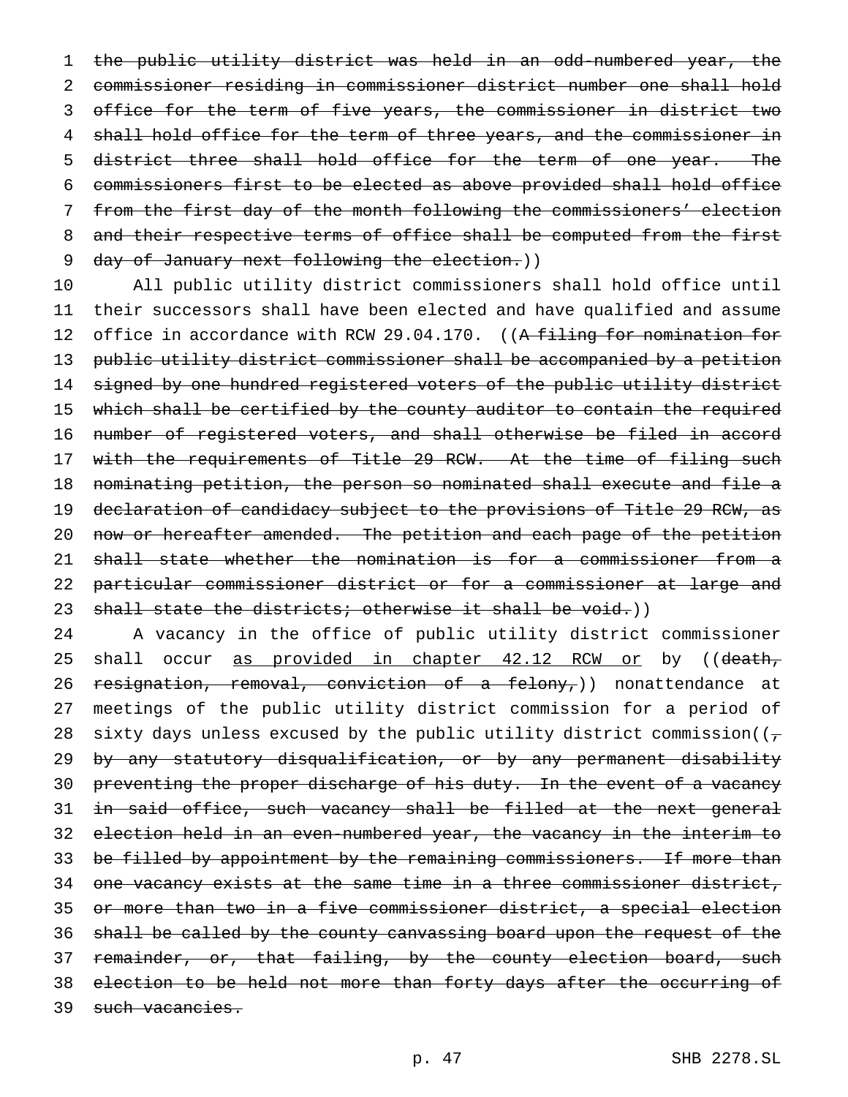the public utility district was held in an odd-numbered year, the commissioner residing in commissioner district number one shall hold office for the term of five years, the commissioner in district two 4 shall hold office for the term of three years, and the commissioner in 5 district three shall hold office for the term of one year. The commissioners first to be elected as above provided shall hold office from the first day of the month following the commissioners' election and their respective terms of office shall be computed from the first 9 day of January next following the election.))

 All public utility district commissioners shall hold office until their successors shall have been elected and have qualified and assume 12 office in accordance with RCW 29.04.170. ((A filing for nomination for public utility district commissioner shall be accompanied by a petition signed by one hundred registered voters of the public utility district 15 which shall be certified by the county auditor to contain the required number of registered voters, and shall otherwise be filed in accord 17 with the requirements of Title 29 RCW. At the time of filing such nominating petition, the person so nominated shall execute and file a declaration of candidacy subject to the provisions of Title 29 RCW, as 20 now or hereafter amended. The petition and each page of the petition shall state whether the nomination is for a commissioner from a particular commissioner district or for a commissioner at large and 23 shall state the districts; otherwise it shall be void.))

 A vacancy in the office of public utility district commissioner 25 shall occur as provided in chapter 42.12 RCW or by ((death, 26 resignation, removal, conviction of a felony,)) nonattendance at meetings of the public utility district commission for a period of 28 sixty days unless excused by the public utility district commission( $(\tau$  by any statutory disqualification, or by any permanent disability 30 preventing the proper discharge of his duty. In the event of a vacancy in said office, such vacancy shall be filled at the next general election held in an even-numbered year, the vacancy in the interim to be filled by appointment by the remaining commissioners. If more than one vacancy exists at the same time in a three commissioner district, or more than two in a five commissioner district, a special election shall be called by the county canvassing board upon the request of the 37 remainder, or, that failing, by the county election board, such election to be held not more than forty days after the occurring of 39 such vacancies.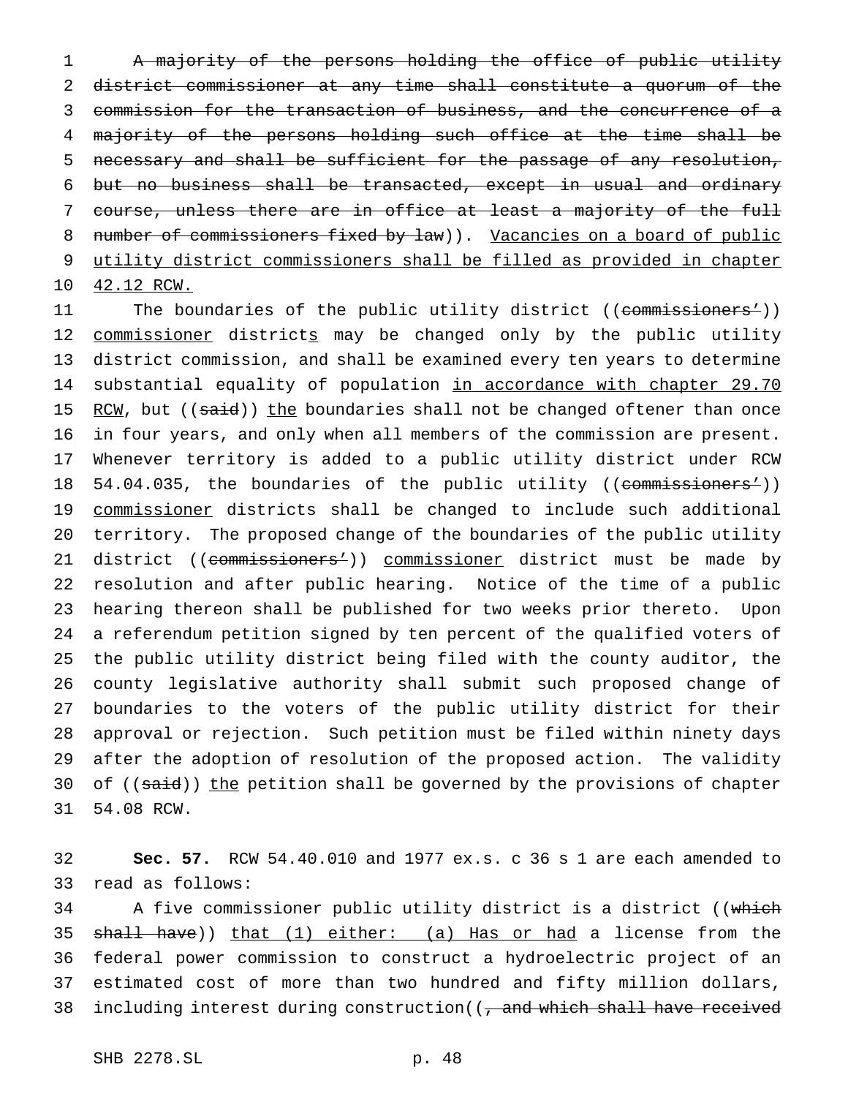A majority of the persons holding the office of public utility district commissioner at any time shall constitute a quorum of the commission for the transaction of business, and the concurrence of a majority of the persons holding such office at the time shall be necessary and shall be sufficient for the passage of any resolution, but no business shall be transacted, except in usual and ordinary course, unless there are in office at least a majority of the full 8 number of commissioners fixed by law)). Vacancies on a board of public utility district commissioners shall be filled as provided in chapter 42.12 RCW.

11 The boundaries of the public utility district ((commissioners<sup>1</sup>)) 12 commissioner districts may be changed only by the public utility district commission, and shall be examined every ten years to determine substantial equality of population in accordance with chapter 29.70 15 RCW, but ((said)) the boundaries shall not be changed oftener than once in four years, and only when all members of the commission are present. Whenever territory is added to a public utility district under RCW 18 54.04.035, the boundaries of the public utility ((commissioners<sup>1</sup>)) 19 commissioner districts shall be changed to include such additional territory. The proposed change of the boundaries of the public utility 21 district ((commissioners<sup>1</sup>)) commissioner district must be made by resolution and after public hearing. Notice of the time of a public hearing thereon shall be published for two weeks prior thereto. Upon a referendum petition signed by ten percent of the qualified voters of the public utility district being filed with the county auditor, the county legislative authority shall submit such proposed change of boundaries to the voters of the public utility district for their approval or rejection. Such petition must be filed within ninety days after the adoption of resolution of the proposed action. The validity 30 of ((said)) the petition shall be governed by the provisions of chapter 54.08 RCW.

 **Sec. 57.** RCW 54.40.010 and 1977 ex.s. c 36 s 1 are each amended to read as follows:

34 A five commissioner public utility district is a district ((which 35 shall have)) that (1) either: (a) Has or had a license from the federal power commission to construct a hydroelectric project of an estimated cost of more than two hundred and fifty million dollars, 38 including interest during construction((, and which shall have received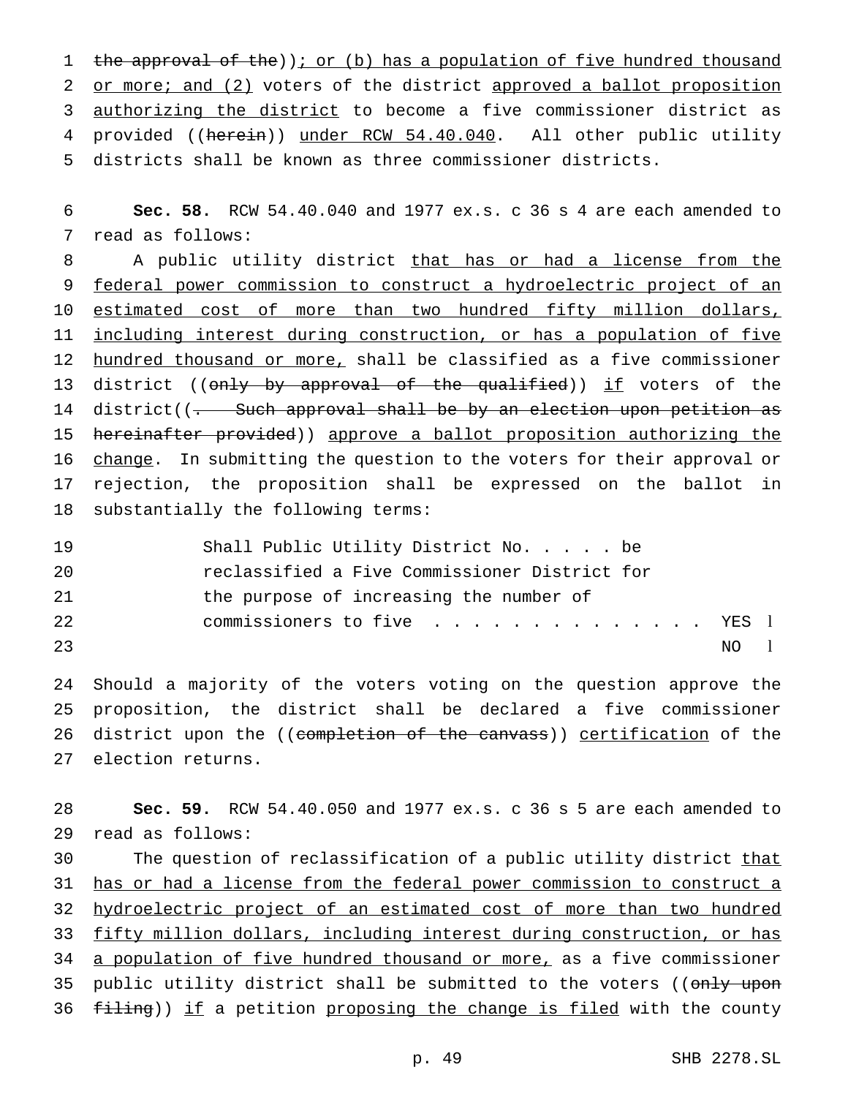1 the approval of the)); or (b) has a population of five hundred thousand 2 or more; and (2) voters of the district approved a ballot proposition 3 authorizing the district to become a five commissioner district as 4 provided ((herein)) under RCW 54.40.040. All other public utility 5 districts shall be known as three commissioner districts.

6 **Sec. 58.** RCW 54.40.040 and 1977 ex.s. c 36 s 4 are each amended to 7 read as follows:

8 A public utility district that has or had a license from the 9 federal power commission to construct a hydroelectric project of an 10 estimated cost of more than two hundred fifty million dollars, 11 including interest during construction, or has a population of five 12 hundred thousand or more, shall be classified as a five commissioner 13 district ((only by approval of the qualified)) if voters of the 14 district((- Such approval shall be by an election upon petition as 15 hereinafter provided)) approve a ballot proposition authorizing the 16 change. In submitting the question to the voters for their approval or 17 rejection, the proposition shall be expressed on the ballot in 18 substantially the following terms:

| 19  | Shall Public Utility District No. be          |
|-----|-----------------------------------------------|
| 20  | reclassified a Five Commissioner District for |
| -21 | the purpose of increasing the number of       |
| 2.2 | commissioners to five YES 1                   |
| 23  | NO L                                          |

 Should a majority of the voters voting on the question approve the proposition, the district shall be declared a five commissioner 26 district upon the ((completion of the canvass)) certification of the election returns.

28 **Sec. 59.** RCW 54.40.050 and 1977 ex.s. c 36 s 5 are each amended to 29 read as follows:

30 The question of reclassification of a public utility district that 31 has or had a license from the federal power commission to construct a 32 hydroelectric project of an estimated cost of more than two hundred 33 fifty million dollars, including interest during construction, or has 34 a population of five hundred thousand or more, as a five commissioner 35 public utility district shall be submitted to the voters ((only upon 36 filing)) if a petition proposing the change is filed with the county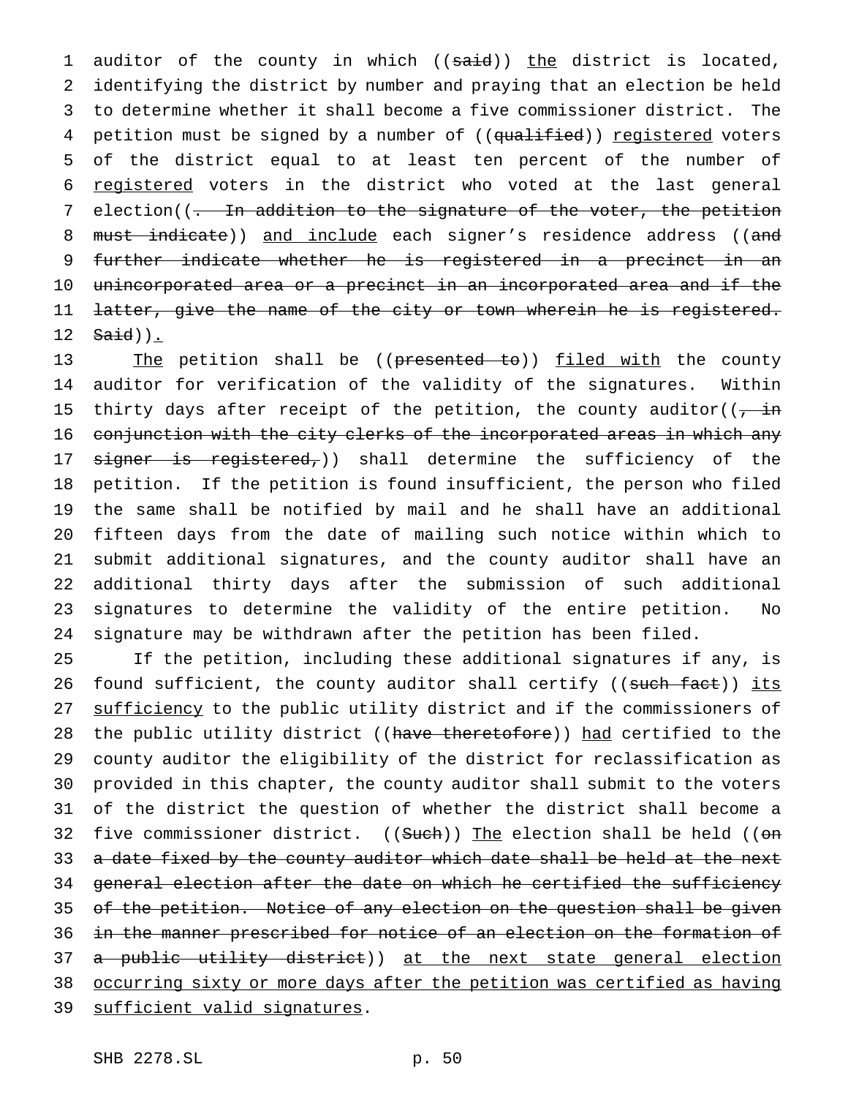1 auditor of the county in which ((said)) the district is located, 2 identifying the district by number and praying that an election be held 3 to determine whether it shall become a five commissioner district. The 4 petition must be signed by a number of ((qualified)) registered voters 5 of the district equal to at least ten percent of the number of 6 registered voters in the district who voted at the last general 7 election((<del>. In addition to the signature of the voter, the petition</del> 8 must indicate)) and include each signer's residence address ((and 9 further indicate whether he is registered in a precinct in an 10 unincorporated area or a precinct in an incorporated area and if the 11 latter, give the name of the city or town wherein he is registered. 12  $Said)$ ).

13 The petition shall be ((presented to)) filed with the county auditor for verification of the validity of the signatures. Within 15 thirty days after receipt of the petition, the county auditor( $\overline{(-\text{in})}$  conjunction with the city clerks of the incorporated areas in which any 17 signer is registered,)) shall determine the sufficiency of the petition. If the petition is found insufficient, the person who filed the same shall be notified by mail and he shall have an additional fifteen days from the date of mailing such notice within which to submit additional signatures, and the county auditor shall have an additional thirty days after the submission of such additional signatures to determine the validity of the entire petition. No signature may be withdrawn after the petition has been filed.

25 If the petition, including these additional signatures if any, is 26 found sufficient, the county auditor shall certify ((such fact)) its 27 sufficiency to the public utility district and if the commissioners of 28 the public utility district ((have theretofore)) had certified to the 29 county auditor the eligibility of the district for reclassification as 30 provided in this chapter, the county auditor shall submit to the voters 31 of the district the question of whether the district shall become a 32 five commissioner district. ((Such)) The election shall be held ((on 33 a date fixed by the county auditor which date shall be held at the next 34 general election after the date on which he certified the sufficiency 35 of the petition. Notice of any election on the question shall be given 36 in the manner prescribed for notice of an election on the formation of 37 a public utility district)) at the next state general election 38 occurring sixty or more days after the petition was certified as having 39 sufficient valid signatures.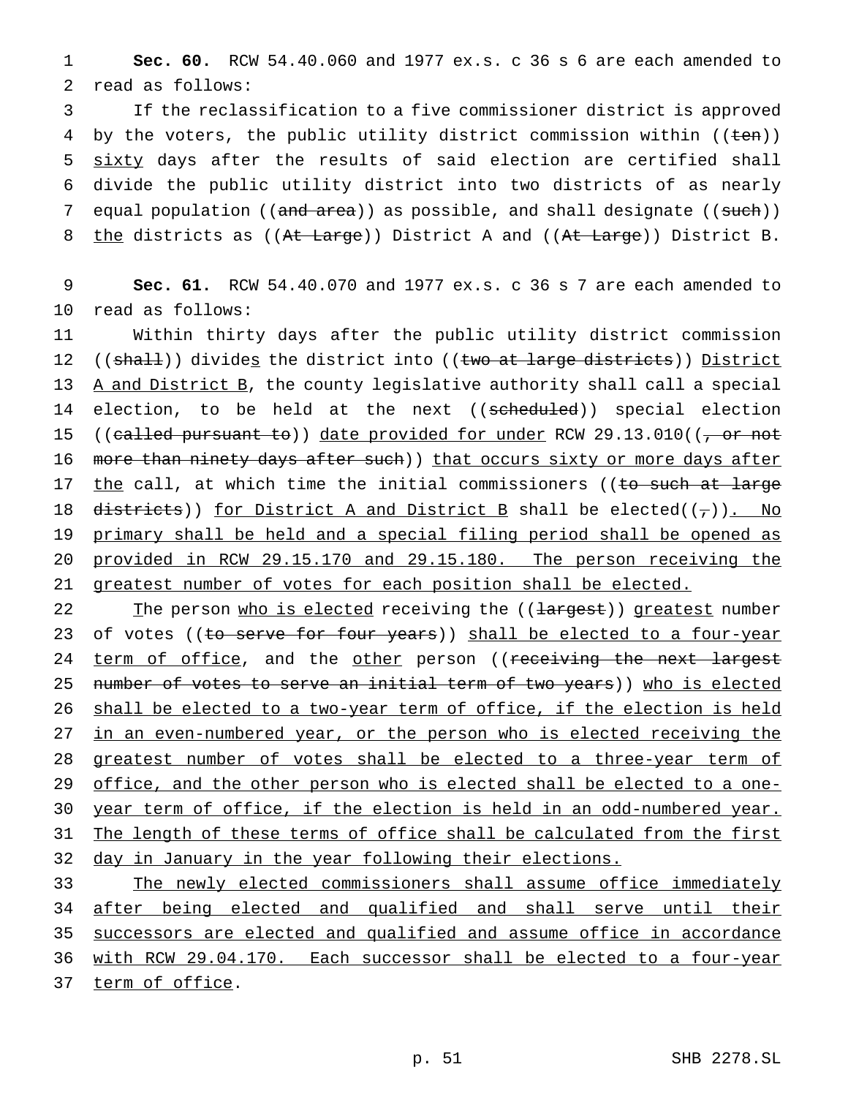1 **Sec. 60.** RCW 54.40.060 and 1977 ex.s. c 36 s 6 are each amended to 2 read as follows:

3 If the reclassification to a five commissioner district is approved 4 by the voters, the public utility district commission within ((ten)) 5 sixty days after the results of said election are certified shall 6 divide the public utility district into two districts of as nearly 7 equal population ((and area)) as possible, and shall designate ((such)) 8 the districts as ((At Large)) District A and ((At Large)) District B.

9 **Sec. 61.** RCW 54.40.070 and 1977 ex.s. c 36 s 7 are each amended to 10 read as follows:

11 Within thirty days after the public utility district commission 12  $((shall))$  divides the district into  $((two at large distinct))$  District 13 A and District B, the county legislative authority shall call a special 14 election, to be held at the next ((scheduled)) special election 15 ((called pursuant to)) date provided for under RCW 29.13.010(( $\frac{\pi}{2}$  or not 16 more than ninety days after such)) that occurs sixty or more days after 17 the call, at which time the initial commissioners ((to such at large 18 districts)) for District A and District B shall be elected( $(\tau)$ ). No 19 primary shall be held and a special filing period shall be opened as 20 provided in RCW 29.15.170 and 29.15.180. The person receiving the 21 greatest number of votes for each position shall be elected.

22 The person who is elected receiving the ((largest)) greatest number 23 of votes ((to serve for four years)) shall be elected to a four-year 24 term of office, and the other person ((receiving the next largest 25 number of votes to serve an initial term of two years)) who is elected 26 shall be elected to a two-year term of office, if the election is held 27 in an even-numbered year, or the person who is elected receiving the 28 greatest number of votes shall be elected to a three-year term of 29 office, and the other person who is elected shall be elected to a one-30 year term of office, if the election is held in an odd-numbered year. 31 The length of these terms of office shall be calculated from the first 32 day in January in the year following their elections.

33 The newly elected commissioners shall assume office immediately 34 after being elected and qualified and shall serve until their 35 successors are elected and qualified and assume office in accordance 36 with RCW 29.04.170. Each successor shall be elected to a four-year 37 term of office.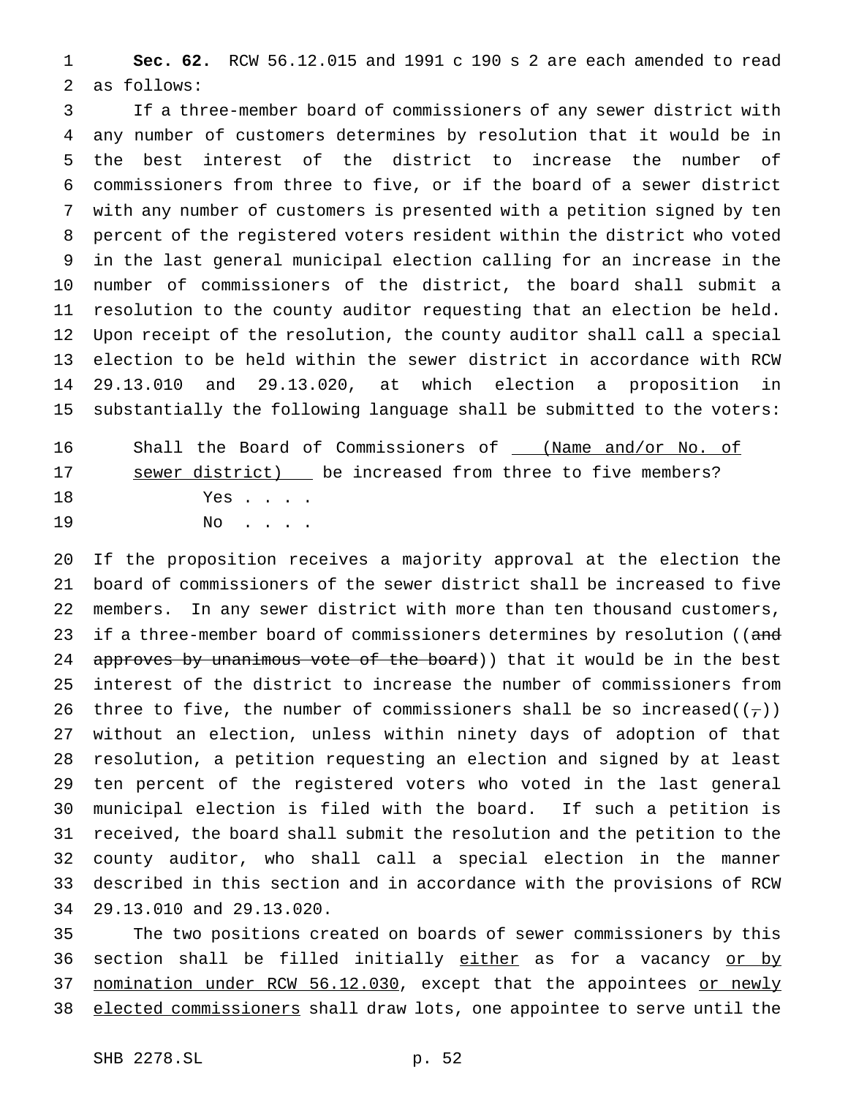**Sec. 62.** RCW 56.12.015 and 1991 c 190 s 2 are each amended to read as follows:

 If a three-member board of commissioners of any sewer district with any number of customers determines by resolution that it would be in the best interest of the district to increase the number of commissioners from three to five, or if the board of a sewer district with any number of customers is presented with a petition signed by ten percent of the registered voters resident within the district who voted in the last general municipal election calling for an increase in the number of commissioners of the district, the board shall submit a resolution to the county auditor requesting that an election be held. Upon receipt of the resolution, the county auditor shall call a special election to be held within the sewer district in accordance with RCW 29.13.010 and 29.13.020, at which election a proposition in substantially the following language shall be submitted to the voters:

16 Shall the Board of Commissioners of \_\_\_ (Name and/or No. of 17 sewer district) be increased from three to five members? Yes . . . .

No . . . .

 If the proposition receives a majority approval at the election the board of commissioners of the sewer district shall be increased to five members. In any sewer district with more than ten thousand customers, 23 if a three-member board of commissioners determines by resolution ((and 24 approves by unanimous vote of the board)) that it would be in the best interest of the district to increase the number of commissioners from 26 three to five, the number of commissioners shall be so increased( $(\tau)$ ) without an election, unless within ninety days of adoption of that resolution, a petition requesting an election and signed by at least ten percent of the registered voters who voted in the last general municipal election is filed with the board. If such a petition is received, the board shall submit the resolution and the petition to the county auditor, who shall call a special election in the manner described in this section and in accordance with the provisions of RCW 29.13.010 and 29.13.020.

 The two positions created on boards of sewer commissioners by this 36 section shall be filled initially either as for a vacancy or by 37 nomination under RCW 56.12.030, except that the appointees or newly elected commissioners shall draw lots, one appointee to serve until the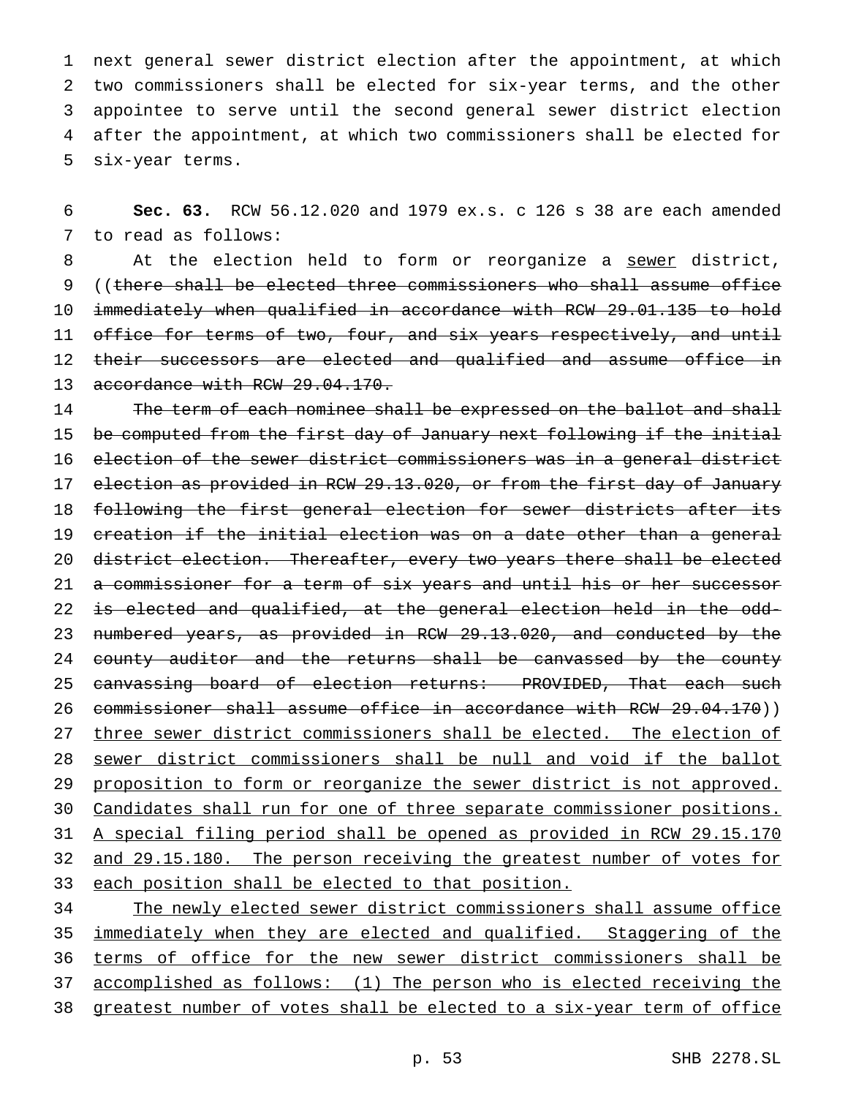next general sewer district election after the appointment, at which two commissioners shall be elected for six-year terms, and the other appointee to serve until the second general sewer district election after the appointment, at which two commissioners shall be elected for six-year terms.

6 **Sec. 63.** RCW 56.12.020 and 1979 ex.s. c 126 s 38 are each amended 7 to read as follows:

8 At the election held to form or reorganize a sewer district, 9 ((there shall be elected three commissioners who shall assume office 10 immediately when qualified in accordance with RCW 29.01.135 to hold 11 office for terms of two, four, and six years respectively, and until 12 their successors are elected and qualified and assume office in 13 accordance with RCW 29.04.170.

14 The term of each nominee shall be expressed on the ballot and shall 15 be computed from the first day of January next following if the initial 16 election of the sewer district commissioners was in a general district 17 election as provided in RCW 29.13.020, or from the first day of January 18 following the first general election for sewer districts after its 19 creation if the initial election was on a date other than a general 20 district election. Thereafter, every two years there shall be elected 21 a commissioner for a term of six years and until his or her successor 22 is elected and qualified, at the general election held in the odd-23 numbered years, as provided in RCW 29.13.020, and conducted by the 24 county auditor and the returns shall be canvassed by the county 25 canvassing board of election returns: PROVIDED, That each such 26 commissioner shall assume office in accordance with RCW 29.04.170)) 27 three sewer district commissioners shall be elected. The election of 28 sewer district commissioners shall be null and void if the ballot 29 proposition to form or reorganize the sewer district is not approved. 30 Candidates shall run for one of three separate commissioner positions. 31 A special filing period shall be opened as provided in RCW 29.15.170 32 and 29.15.180. The person receiving the greatest number of votes for 33 each position shall be elected to that position.

 The newly elected sewer district commissioners shall assume office 35 immediately when they are elected and qualified. Staggering of the terms of office for the new sewer district commissioners shall be accomplished as follows: (1) The person who is elected receiving the greatest number of votes shall be elected to a six-year term of office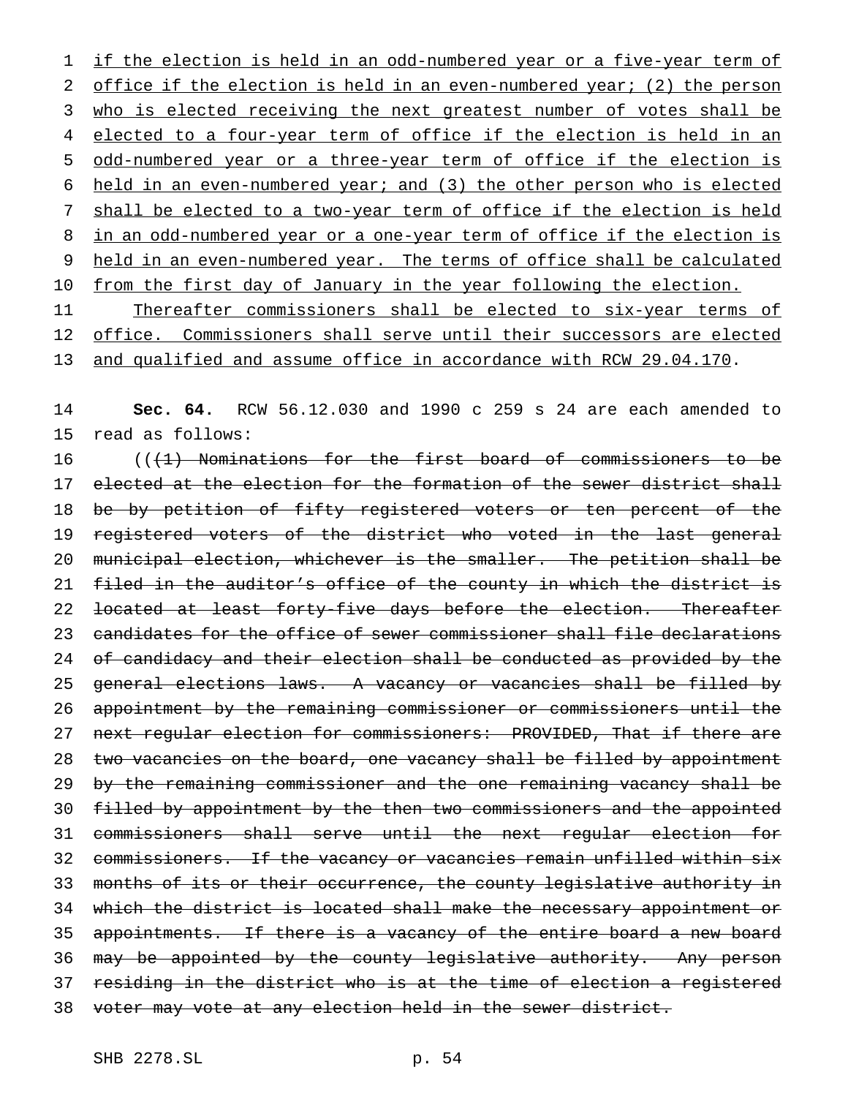1 if the election is held in an odd-numbered year or a five-year term of 2 office if the election is held in an even-numbered year; (2) the person 3 who is elected receiving the next greatest number of votes shall be 4 elected to a four-year term of office if the election is held in an 5 odd-numbered year or a three-year term of office if the election is 6 held in an even-numbered year; and (3) the other person who is elected 7 shall be elected to a two-year term of office if the election is held 8 in an odd-numbered year or a one-year term of office if the election is 9 held in an even-numbered year. The terms of office shall be calculated 10 from the first day of January in the year following the election.

11 Thereafter commissioners shall be elected to six-year terms of 12 office. Commissioners shall serve until their successors are elected 13 and qualified and assume office in accordance with RCW 29.04.170.

14 **Sec. 64.** RCW 56.12.030 and 1990 c 259 s 24 are each amended to 15 read as follows:

16 (((1) Nominations for the first board of commissioners to be 17 elected at the election for the formation of the sewer district shall 18 be by petition of fifty registered voters or ten percent of the 19 registered voters of the district who voted in the last general 20 municipal election, whichever is the smaller. The petition shall be 21 filed in the auditor's office of the county in which the district is 22 <del>located at least forty-five days before the election. Thereafter</del> 23 candidates for the office of sewer commissioner shall file declarations 24 of candidacy and their election shall be conducted as provided by the 25 general elections laws. A vacancy or vacancies shall be filled by 26 appointment by the remaining commissioner or commissioners until the 27 next regular election for commissioners: PROVIDED, That if there are 28 two vacancies on the board, one vacancy shall be filled by appointment 29 by the remaining commissioner and the one remaining vacancy shall be 30 filled by appointment by the then two commissioners and the appointed 31 commissioners shall serve until the next regular election for 32 commissioners. If the vacancy or vacancies remain unfilled within six 33 months of its or their occurrence, the county legislative authority in 34 which the district is located shall make the necessary appointment or 35 appointments. If there is a vacancy of the entire board a new board 36 may be appointed by the county legislative authority. Any person 37 residing in the district who is at the time of election a registered 38 voter may vote at any election held in the sewer district.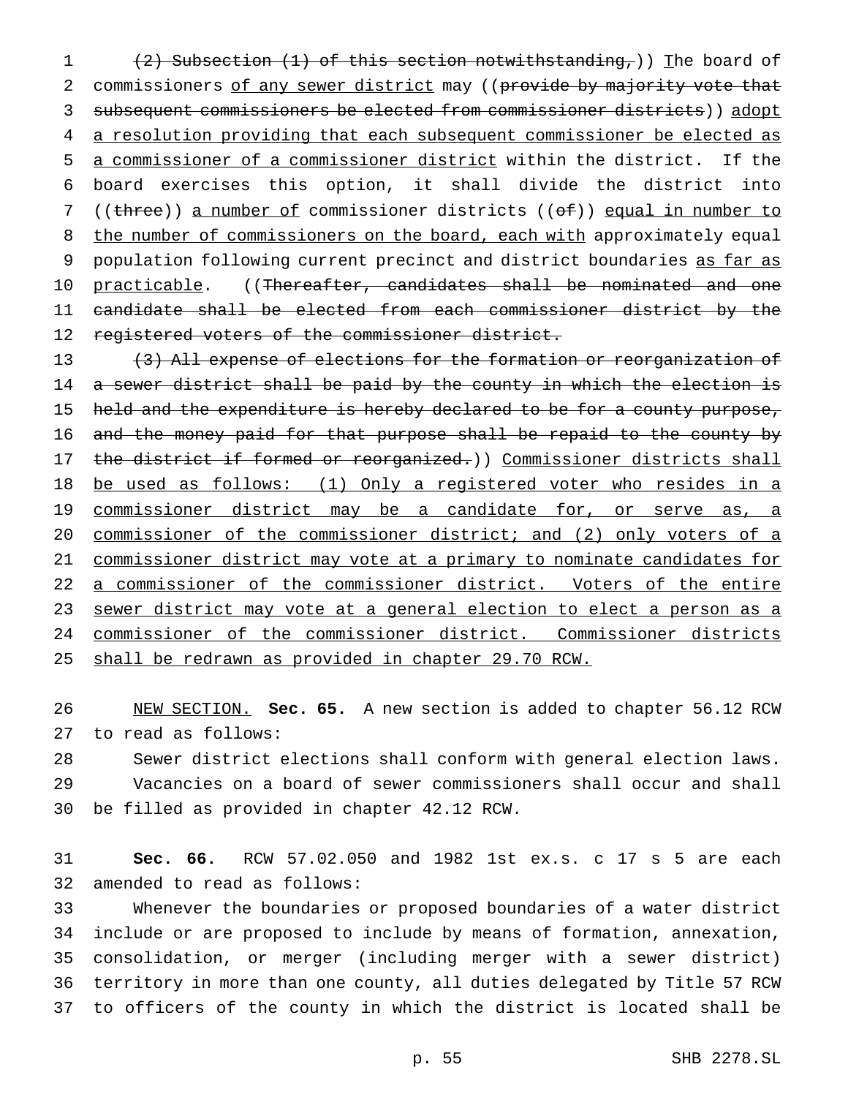(2) Subsection (1) of this section notwithstanding,)) The board of 2 commissioners of any sewer district may ((provide by majority vote that subsequent commissioners be elected from commissioner districts)) adopt a resolution providing that each subsequent commissioner be elected as a commissioner of a commissioner district within the district. If the board exercises this option, it shall divide the district into 7 ((three)) a number of commissioner districts ((of)) equal in number to 8 the number of commissioners on the board, each with approximately equal 9 population following current precinct and district boundaries as far as 10 practicable. ((Thereafter, candidates shall be nominated and one candidate shall be elected from each commissioner district by the 12 registered voters of the commissioner district.

13 (3) All expense of elections for the formation or reorganization of 14 a sewer district shall be paid by the county in which the election is 15 held and the expenditure is hereby declared to be for a county purpose, 16 and the money paid for that purpose shall be repaid to the county by 17 the district if formed or reorganized.)) Commissioner districts shall be used as follows: (1) Only a registered voter who resides in a 19 commissioner district may be a candidate for, or serve as, a commissioner of the commissioner district; and (2) only voters of a commissioner district may vote at a primary to nominate candidates for a commissioner of the commissioner district. Voters of the entire sewer district may vote at a general election to elect a person as a commissioner of the commissioner district. Commissioner districts shall be redrawn as provided in chapter 29.70 RCW.

 NEW SECTION. **Sec. 65.** A new section is added to chapter 56.12 RCW to read as follows:

 Sewer district elections shall conform with general election laws. Vacancies on a board of sewer commissioners shall occur and shall be filled as provided in chapter 42.12 RCW.

 **Sec. 66.** RCW 57.02.050 and 1982 1st ex.s. c 17 s 5 are each amended to read as follows:

 Whenever the boundaries or proposed boundaries of a water district include or are proposed to include by means of formation, annexation, consolidation, or merger (including merger with a sewer district) territory in more than one county, all duties delegated by Title 57 RCW to officers of the county in which the district is located shall be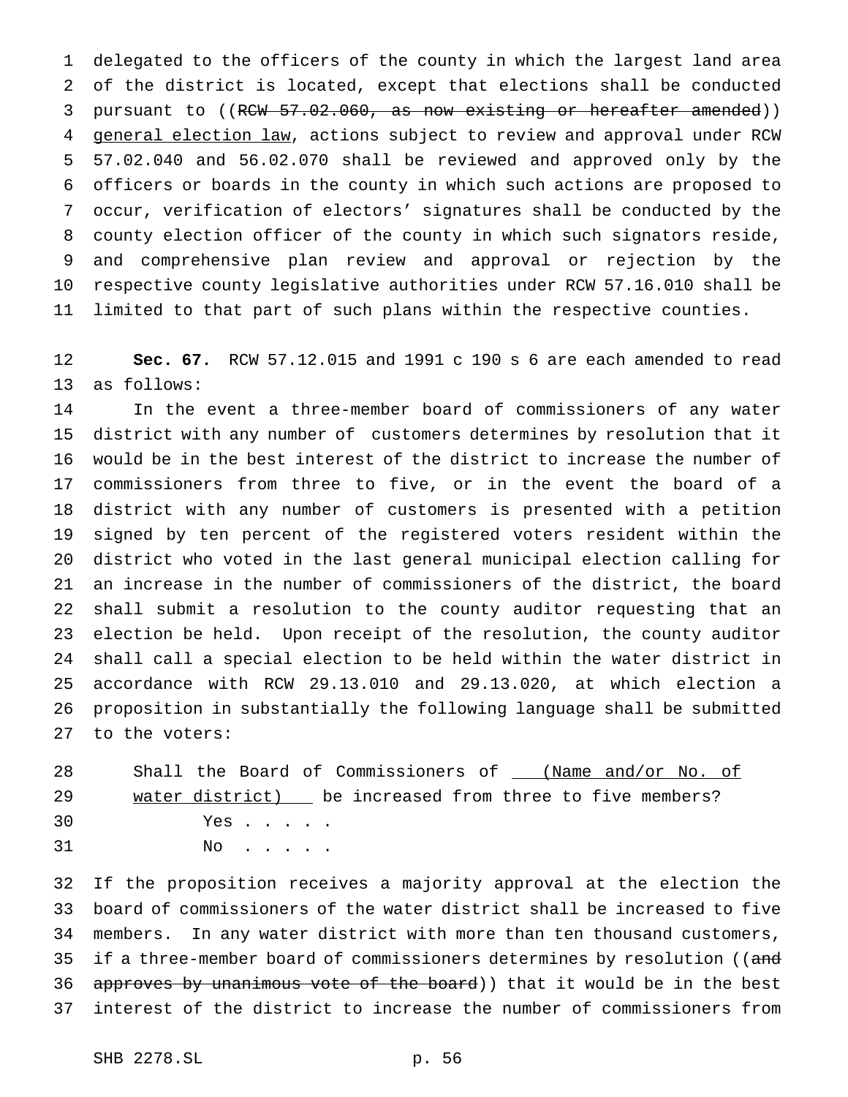delegated to the officers of the county in which the largest land area of the district is located, except that elections shall be conducted 3 pursuant to ((RCW 57.02.060, as now existing or hereafter amended)) 4 general election law, actions subject to review and approval under RCW 57.02.040 and 56.02.070 shall be reviewed and approved only by the officers or boards in the county in which such actions are proposed to occur, verification of electors' signatures shall be conducted by the county election officer of the county in which such signators reside, and comprehensive plan review and approval or rejection by the respective county legislative authorities under RCW 57.16.010 shall be limited to that part of such plans within the respective counties.

 **Sec. 67.** RCW 57.12.015 and 1991 c 190 s 6 are each amended to read as follows:

 In the event a three-member board of commissioners of any water district with any number of customers determines by resolution that it would be in the best interest of the district to increase the number of commissioners from three to five, or in the event the board of a district with any number of customers is presented with a petition signed by ten percent of the registered voters resident within the district who voted in the last general municipal election calling for an increase in the number of commissioners of the district, the board shall submit a resolution to the county auditor requesting that an election be held. Upon receipt of the resolution, the county auditor shall call a special election to be held within the water district in accordance with RCW 29.13.010 and 29.13.020, at which election a proposition in substantially the following language shall be submitted to the voters:

28 Shall the Board of Commissioners of \_\_\_ (Name and/or No. of 29 water district) be increased from three to five members? Yes . . . . . 31 No . . . . .

 If the proposition receives a majority approval at the election the board of commissioners of the water district shall be increased to five members. In any water district with more than ten thousand customers, 35 if a three-member board of commissioners determines by resolution ((and 36 approves by unanimous vote of the board)) that it would be in the best interest of the district to increase the number of commissioners from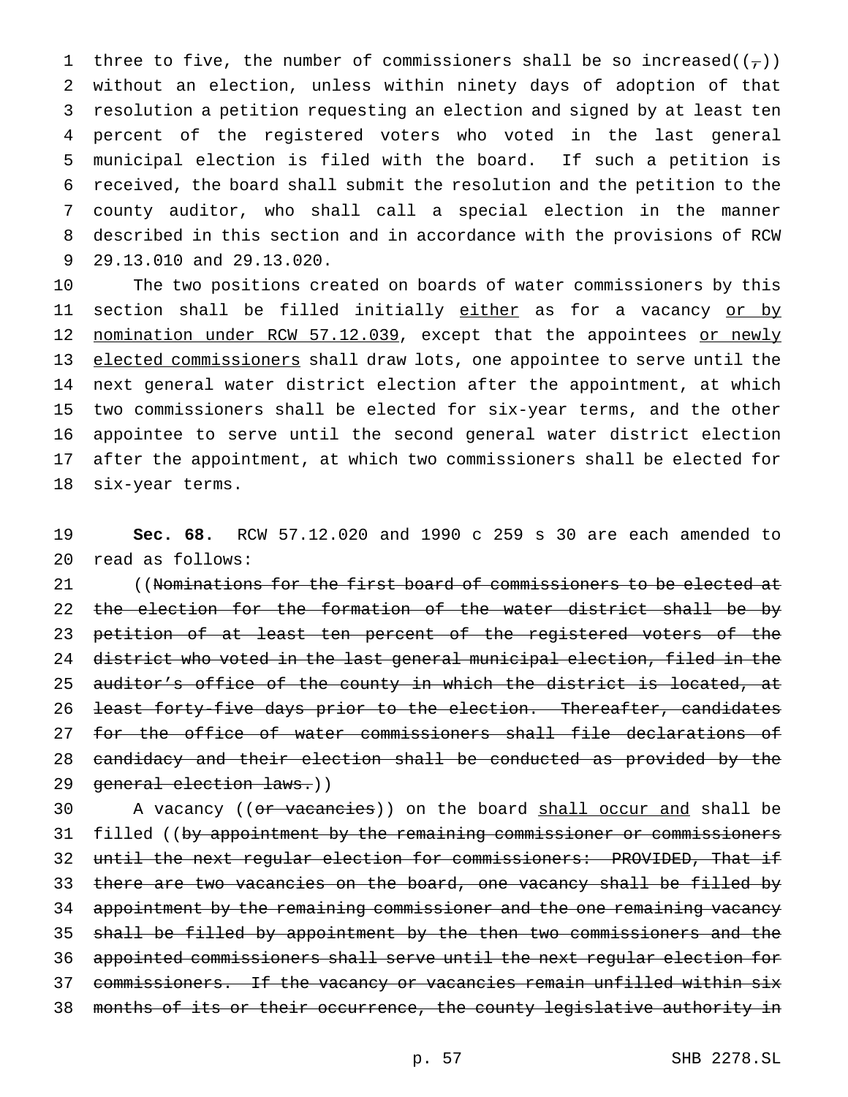1 three to five, the number of commissioners shall be so increased( $(\tau)$ ) without an election, unless within ninety days of adoption of that resolution a petition requesting an election and signed by at least ten percent of the registered voters who voted in the last general municipal election is filed with the board. If such a petition is received, the board shall submit the resolution and the petition to the county auditor, who shall call a special election in the manner described in this section and in accordance with the provisions of RCW 29.13.010 and 29.13.020.

 The two positions created on boards of water commissioners by this 11 section shall be filled initially either as for a vacancy or by 12 nomination under RCW 57.12.039, except that the appointees or newly 13 elected commissioners shall draw lots, one appointee to serve until the next general water district election after the appointment, at which two commissioners shall be elected for six-year terms, and the other appointee to serve until the second general water district election after the appointment, at which two commissioners shall be elected for six-year terms.

 **Sec. 68.** RCW 57.12.020 and 1990 c 259 s 30 are each amended to read as follows:

21 ((Nominations for the first board of commissioners to be elected at 22 the election for the formation of the water district shall be by 23 petition of at least ten percent of the registered voters of the district who voted in the last general municipal election, filed in the 25 auditor's office of the county in which the district is located, at least forty-five days prior to the election. Thereafter, candidates 27 for the office of water commissioners shall file declarations of candidacy and their election shall be conducted as provided by the general election laws.))

30 A vacancy ((or vacancies)) on the board shall occur and shall be 31 filled ((by appointment by the remaining commissioner or commissioners until the next regular election for commissioners: PROVIDED, That if 33 there are two vacancies on the board, one vacancy shall be filled by 34 appointment by the remaining commissioner and the one remaining vacancy shall be filled by appointment by the then two commissioners and the appointed commissioners shall serve until the next regular election for commissioners. If the vacancy or vacancies remain unfilled within six months of its or their occurrence, the county legislative authority in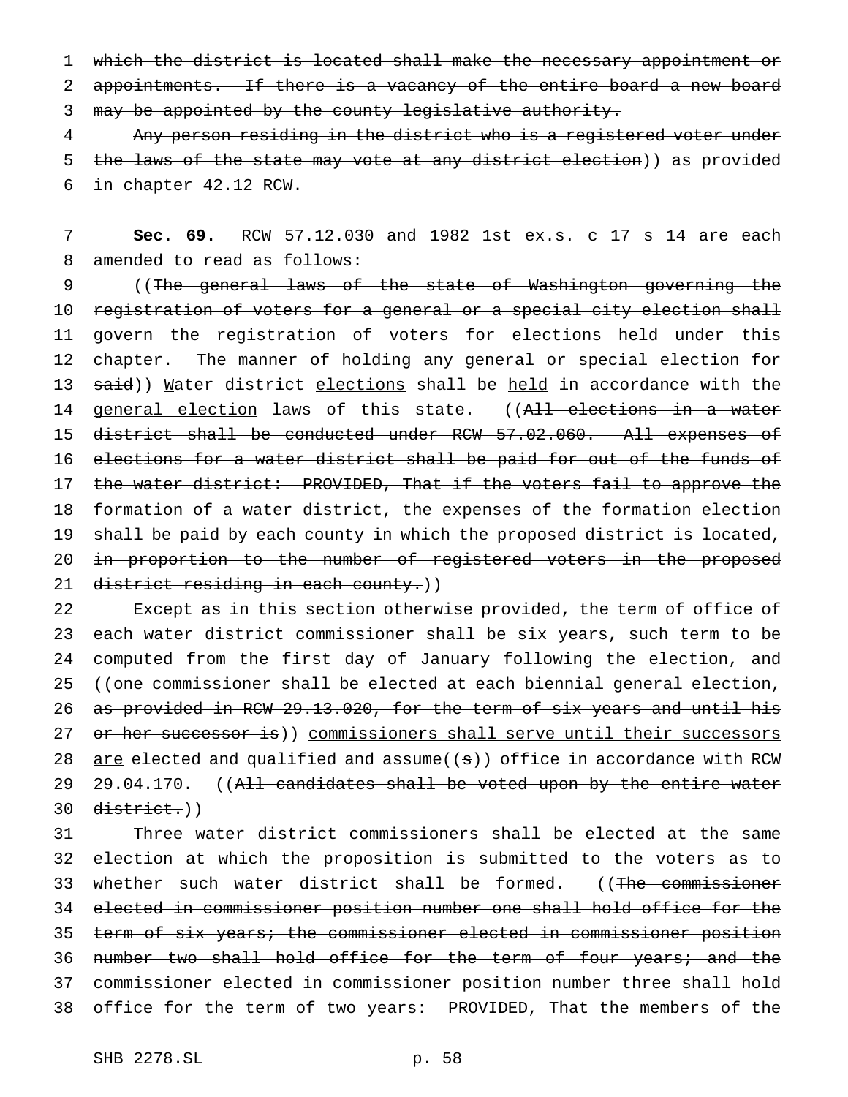1 which the district is located shall make the necessary appointment or 2 appointments. If there is a vacancy of the entire board a new board 3 may be appointed by the county legislative authority.

4 Any person residing in the district who is a registered voter under 5 the laws of the state may vote at any district election)) as provided 6 in chapter 42.12 RCW.

7 **Sec. 69.** RCW 57.12.030 and 1982 1st ex.s. c 17 s 14 are each 8 amended to read as follows:

9 ((The general laws of the state of Washington governing the 10 registration of voters for a general or a special city election shall 11 govern the registration of voters for elections held under this 12 chapter. The manner of holding any general or special election for 13 said)) Mater district elections shall be held in accordance with the 14 general election laws of this state. ((All elections in a water 15 district shall be conducted under RCW 57.02.060. All expenses of 16 elections for a water district shall be paid for out of the funds of 17 the water district: PROVIDED, That if the voters fail to approve the 18 formation of a water district, the expenses of the formation election 19 shall be paid by each county in which the proposed district is located, 20 in proportion to the number of registered voters in the proposed 21 district residing in each county.))

 Except as in this section otherwise provided, the term of office of each water district commissioner shall be six years, such term to be computed from the first day of January following the election, and ((one commissioner shall be elected at each biennial general election, as provided in RCW 29.13.020, for the term of six years and until his 27 or her successor is)) commissioners shall serve until their successors  $\alpha$  are elected and qualified and assume((s)) office in accordance with RCW 29 29.04.170. ((All candidates shall be voted upon by the entire water district.))

 Three water district commissioners shall be elected at the same election at which the proposition is submitted to the voters as to 33 whether such water district shall be formed. ((The commissioner elected in commissioner position number one shall hold office for the term of six years; the commissioner elected in commissioner position 36 number two shall hold office for the term of four years; and the commissioner elected in commissioner position number three shall hold 38 office for the term of two years: PROVIDED, That the members of the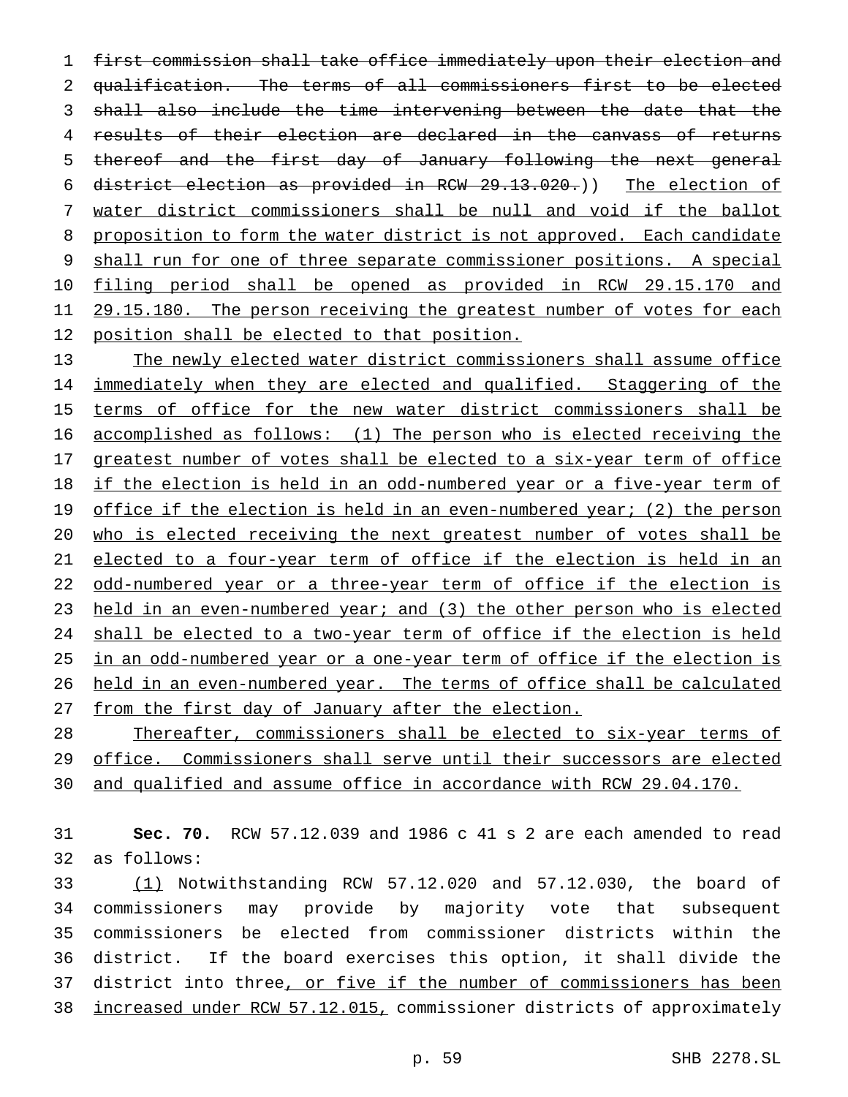first commission shall take office immediately upon their election and qualification. The terms of all commissioners first to be elected shall also include the time intervening between the date that the results of their election are declared in the canvass of returns thereof and the first day of January following the next general district election as provided in RCW 29.13.020.)) The election of water district commissioners shall be null and void if the ballot proposition to form the water district is not approved. Each candidate shall run for one of three separate commissioner positions. A special filing period shall be opened as provided in RCW 29.15.170 and 29.15.180. The person receiving the greatest number of votes for each 12 position shall be elected to that position.

 The newly elected water district commissioners shall assume office 14 immediately when they are elected and qualified. Staggering of the 15 terms of office for the new water district commissioners shall be accomplished as follows: (1) The person who is elected receiving the 17 greatest number of votes shall be elected to a six-year term of office 18 if the election is held in an odd-numbered year or a five-year term of 19 office if the election is held in an even-numbered year; (2) the person who is elected receiving the next greatest number of votes shall be elected to a four-year term of office if the election is held in an 22 odd-numbered year or a three-year term of office if the election is 23 held in an even-numbered year; and (3) the other person who is elected shall be elected to a two-year term of office if the election is held in an odd-numbered year or a one-year term of office if the election is held in an even-numbered year. The terms of office shall be calculated from the first day of January after the election.

 Thereafter, commissioners shall be elected to six-year terms of office. Commissioners shall serve until their successors are elected and qualified and assume office in accordance with RCW 29.04.170.

 **Sec. 70.** RCW 57.12.039 and 1986 c 41 s 2 are each amended to read as follows: (1) Notwithstanding RCW 57.12.020 and 57.12.030, the board of

 commissioners may provide by majority vote that subsequent commissioners be elected from commissioner districts within the district. If the board exercises this option, it shall divide the 37 district into three, or five if the number of commissioners has been increased under RCW 57.12.015, commissioner districts of approximately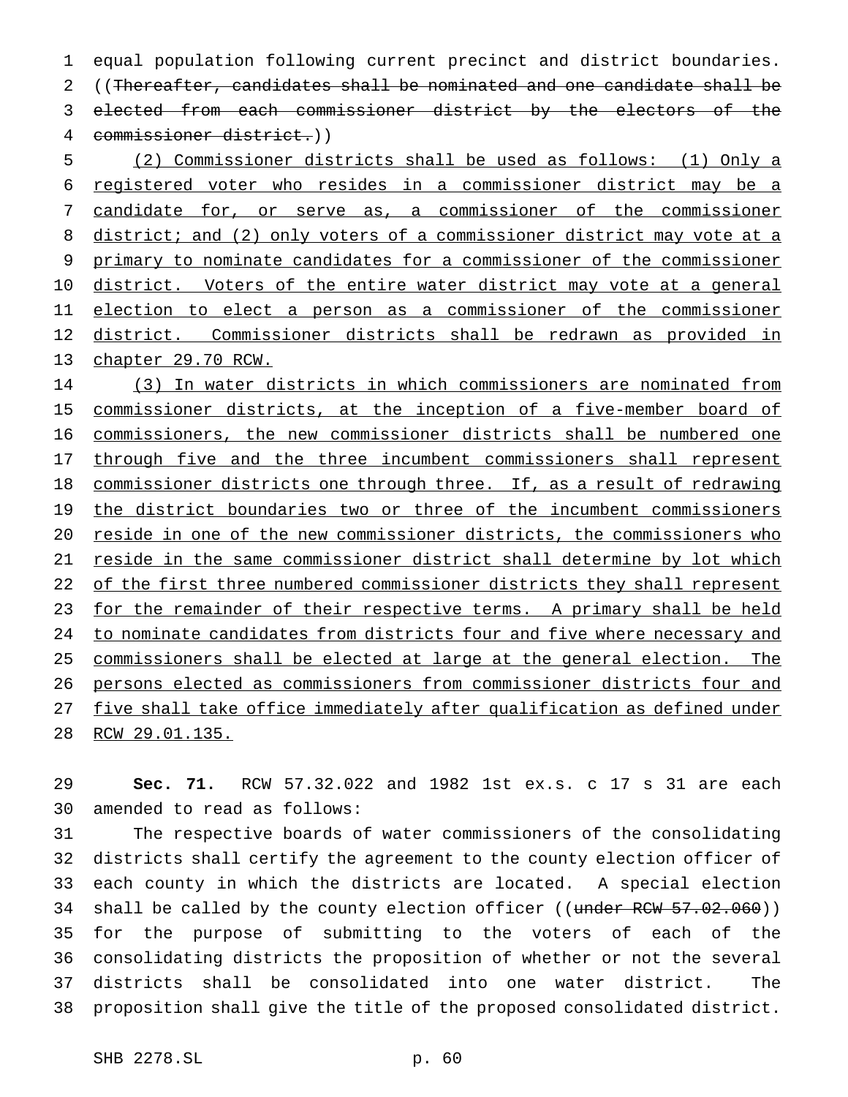equal population following current precinct and district boundaries. ((Thereafter, candidates shall be nominated and one candidate shall be elected from each commissioner district by the electors of the commissioner district.)) (2) Commissioner districts shall be used as follows: (1) Only a

 registered voter who resides in a commissioner district may be a candidate for, or serve as, a commissioner of the commissioner 8 district; and (2) only voters of a commissioner district may vote at a primary to nominate candidates for a commissioner of the commissioner 10 district. Voters of the entire water district may vote at a general election to elect a person as a commissioner of the commissioner district. Commissioner districts shall be redrawn as provided in chapter 29.70 RCW.

 (3) In water districts in which commissioners are nominated from 15 commissioner districts, at the inception of a five-member board of commissioners, the new commissioner districts shall be numbered one 17 through five and the three incumbent commissioners shall represent commissioner districts one through three. If, as a result of redrawing 19 the district boundaries two or three of the incumbent commissioners reside in one of the new commissioner districts, the commissioners who reside in the same commissioner district shall determine by lot which 22 of the first three numbered commissioner districts they shall represent 23 for the remainder of their respective terms. A primary shall be held to nominate candidates from districts four and five where necessary and commissioners shall be elected at large at the general election. The persons elected as commissioners from commissioner districts four and five shall take office immediately after qualification as defined under RCW 29.01.135.

 **Sec. 71.** RCW 57.32.022 and 1982 1st ex.s. c 17 s 31 are each amended to read as follows:

 The respective boards of water commissioners of the consolidating districts shall certify the agreement to the county election officer of each county in which the districts are located. A special election 34 shall be called by the county election officer ((under RCW 57.02.060)) for the purpose of submitting to the voters of each of the consolidating districts the proposition of whether or not the several districts shall be consolidated into one water district. The proposition shall give the title of the proposed consolidated district.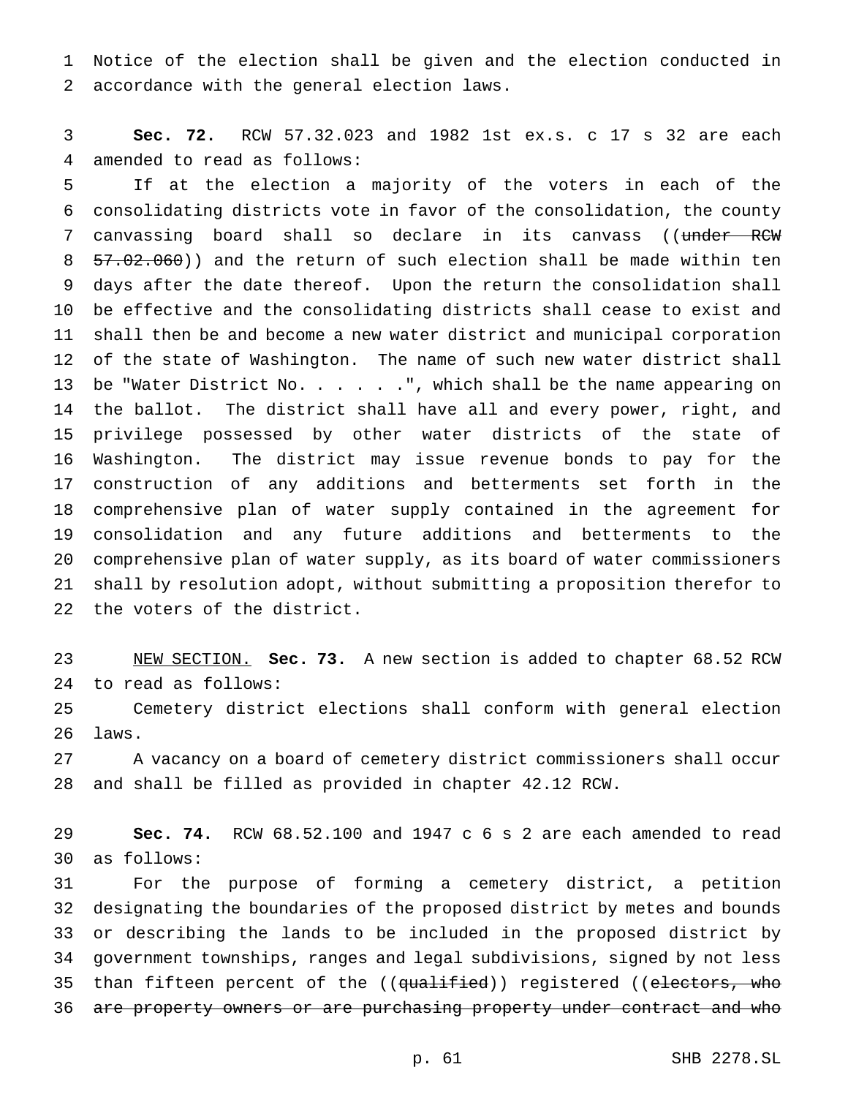Notice of the election shall be given and the election conducted in accordance with the general election laws.

 **Sec. 72.** RCW 57.32.023 and 1982 1st ex.s. c 17 s 32 are each amended to read as follows:

 If at the election a majority of the voters in each of the consolidating districts vote in favor of the consolidation, the county 7 canvassing board shall so declare in its canvass ((under RCW 57.02.060)) and the return of such election shall be made within ten days after the date thereof. Upon the return the consolidation shall be effective and the consolidating districts shall cease to exist and shall then be and become a new water district and municipal corporation of the state of Washington. The name of such new water district shall 13 be "Water District No. . . . . . ", which shall be the name appearing on the ballot. The district shall have all and every power, right, and privilege possessed by other water districts of the state of Washington. The district may issue revenue bonds to pay for the construction of any additions and betterments set forth in the comprehensive plan of water supply contained in the agreement for consolidation and any future additions and betterments to the comprehensive plan of water supply, as its board of water commissioners shall by resolution adopt, without submitting a proposition therefor to the voters of the district.

 NEW SECTION. **Sec. 73.** A new section is added to chapter 68.52 RCW to read as follows:

 Cemetery district elections shall conform with general election laws.

 A vacancy on a board of cemetery district commissioners shall occur and shall be filled as provided in chapter 42.12 RCW.

 **Sec. 74.** RCW 68.52.100 and 1947 c 6 s 2 are each amended to read as follows:

 For the purpose of forming a cemetery district, a petition designating the boundaries of the proposed district by metes and bounds or describing the lands to be included in the proposed district by government townships, ranges and legal subdivisions, signed by not less 35 than fifteen percent of the ((qualified)) registered ((electors, who 36 are property owners or are purchasing property under contract and who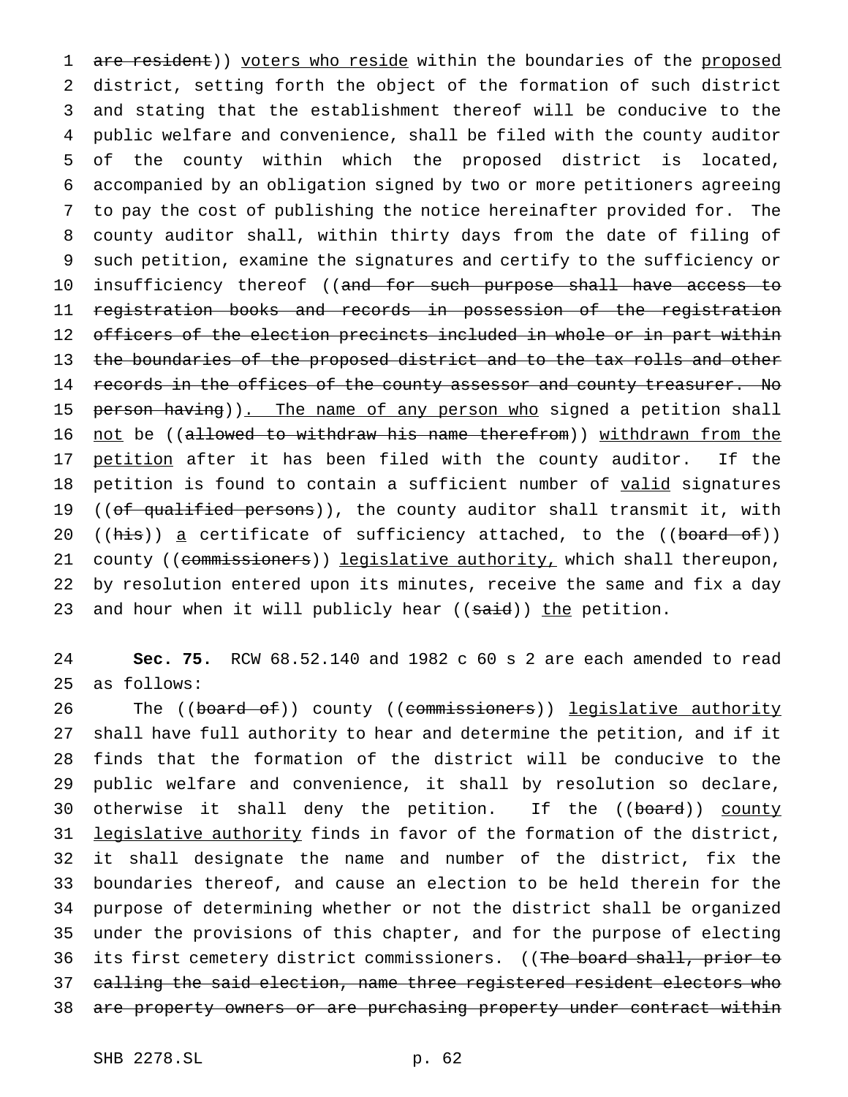1 are resident)) voters who reside within the boundaries of the proposed 2 district, setting forth the object of the formation of such district 3 and stating that the establishment thereof will be conducive to the 4 public welfare and convenience, shall be filed with the county auditor 5 of the county within which the proposed district is located, 6 accompanied by an obligation signed by two or more petitioners agreeing 7 to pay the cost of publishing the notice hereinafter provided for. The 8 county auditor shall, within thirty days from the date of filing of 9 such petition, examine the signatures and certify to the sufficiency or 10 insufficiency thereof ((and for such purpose shall have access to 11 registration books and records in possession of the registration 12 officers of the election precincts included in whole or in part within 13 the boundaries of the proposed district and to the tax rolls and other 14 records in the offices of the county assessor and county treasurer. No 15 person having)). The name of any person who signed a petition shall 16 not be ((allowed to withdraw his name therefrom)) withdrawn from the 17 petition after it has been filed with the county auditor. If the 18 petition is found to contain a sufficient number of valid signatures 19 ((of qualified persons)), the county auditor shall transmit it, with 20 ((his)) a certificate of sufficiency attached, to the ((board of)) 21 county ((commissioners)) legislative authority, which shall thereupon, 22 by resolution entered upon its minutes, receive the same and fix a day 23 and hour when it will publicly hear ((said)) the petition.

24 **Sec. 75.** RCW 68.52.140 and 1982 c 60 s 2 are each amended to read 25 as follows:

26 The ((board of)) county ((commissioners)) legislative authority shall have full authority to hear and determine the petition, and if it finds that the formation of the district will be conducive to the public welfare and convenience, it shall by resolution so declare, 30 otherwise it shall deny the petition. If the ((board)) county 31 legislative authority finds in favor of the formation of the district, it shall designate the name and number of the district, fix the boundaries thereof, and cause an election to be held therein for the purpose of determining whether or not the district shall be organized under the provisions of this chapter, and for the purpose of electing 36 its first cemetery district commissioners. ((The board shall, prior to calling the said election, name three registered resident electors who 38 are property owners or are purchasing property under contract within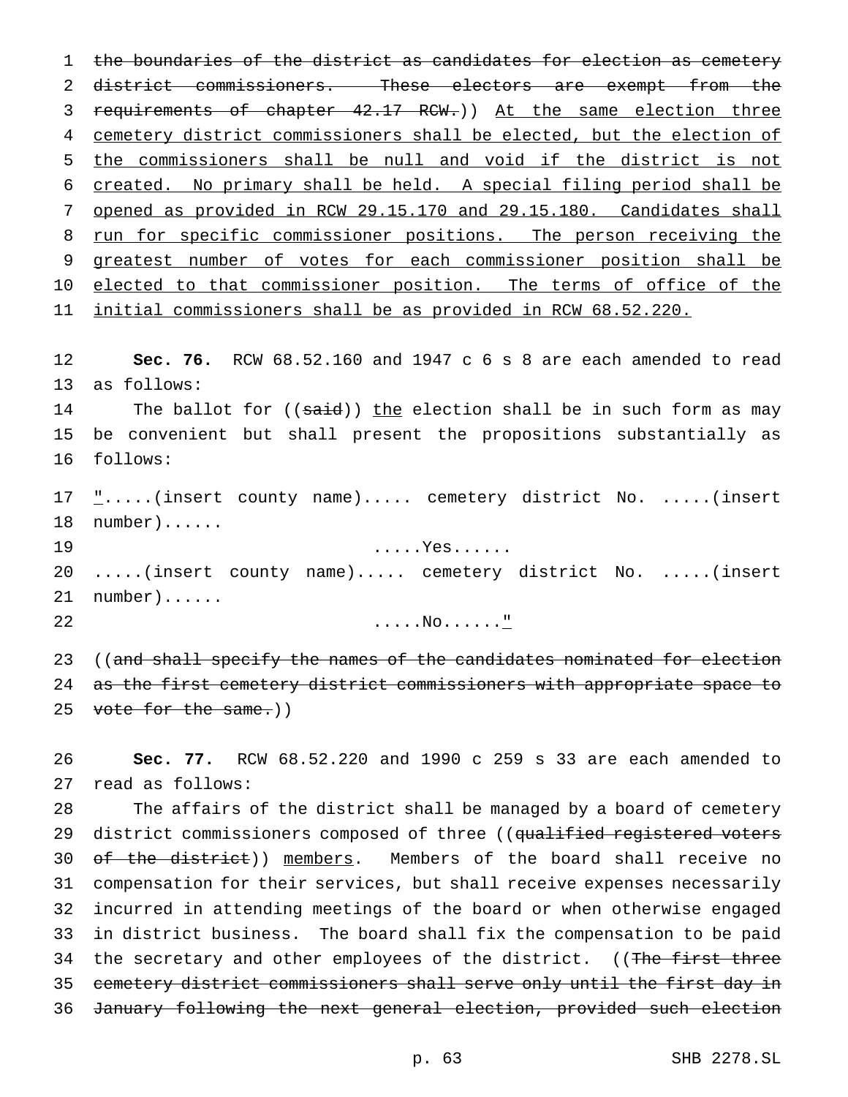the boundaries of the district as candidates for election as cemetery district commissioners. These electors are exempt from the requirements of chapter 42.17 RCW.)) At the same election three cemetery district commissioners shall be elected, but the election of the commissioners shall be null and void if the district is not created. No primary shall be held. A special filing period shall be opened as provided in RCW 29.15.170 and 29.15.180. Candidates shall 8 run for specific commissioner positions. The person receiving the greatest number of votes for each commissioner position shall be 10 elected to that commissioner position. The terms of office of the initial commissioners shall be as provided in RCW 68.52.220.

 **Sec. 76.** RCW 68.52.160 and 1947 c 6 s 8 are each amended to read as follows:

14 The ballot for ((said)) the election shall be in such form as may be convenient but shall present the propositions substantially as follows:

17  $\frac{1}{2}$ .....(insert county name)..... cemetery district No. .....(insert number)......

 .....Yes...... .....(insert county name)..... cemetery district No. .....(insert number)......

.....No......"

23 ((and shall specify the names of the candidates nominated for election 24 as the first cemetery district commissioners with appropriate space to 25 vote for the same.))

 **Sec. 77.** RCW 68.52.220 and 1990 c 259 s 33 are each amended to read as follows:

 The affairs of the district shall be managed by a board of cemetery 29 district commissioners composed of three ((qualified registered voters 30 of the district)) members. Members of the board shall receive no compensation for their services, but shall receive expenses necessarily incurred in attending meetings of the board or when otherwise engaged in district business. The board shall fix the compensation to be paid 34 the secretary and other employees of the district. ((The first three cemetery district commissioners shall serve only until the first day in January following the next general election, provided such election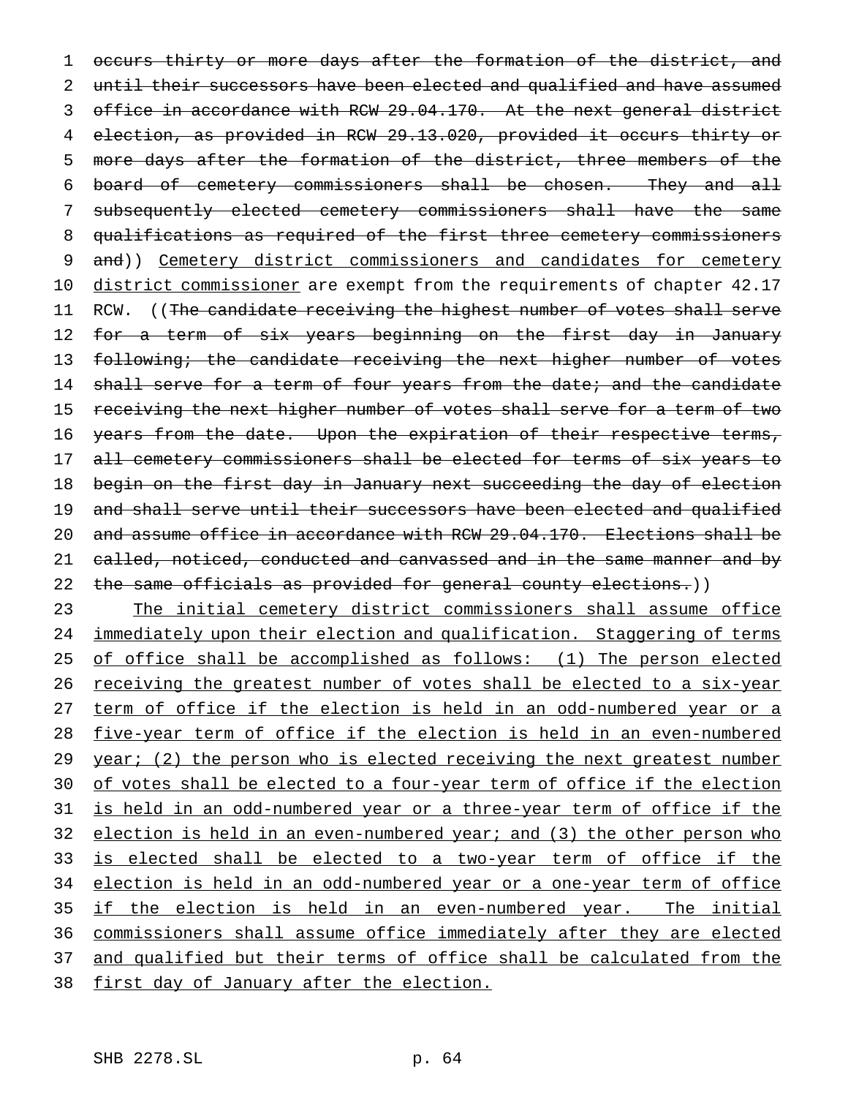1 occurs thirty or more days after the formation of the district, and 2 until their successors have been elected and qualified and have assumed 3 office in accordance with RCW 29.04.170. At the next general district 4 election, as provided in RCW 29.13.020, provided it occurs thirty or 5 more days after the formation of the district, three members of the 6 board of cemetery commissioners shall be chosen. They and all 7 subsequently elected cemetery commissioners shall have the same 8 qualifications as required of the first three cemetery commissioners 9 and)) Cemetery district commissioners and candidates for cemetery 10 district commissioner are exempt from the requirements of chapter 42.17 11 RCW. ((The candidate receiving the highest number of votes shall serve 12 for a term of six years beginning on the first day in January 13 following; the candidate receiving the next higher number of votes 14 shall serve for a term of four years from the date; and the candidate 15 receiving the next higher number of votes shall serve for a term of two 16 years from the date. Upon the expiration of their respective terms, 17 all cemetery commissioners shall be elected for terms of six years to 18 begin on the first day in January next succeeding the day of election 19 and shall serve until their successors have been elected and qualified 20 and assume office in accordance with RCW 29.04.170. Elections shall be 21 called, noticed, conducted and canvassed and in the same manner and by 22 the same officials as provided for general county elections.))

23 The initial cemetery district commissioners shall assume office 24 immediately upon their election and qualification. Staggering of terms 25 of office shall be accomplished as follows: (1) The person elected 26 receiving the greatest number of votes shall be elected to a six-year 27 term of office if the election is held in an odd-numbered year or a 28 five-year term of office if the election is held in an even-numbered 29 year; (2) the person who is elected receiving the next greatest number 30 of votes shall be elected to a four-year term of office if the election 31 is held in an odd-numbered year or a three-year term of office if the 32 election is held in an even-numbered year; and (3) the other person who 33 is elected shall be elected to a two-year term of office if the 34 election is held in an odd-numbered year or a one-year term of office 35 if the election is held in an even-numbered year. The initial 36 commissioners shall assume office immediately after they are elected 37 and qualified but their terms of office shall be calculated from the 38 first day of January after the election.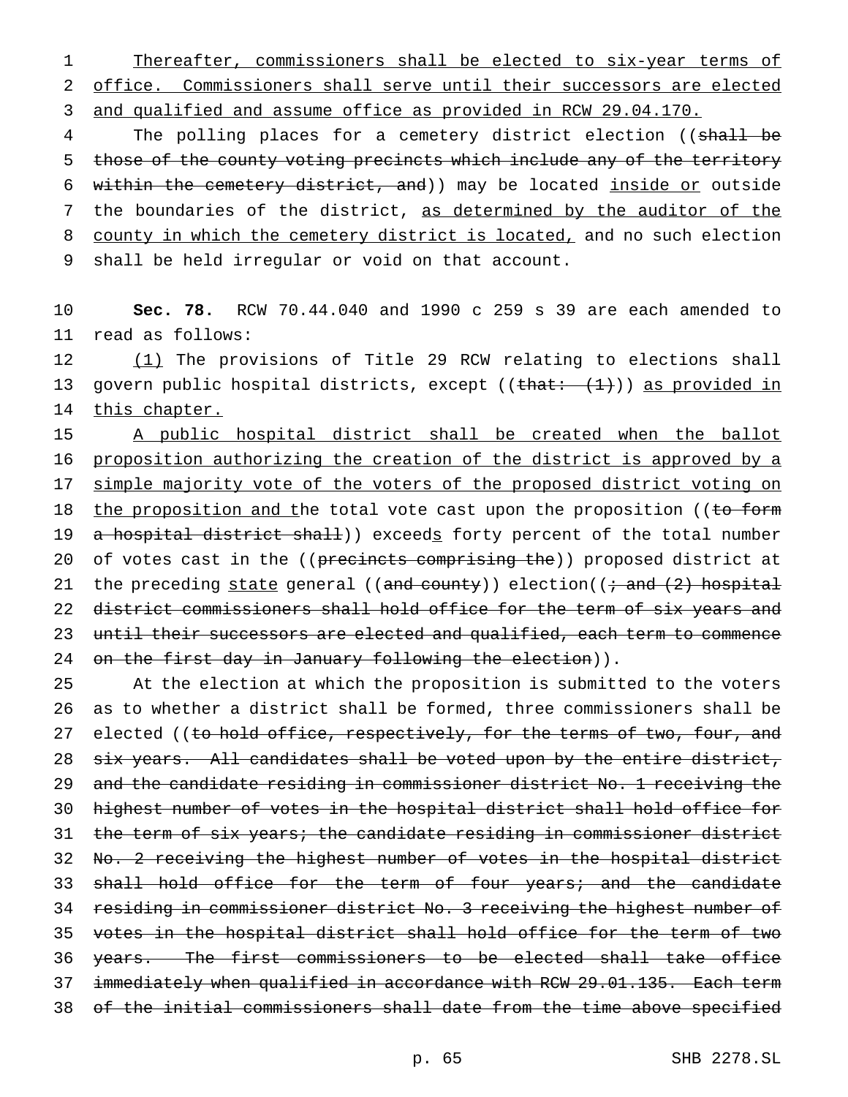1 Thereafter, commissioners shall be elected to six-year terms of 2 office. Commissioners shall serve until their successors are elected 3 and qualified and assume office as provided in RCW 29.04.170.

4 The polling places for a cemetery district election ((shall be 5 those of the county voting precincts which include any of the territory 6 within the cemetery district, and)) may be located inside or outside 7 the boundaries of the district, as determined by the auditor of the 8 county in which the cemetery district is located, and no such election 9 shall be held irregular or void on that account.

10 **Sec. 78.** RCW 70.44.040 and 1990 c 259 s 39 are each amended to 11 read as follows:

12 (1) The provisions of Title 29 RCW relating to elections shall 13 govern public hospital districts, except (( $\theta$ that:  $(1+)$ ) as provided in 14 this chapter.

15 A public hospital district shall be created when the ballot 16 proposition authorizing the creation of the district is approved by a 17 simple majority vote of the voters of the proposed district voting on 18 the proposition and the total vote cast upon the proposition ((to form 19 a hospital district shall)) exceeds forty percent of the total number 20 of votes cast in the ((precincts comprising the)) proposed district at 21 the preceding state general (( $\frac{1}{2}$ ) election(( $\frac{1}{2}$ ) hospital 22 district commissioners shall hold office for the term of six years and 23 until their successors are elected and qualified, each term to commence 24 on the first day in January following the election)).

 At the election at which the proposition is submitted to the voters as to whether a district shall be formed, three commissioners shall be 27 elected ((to hold office, respectively, for the terms of two, four, and 28 six years. All candidates shall be voted upon by the entire district, and the candidate residing in commissioner district No. 1 receiving the highest number of votes in the hospital district shall hold office for the term of six years; the candidate residing in commissioner district 32 No. 2 receiving the highest number of votes in the hospital district 33 shall hold office for the term of four years; and the candidate residing in commissioner district No. 3 receiving the highest number of votes in the hospital district shall hold office for the term of two years. The first commissioners to be elected shall take office 37 immediately when qualified in accordance with RCW 29.01.135. Each term of the initial commissioners shall date from the time above specified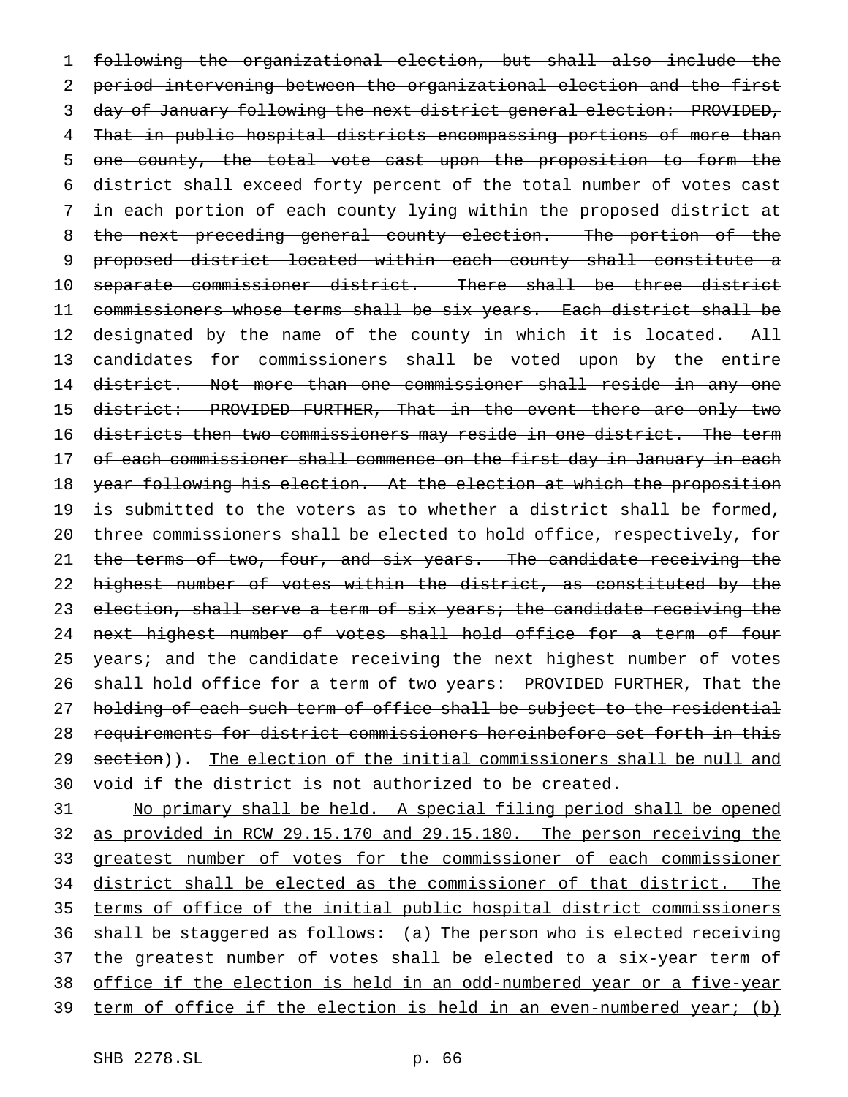1 following the organizational election, but shall also include the 2 period intervening between the organizational election and the first 3 day of January following the next district general election: PROVIDED, 4 That in public hospital districts encompassing portions of more than 5 one county, the total vote cast upon the proposition to form the 6 district shall exceed forty percent of the total number of votes cast 7 in each portion of each county lying within the proposed district at 8 the next preceding general county election. The portion of the 9 proposed district located within each county shall constitute a 10 separate commissioner district. There shall be three district 11 commissioners whose terms shall be six years. Each district shall be 12 designated by the name of the county in which it is located. All 13 candidates for commissioners shall be voted upon by the entire 14 district. Not more than one commissioner shall reside in any one 15 district: PROVIDED FURTHER, That in the event there are only two 16 districts then two commissioners may reside in one district. The term 17 of each commissioner shall commence on the first day in January in each 18 year following his election. At the election at which the proposition 19 is submitted to the voters as to whether a district shall be formed, 20 three commissioners shall be elected to hold office, respectively, for 21 the terms of two, four, and six years. The candidate receiving the 22 highest number of votes within the district, as constituted by the 23 election, shall serve a term of six years; the candidate receiving the 24 next highest number of votes shall hold office for a term of four 25 years; and the candidate receiving the next highest number of votes 26 shall hold office for a term of two years: PROVIDED FURTHER, That the 27 holding of each such term of office shall be subject to the residential 28 requirements for district commissioners hereinbefore set forth in this 29 section)). The election of the initial commissioners shall be null and 30 void if the district is not authorized to be created.

 No primary shall be held. A special filing period shall be opened as provided in RCW 29.15.170 and 29.15.180. The person receiving the 33 greatest number of votes for the commissioner of each commissioner district shall be elected as the commissioner of that district. The terms of office of the initial public hospital district commissioners shall be staggered as follows: (a) The person who is elected receiving 37 the greatest number of votes shall be elected to a six-year term of office if the election is held in an odd-numbered year or a five-year term of office if the election is held in an even-numbered year; (b)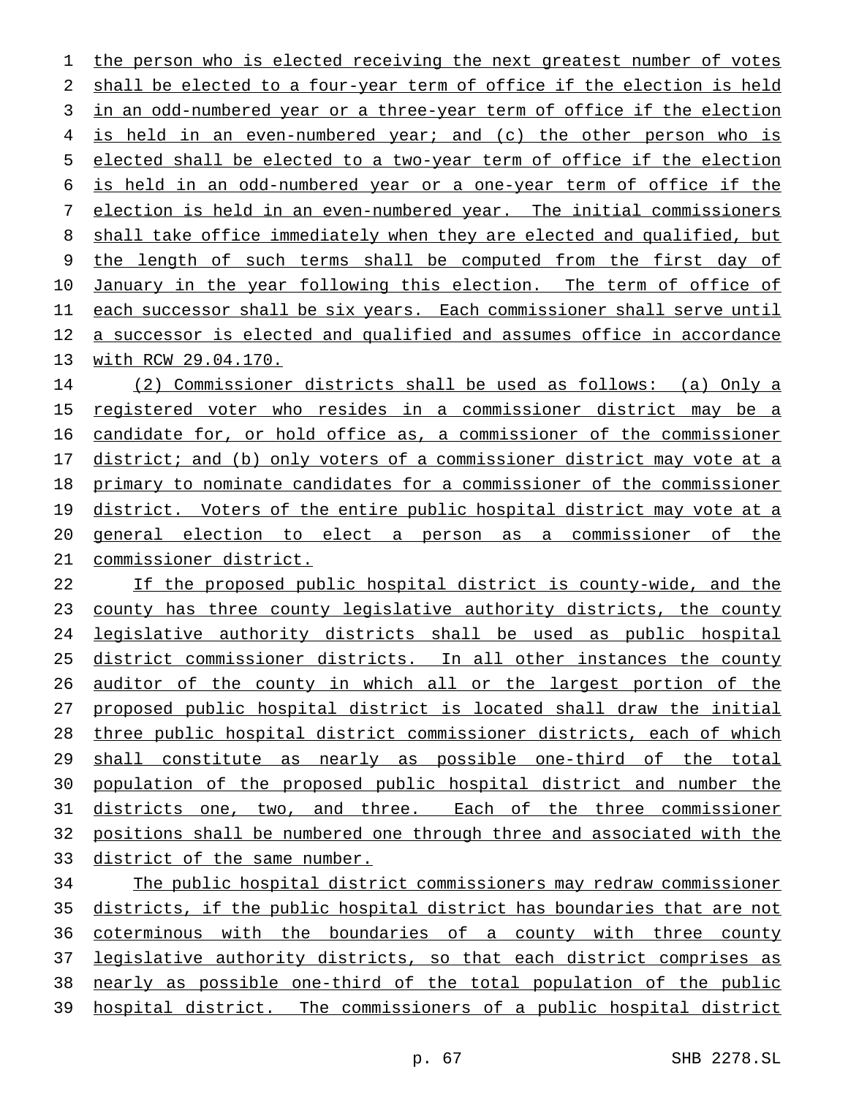the person who is elected receiving the next greatest number of votes shall be elected to a four-year term of office if the election is held 3 in an odd-numbered year or a three-year term of office if the election is held in an even-numbered year; and (c) the other person who is elected shall be elected to a two-year term of office if the election is held in an odd-numbered year or a one-year term of office if the election is held in an even-numbered year. The initial commissioners shall take office immediately when they are elected and qualified, but the length of such terms shall be computed from the first day of January in the year following this election. The term of office of each successor shall be six years. Each commissioner shall serve until a successor is elected and qualified and assumes office in accordance with RCW 29.04.170.

 (2) Commissioner districts shall be used as follows: (a) Only a registered voter who resides in a commissioner district may be a candidate for, or hold office as, a commissioner of the commissioner 17 district; and (b) only voters of a commissioner district may vote at a primary to nominate candidates for a commissioner of the commissioner 19 district. Voters of the entire public hospital district may vote at a general election to elect a person as a commissioner of the commissioner district.

 If the proposed public hospital district is county-wide, and the county has three county legislative authority districts, the county legislative authority districts shall be used as public hospital district commissioner districts. In all other instances the county auditor of the county in which all or the largest portion of the proposed public hospital district is located shall draw the initial three public hospital district commissioner districts, each of which shall constitute as nearly as possible one-third of the total population of the proposed public hospital district and number the districts one, two, and three. Each of the three commissioner positions shall be numbered one through three and associated with the district of the same number.

 The public hospital district commissioners may redraw commissioner districts, if the public hospital district has boundaries that are not coterminous with the boundaries of a county with three county 37 legislative authority districts, so that each district comprises as nearly as possible one-third of the total population of the public hospital district. The commissioners of a public hospital district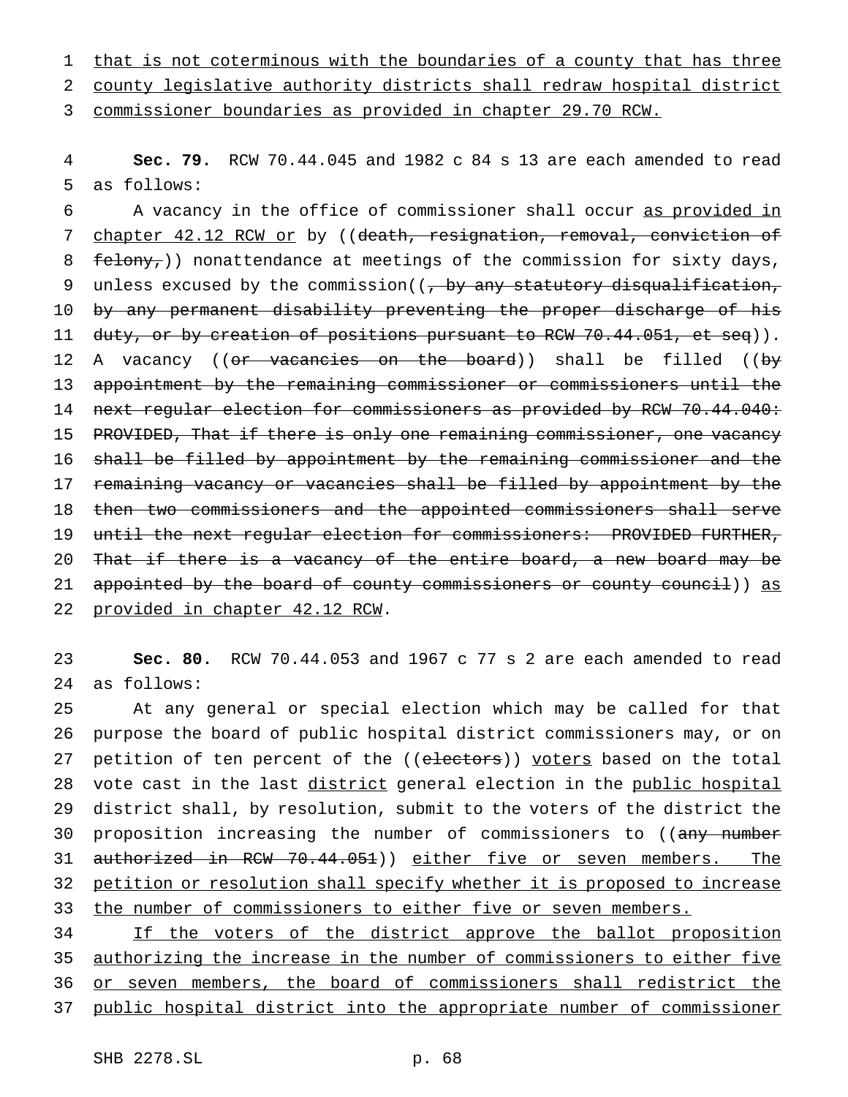1 that is not coterminous with the boundaries of a county that has three 2 county legislative authority districts shall redraw hospital district

3 commissioner boundaries as provided in chapter 29.70 RCW.

4 **Sec. 79.** RCW 70.44.045 and 1982 c 84 s 13 are each amended to read 5 as follows:

6 A vacancy in the office of commissioner shall occur as provided in 7 chapter 42.12 RCW or by ((death, resignation, removal, conviction of 8  $f_{\text{elony}}$ )) nonattendance at meetings of the commission for sixty days, 9 unless excused by the commission( $\left( \frac{1}{f} \right)$  by any statutory disqualification, 10 by any permanent disability preventing the proper discharge of his 11 duty, or by creation of positions pursuant to RCW 70.44.051, et seq)). 12 A vacancy ((<del>or vacancies on the board</del>)) shall be filled ((by 13 appointment by the remaining commissioner or commissioners until the 14 next regular election for commissioners as provided by RCW 70.44.040: 15 PROVIDED, That if there is only one remaining commissioner, one vacancy 16 shall be filled by appointment by the remaining commissioner and the 17 remaining vacancy or vacancies shall be filled by appointment by the 18 then two commissioners and the appointed commissioners shall serve 19 until the next regular election for commissioners: PROVIDED FURTHER, 20 That if there is a vacancy of the entire board, a new board may be 21 appointed by the board of county commissioners or county council)) as 22 provided in chapter 42.12 RCW.

23 **Sec. 80.** RCW 70.44.053 and 1967 c 77 s 2 are each amended to read 24 as follows:

25 At any general or special election which may be called for that 26 purpose the board of public hospital district commissioners may, or on 27 petition of ten percent of the ((electors)) voters based on the total 28 vote cast in the last district general election in the public hospital 29 district shall, by resolution, submit to the voters of the district the 30 proposition increasing the number of commissioners to ((any number 31 authorized in RCW 70.44.051)) either five or seven members. The 32 petition or resolution shall specify whether it is proposed to increase 33 the number of commissioners to either five or seven members.

34 If the voters of the district approve the ballot proposition authorizing the increase in the number of commissioners to either five or seven members, the board of commissioners shall redistrict the public hospital district into the appropriate number of commissioner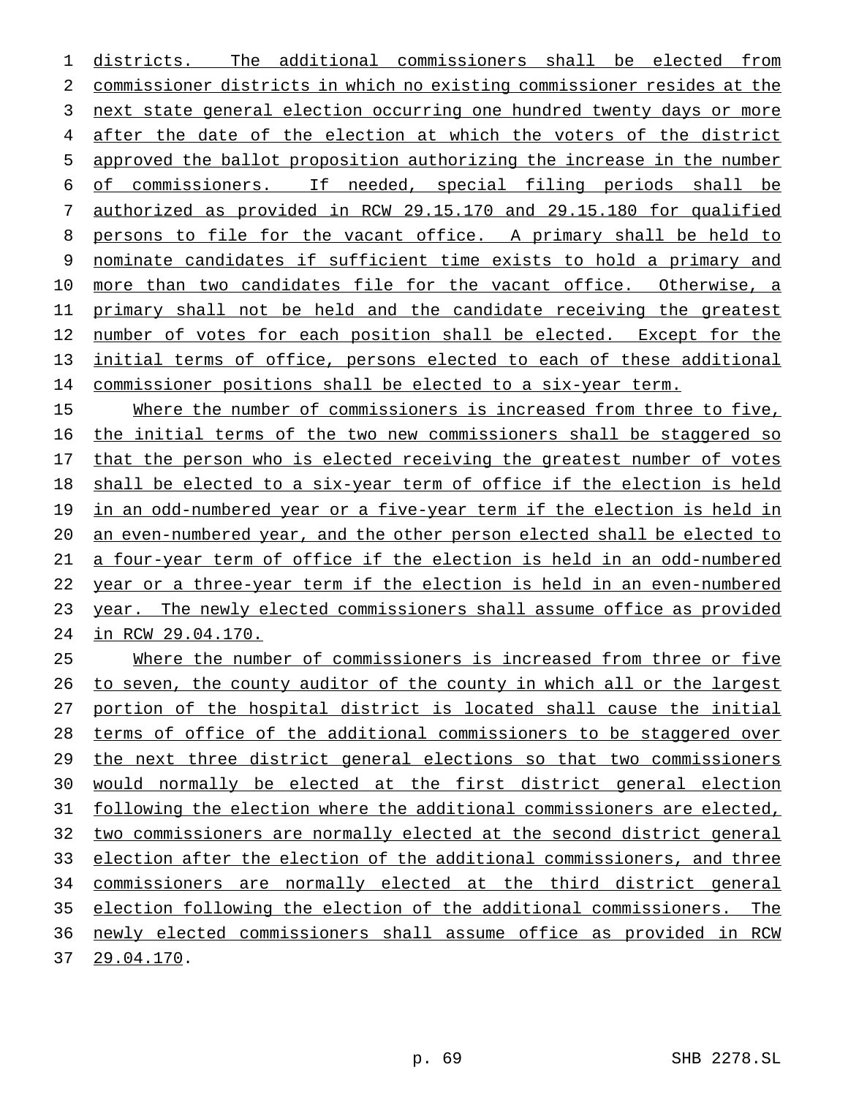districts. The additional commissioners shall be elected from commissioner districts in which no existing commissioner resides at the next state general election occurring one hundred twenty days or more after the date of the election at which the voters of the district approved the ballot proposition authorizing the increase in the number of commissioners. If needed, special filing periods shall be authorized as provided in RCW 29.15.170 and 29.15.180 for qualified persons to file for the vacant office. A primary shall be held to nominate candidates if sufficient time exists to hold a primary and more than two candidates file for the vacant office. Otherwise, a primary shall not be held and the candidate receiving the greatest number of votes for each position shall be elected. Except for the initial terms of office, persons elected to each of these additional commissioner positions shall be elected to a six-year term.

15 Where the number of commissioners is increased from three to five, the initial terms of the two new commissioners shall be staggered so that the person who is elected receiving the greatest number of votes shall be elected to a six-year term of office if the election is held 19 in an odd-numbered year or a five-year term if the election is held in an even-numbered year, and the other person elected shall be elected to a four-year term of office if the election is held in an odd-numbered year or a three-year term if the election is held in an even-numbered 23 year. The newly elected commissioners shall assume office as provided in RCW 29.04.170.

 Where the number of commissioners is increased from three or five 26 to seven, the county auditor of the county in which all or the largest portion of the hospital district is located shall cause the initial terms of office of the additional commissioners to be staggered over 29 the next three district general elections so that two commissioners would normally be elected at the first district general election following the election where the additional commissioners are elected, two commissioners are normally elected at the second district general election after the election of the additional commissioners, and three commissioners are normally elected at the third district general election following the election of the additional commissioners. The newly elected commissioners shall assume office as provided in RCW 29.04.170.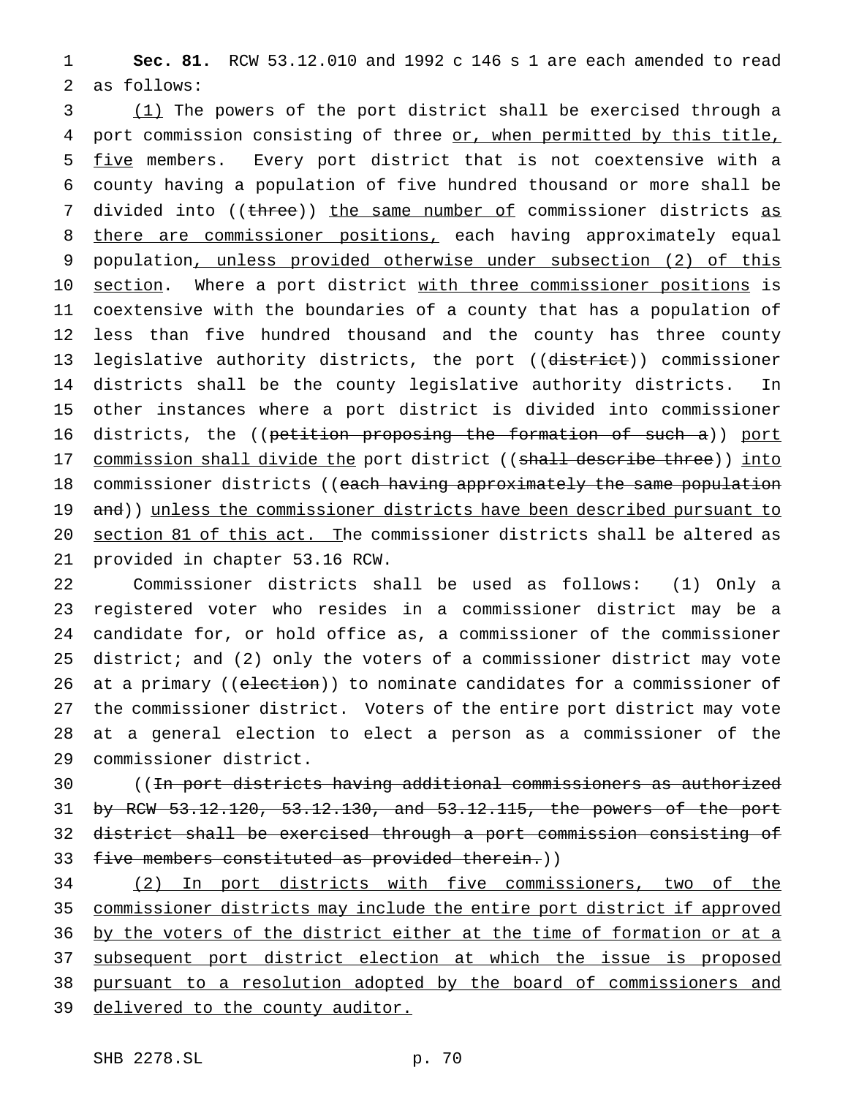1 **Sec. 81.** RCW 53.12.010 and 1992 c 146 s 1 are each amended to read 2 as follows:

3 (1) The powers of the port district shall be exercised through a 4 port commission consisting of three or, when permitted by this title, 5 five members. Every port district that is not coextensive with a 6 county having a population of five hundred thousand or more shall be 7 divided into ((three)) the same number of commissioner districts as 8 there are commissioner positions, each having approximately equal 9 population, unless provided otherwise under subsection (2) of this 10 section. Where a port district with three commissioner positions is 11 coextensive with the boundaries of a county that has a population of 12 less than five hundred thousand and the county has three county 13 legislative authority districts, the port ((district)) commissioner 14 districts shall be the county legislative authority districts. In 15 other instances where a port district is divided into commissioner 16 districts, the ((petition proposing the formation of such a)) port 17 commission shall divide the port district ((shall describe three)) into 18 commissioner districts ((each having approximately the same population 19 and)) unless the commissioner districts have been described pursuant to 20 section 81 of this act. The commissioner districts shall be altered as 21 provided in chapter 53.16 RCW.

 Commissioner districts shall be used as follows: (1) Only a registered voter who resides in a commissioner district may be a candidate for, or hold office as, a commissioner of the commissioner district; and (2) only the voters of a commissioner district may vote 26 at a primary ((election)) to nominate candidates for a commissioner of the commissioner district. Voters of the entire port district may vote at a general election to elect a person as a commissioner of the commissioner district.

 ((In port districts having additional commissioners as authorized by RCW 53.12.120, 53.12.130, and 53.12.115, the powers of the port district shall be exercised through a port commission consisting of 33 five members constituted as provided therein.))

34 (2) In port districts with five commissioners, two of the 35 commissioner districts may include the entire port district if approved 36 by the voters of the district either at the time of formation or at a 37 subsequent port district election at which the issue is proposed 38 pursuant to a resolution adopted by the board of commissioners and 39 delivered to the county auditor.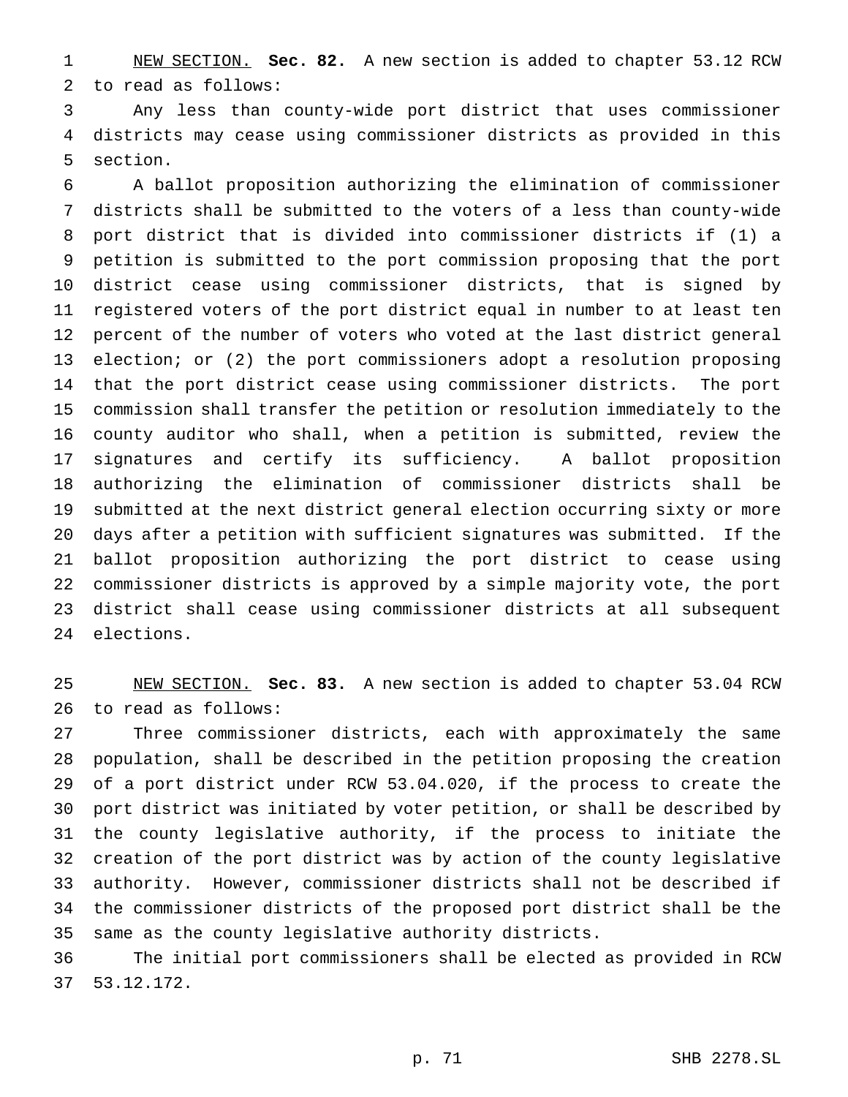NEW SECTION. **Sec. 82.** A new section is added to chapter 53.12 RCW to read as follows:

 Any less than county-wide port district that uses commissioner districts may cease using commissioner districts as provided in this section.

 A ballot proposition authorizing the elimination of commissioner districts shall be submitted to the voters of a less than county-wide port district that is divided into commissioner districts if (1) a petition is submitted to the port commission proposing that the port district cease using commissioner districts, that is signed by registered voters of the port district equal in number to at least ten percent of the number of voters who voted at the last district general election; or (2) the port commissioners adopt a resolution proposing that the port district cease using commissioner districts. The port commission shall transfer the petition or resolution immediately to the county auditor who shall, when a petition is submitted, review the signatures and certify its sufficiency. A ballot proposition authorizing the elimination of commissioner districts shall be submitted at the next district general election occurring sixty or more days after a petition with sufficient signatures was submitted. If the ballot proposition authorizing the port district to cease using commissioner districts is approved by a simple majority vote, the port district shall cease using commissioner districts at all subsequent elections.

 NEW SECTION. **Sec. 83.** A new section is added to chapter 53.04 RCW to read as follows:

 Three commissioner districts, each with approximately the same population, shall be described in the petition proposing the creation of a port district under RCW 53.04.020, if the process to create the port district was initiated by voter petition, or shall be described by the county legislative authority, if the process to initiate the creation of the port district was by action of the county legislative authority. However, commissioner districts shall not be described if the commissioner districts of the proposed port district shall be the same as the county legislative authority districts.

 The initial port commissioners shall be elected as provided in RCW 53.12.172.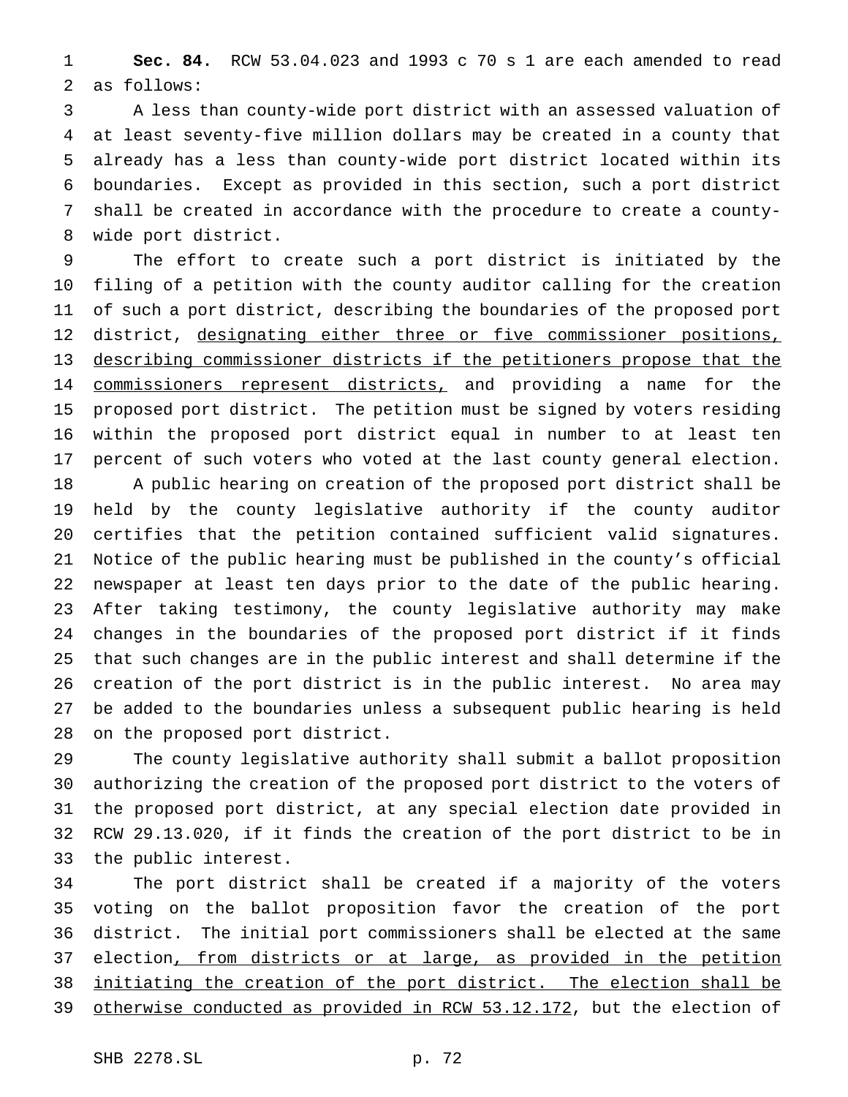**Sec. 84.** RCW 53.04.023 and 1993 c 70 s 1 are each amended to read as follows:

 A less than county-wide port district with an assessed valuation of at least seventy-five million dollars may be created in a county that already has a less than county-wide port district located within its boundaries. Except as provided in this section, such a port district shall be created in accordance with the procedure to create a county-wide port district.

 The effort to create such a port district is initiated by the filing of a petition with the county auditor calling for the creation of such a port district, describing the boundaries of the proposed port 12 district, designating either three or five commissioner positions, describing commissioner districts if the petitioners propose that the 14 commissioners represent districts, and providing a name for the proposed port district. The petition must be signed by voters residing within the proposed port district equal in number to at least ten percent of such voters who voted at the last county general election. A public hearing on creation of the proposed port district shall be

 held by the county legislative authority if the county auditor certifies that the petition contained sufficient valid signatures. Notice of the public hearing must be published in the county's official newspaper at least ten days prior to the date of the public hearing. After taking testimony, the county legislative authority may make changes in the boundaries of the proposed port district if it finds that such changes are in the public interest and shall determine if the creation of the port district is in the public interest. No area may be added to the boundaries unless a subsequent public hearing is held on the proposed port district.

 The county legislative authority shall submit a ballot proposition authorizing the creation of the proposed port district to the voters of the proposed port district, at any special election date provided in RCW 29.13.020, if it finds the creation of the port district to be in the public interest.

 The port district shall be created if a majority of the voters voting on the ballot proposition favor the creation of the port district. The initial port commissioners shall be elected at the same 37 election, from districts or at large, as provided in the petition initiating the creation of the port district. The election shall be 39 otherwise conducted as provided in RCW 53.12.172, but the election of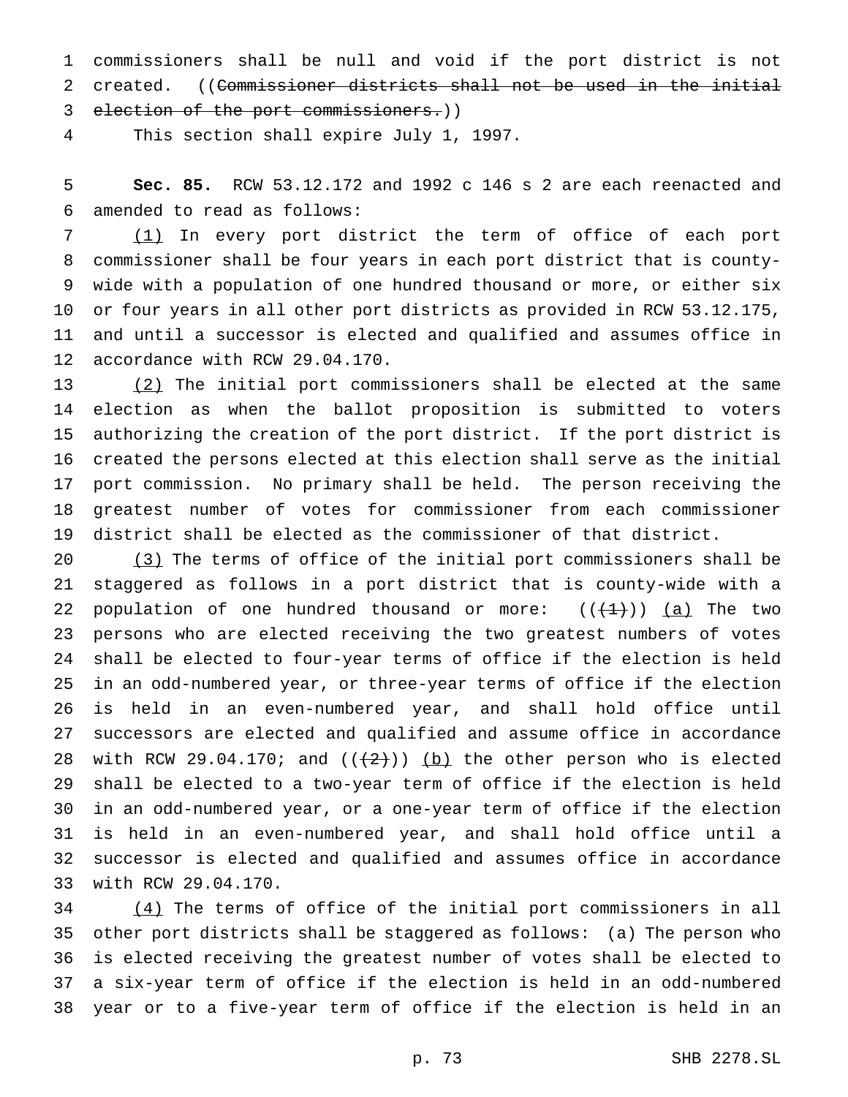commissioners shall be null and void if the port district is not 2 created. ((Commissioner districts shall not be used in the initial election of the port commissioners.))

This section shall expire July 1, 1997.

 **Sec. 85.** RCW 53.12.172 and 1992 c 146 s 2 are each reenacted and amended to read as follows:

 (1) In every port district the term of office of each port commissioner shall be four years in each port district that is county- wide with a population of one hundred thousand or more, or either six or four years in all other port districts as provided in RCW 53.12.175, and until a successor is elected and qualified and assumes office in accordance with RCW 29.04.170.

13 (2) The initial port commissioners shall be elected at the same election as when the ballot proposition is submitted to voters authorizing the creation of the port district. If the port district is created the persons elected at this election shall serve as the initial port commission. No primary shall be held. The person receiving the greatest number of votes for commissioner from each commissioner district shall be elected as the commissioner of that district.

 (3) The terms of office of the initial port commissioners shall be staggered as follows in a port district that is county-wide with a 22 population of one hundred thousand or more:  $((+1))$  (a) The two persons who are elected receiving the two greatest numbers of votes shall be elected to four-year terms of office if the election is held in an odd-numbered year, or three-year terms of office if the election is held in an even-numbered year, and shall hold office until successors are elected and qualified and assume office in accordance 28 with RCW 29.04.170; and  $((+2))$  (b) the other person who is elected shall be elected to a two-year term of office if the election is held in an odd-numbered year, or a one-year term of office if the election is held in an even-numbered year, and shall hold office until a successor is elected and qualified and assumes office in accordance with RCW 29.04.170.

 (4) The terms of office of the initial port commissioners in all other port districts shall be staggered as follows: (a) The person who is elected receiving the greatest number of votes shall be elected to a six-year term of office if the election is held in an odd-numbered year or to a five-year term of office if the election is held in an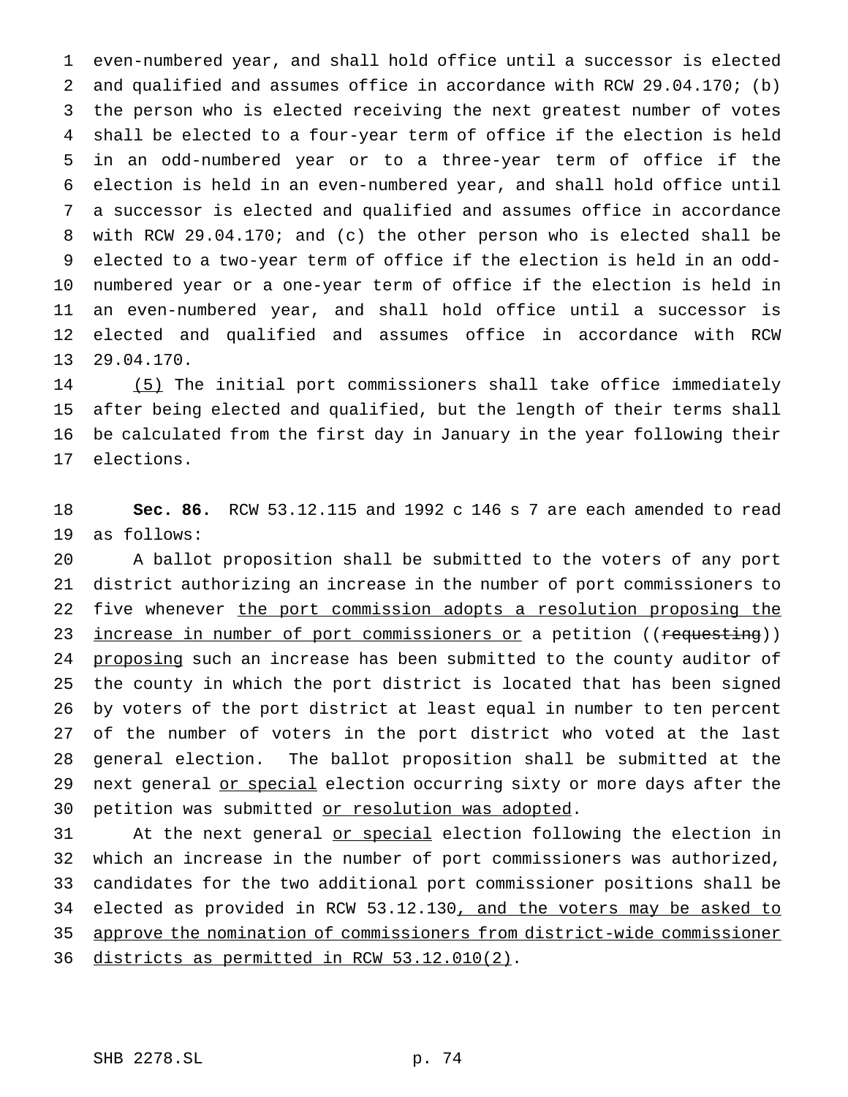even-numbered year, and shall hold office until a successor is elected and qualified and assumes office in accordance with RCW 29.04.170; (b) the person who is elected receiving the next greatest number of votes shall be elected to a four-year term of office if the election is held in an odd-numbered year or to a three-year term of office if the election is held in an even-numbered year, and shall hold office until a successor is elected and qualified and assumes office in accordance with RCW 29.04.170; and (c) the other person who is elected shall be elected to a two-year term of office if the election is held in an odd- numbered year or a one-year term of office if the election is held in an even-numbered year, and shall hold office until a successor is elected and qualified and assumes office in accordance with RCW 29.04.170.

 (5) The initial port commissioners shall take office immediately after being elected and qualified, but the length of their terms shall be calculated from the first day in January in the year following their elections.

 **Sec. 86.** RCW 53.12.115 and 1992 c 146 s 7 are each amended to read as follows:

 A ballot proposition shall be submitted to the voters of any port district authorizing an increase in the number of port commissioners to 22 five whenever the port commission adopts a resolution proposing the 23 increase in number of port commissioners or a petition ((requesting)) 24 proposing such an increase has been submitted to the county auditor of the county in which the port district is located that has been signed by voters of the port district at least equal in number to ten percent of the number of voters in the port district who voted at the last general election. The ballot proposition shall be submitted at the 29 next general or special election occurring sixty or more days after the petition was submitted or resolution was adopted.

31 At the next general or special election following the election in which an increase in the number of port commissioners was authorized, candidates for the two additional port commissioner positions shall be 34 elected as provided in RCW 53.12.130, and the voters may be asked to approve the nomination of commissioners from district-wide commissioner districts as permitted in RCW 53.12.010(2).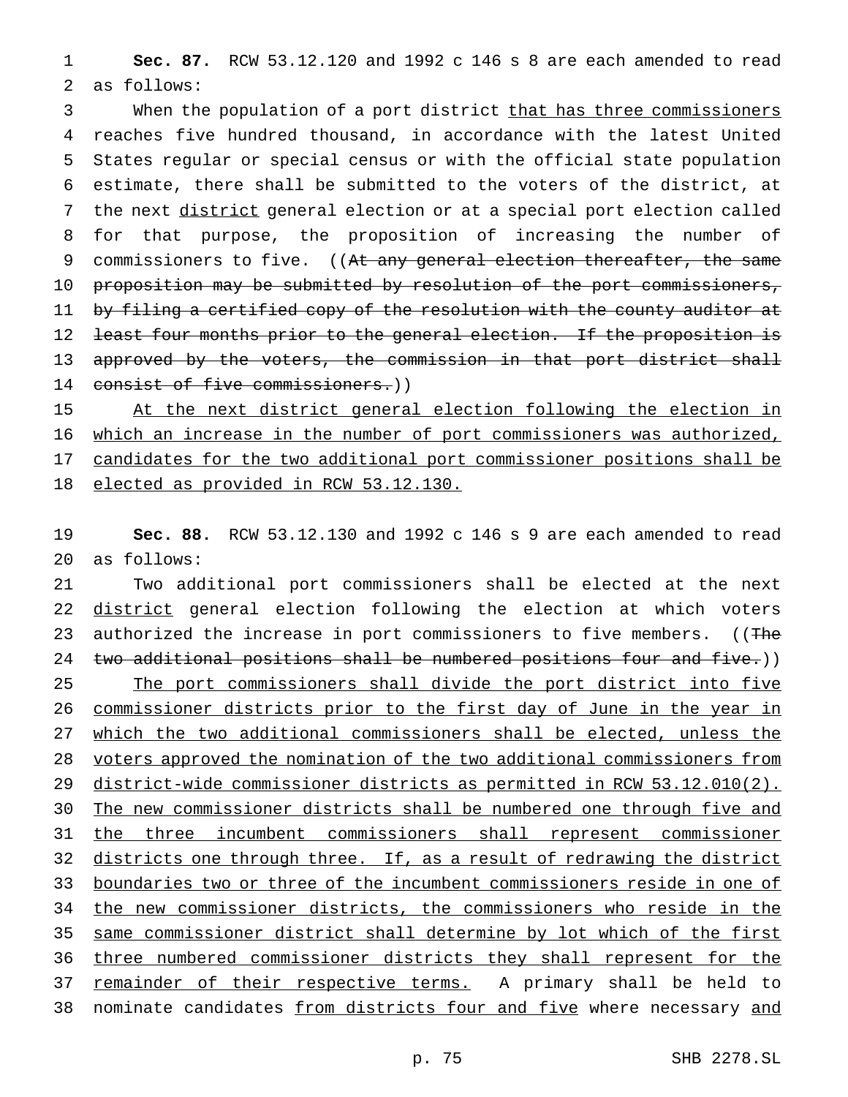1 **Sec. 87.** RCW 53.12.120 and 1992 c 146 s 8 are each amended to read 2 as follows:

3 When the population of a port district that has three commissioners 4 reaches five hundred thousand, in accordance with the latest United 5 States regular or special census or with the official state population 6 estimate, there shall be submitted to the voters of the district, at 7 the next district general election or at a special port election called 8 for that purpose, the proposition of increasing the number of 9 commissioners to five. ((At any general election thereafter, the same 10 proposition may be submitted by resolution of the port commissioners, 11 by filing a certified copy of the resolution with the county auditor at 12 <del>least four months prior to the general election. If the proposition is</del> 13 approved by the voters, the commission in that port district shall 14 consist of five commissioners.))

15 At the next district general election following the election in which an increase in the number of port commissioners was authorized, candidates for the two additional port commissioner positions shall be elected as provided in RCW 53.12.130.

19 **Sec. 88.** RCW 53.12.130 and 1992 c 146 s 9 are each amended to read 20 as follows:

 Two additional port commissioners shall be elected at the next 22 district general election following the election at which voters 23 authorized the increase in port commissioners to five members. ((The 24 two additional positions shall be numbered positions four and five.)) 25 The port commissioners shall divide the port district into five commissioner districts prior to the first day of June in the year in which the two additional commissioners shall be elected, unless the voters approved the nomination of the two additional commissioners from district-wide commissioner districts as permitted in RCW 53.12.010(2). The new commissioner districts shall be numbered one through five and the three incumbent commissioners shall represent commissioner 32 districts one through three. If, as a result of redrawing the district boundaries two or three of the incumbent commissioners reside in one of the new commissioner districts, the commissioners who reside in the same commissioner district shall determine by lot which of the first three numbered commissioner districts they shall represent for the 37 remainder of their respective terms. A primary shall be held to 38 nominate candidates from districts four and five where necessary and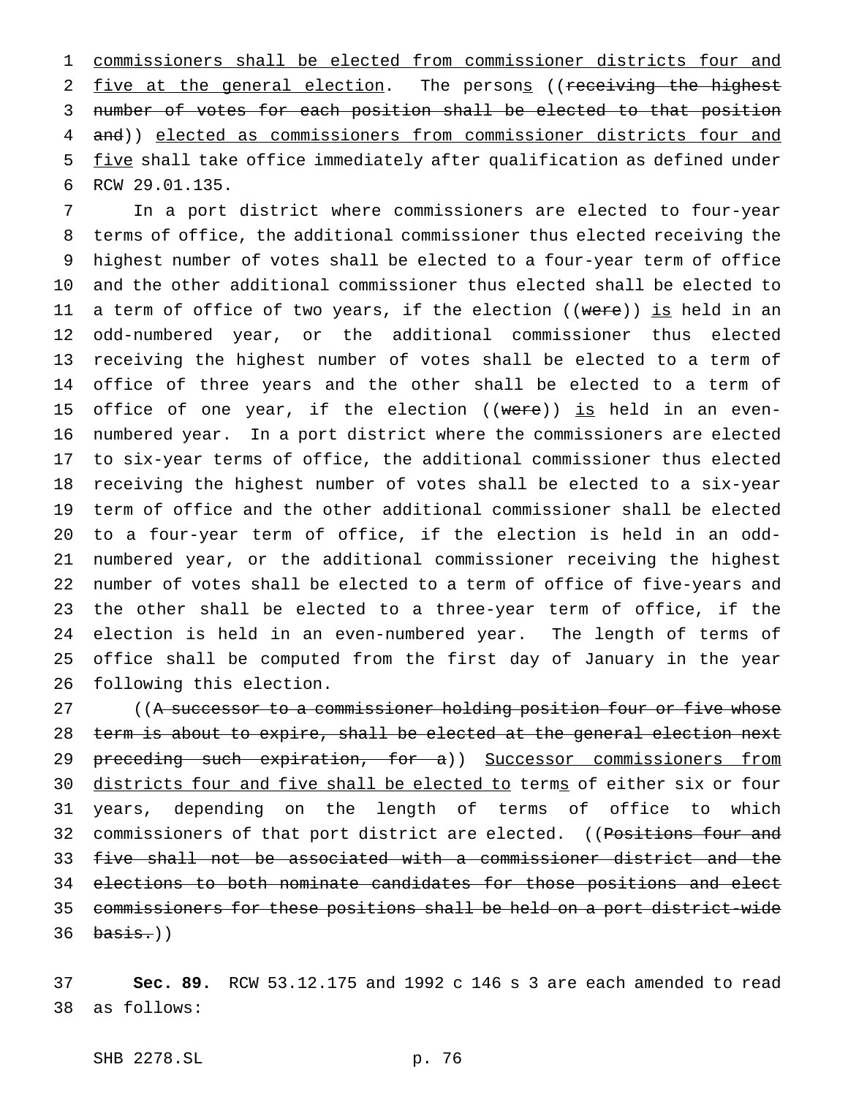commissioners shall be elected from commissioner districts four and 2 five at the general election. The persons ((receiving the highest number of votes for each position shall be elected to that position 4 and)) elected as commissioners from commissioner districts four and 5 five shall take office immediately after qualification as defined under RCW 29.01.135.

 In a port district where commissioners are elected to four-year terms of office, the additional commissioner thus elected receiving the highest number of votes shall be elected to a four-year term of office and the other additional commissioner thus elected shall be elected to 11 a term of office of two years, if the election ((were)) is held in an odd-numbered year, or the additional commissioner thus elected receiving the highest number of votes shall be elected to a term of office of three years and the other shall be elected to a term of 15 office of one year, if the election  $((\text{were}))$  is held in an even- numbered year. In a port district where the commissioners are elected to six-year terms of office, the additional commissioner thus elected receiving the highest number of votes shall be elected to a six-year term of office and the other additional commissioner shall be elected to a four-year term of office, if the election is held in an odd- numbered year, or the additional commissioner receiving the highest number of votes shall be elected to a term of office of five-years and the other shall be elected to a three-year term of office, if the election is held in an even-numbered year. The length of terms of office shall be computed from the first day of January in the year following this election.

27 ((A successor to a commissioner holding position four or five whose term is about to expire, shall be elected at the general election next 29 preceding such expiration, for a)) Successor commissioners from 30 districts four and five shall be elected to terms of either six or four years, depending on the length of terms of office to which 32 commissioners of that port district are elected. ((Positions four and five shall not be associated with a commissioner district and the elections to both nominate candidates for those positions and elect commissioners for these positions shall be held on a port district-wide basis.))

 **Sec. 89.** RCW 53.12.175 and 1992 c 146 s 3 are each amended to read as follows: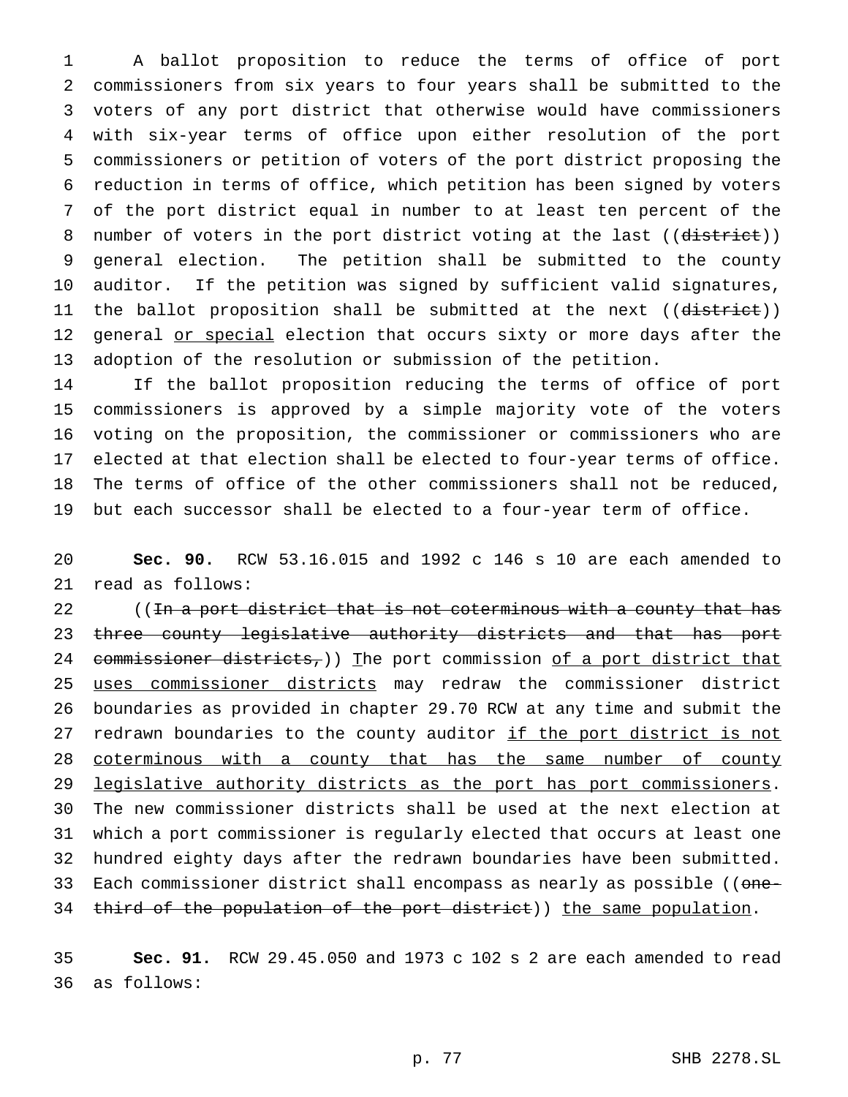A ballot proposition to reduce the terms of office of port commissioners from six years to four years shall be submitted to the voters of any port district that otherwise would have commissioners with six-year terms of office upon either resolution of the port commissioners or petition of voters of the port district proposing the reduction in terms of office, which petition has been signed by voters of the port district equal in number to at least ten percent of the 8 number of voters in the port district voting at the last ((district)) general election. The petition shall be submitted to the county auditor. If the petition was signed by sufficient valid signatures, 11 the ballot proposition shall be submitted at the next ((district)) 12 general or special election that occurs sixty or more days after the adoption of the resolution or submission of the petition.

 If the ballot proposition reducing the terms of office of port commissioners is approved by a simple majority vote of the voters voting on the proposition, the commissioner or commissioners who are elected at that election shall be elected to four-year terms of office. The terms of office of the other commissioners shall not be reduced, but each successor shall be elected to a four-year term of office.

 **Sec. 90.** RCW 53.16.015 and 1992 c 146 s 10 are each amended to read as follows:

22 ((In a port district that is not coterminous with a county that has 23 three county legislative authority districts and that has port 24 commissioner districts,)) The port commission of a port district that 25 uses commissioner districts may redraw the commissioner district boundaries as provided in chapter 29.70 RCW at any time and submit the 27 redrawn boundaries to the county auditor if the port district is not 28 coterminous with a county that has the same number of county 29 legislative authority districts as the port has port commissioners. The new commissioner districts shall be used at the next election at which a port commissioner is regularly elected that occurs at least one hundred eighty days after the redrawn boundaries have been submitted. 33 Each commissioner district shall encompass as nearly as possible ((one-34 third of the population of the port district)) the same population.

 **Sec. 91.** RCW 29.45.050 and 1973 c 102 s 2 are each amended to read as follows: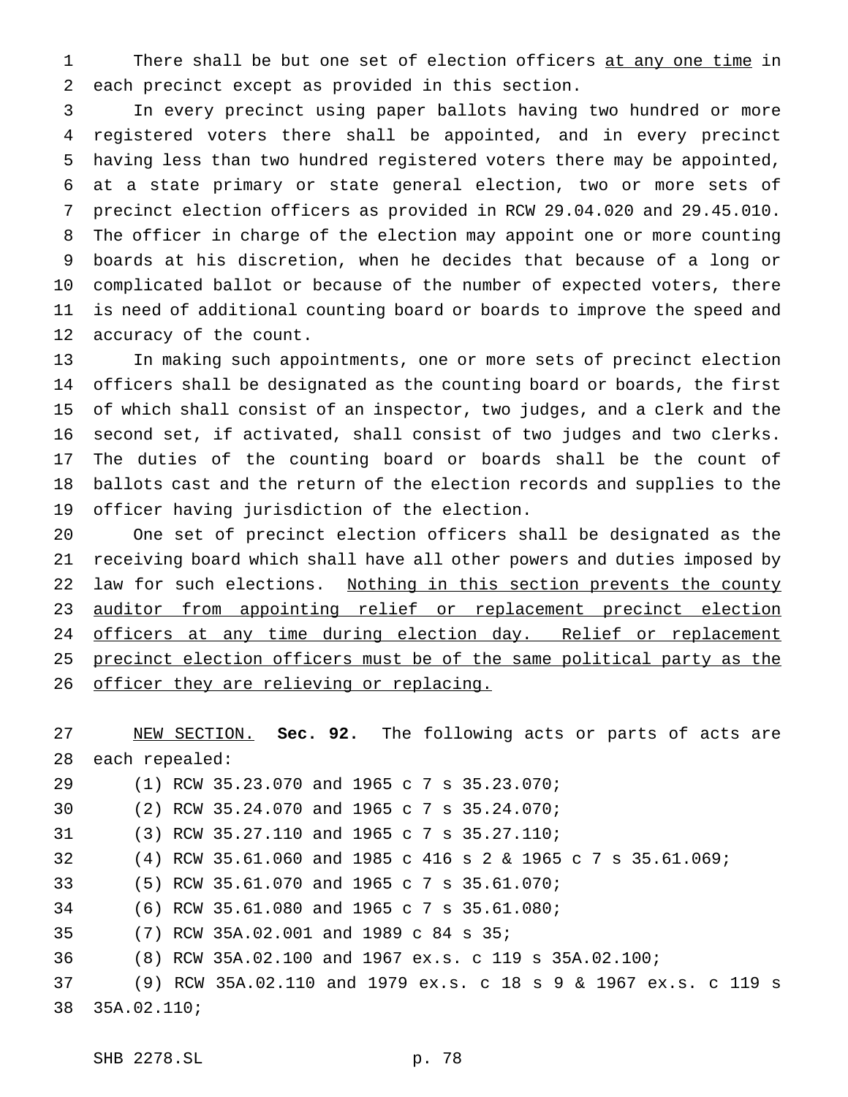1 There shall be but one set of election officers at any one time in each precinct except as provided in this section.

 In every precinct using paper ballots having two hundred or more registered voters there shall be appointed, and in every precinct having less than two hundred registered voters there may be appointed, at a state primary or state general election, two or more sets of precinct election officers as provided in RCW 29.04.020 and 29.45.010. The officer in charge of the election may appoint one or more counting boards at his discretion, when he decides that because of a long or complicated ballot or because of the number of expected voters, there is need of additional counting board or boards to improve the speed and accuracy of the count.

 In making such appointments, one or more sets of precinct election officers shall be designated as the counting board or boards, the first of which shall consist of an inspector, two judges, and a clerk and the second set, if activated, shall consist of two judges and two clerks. The duties of the counting board or boards shall be the count of ballots cast and the return of the election records and supplies to the officer having jurisdiction of the election.

 One set of precinct election officers shall be designated as the receiving board which shall have all other powers and duties imposed by 22 law for such elections. Nothing in this section prevents the county 23 auditor from appointing relief or replacement precinct election 24 officers at any time during election day. Relief or replacement 25 precinct election officers must be of the same political party as the 26 officer they are relieving or replacing.

 NEW SECTION. **Sec. 92.** The following acts or parts of acts are each repealed: 29 (1) RCW 35.23.070 and 1965 c 7 s 35.23.070; (2) RCW 35.24.070 and 1965c7s 35.24.070; (3) RCW 35.27.110 and 1965c7s 35.27.110; (4) RCW 35.61.060 and 1985 c 416s2& 1965 c 7 s 35.61.069; (5) RCW 35.61.070 and 1965c7s 35.61.070; (6) RCW 35.61.080 and 1965c7s 35.61.080; (7) RCW 35A.02.001 and 1989 c 84 s 35; (8) RCW 35A.02.100 and 1967 ex.s. c 119 s 35A.02.100; (9) RCW 35A.02.110 and 1979 ex.s. c 18s9& 1967 ex.s. c 119 s 35A.02.110;

SHB 2278.SL p. 78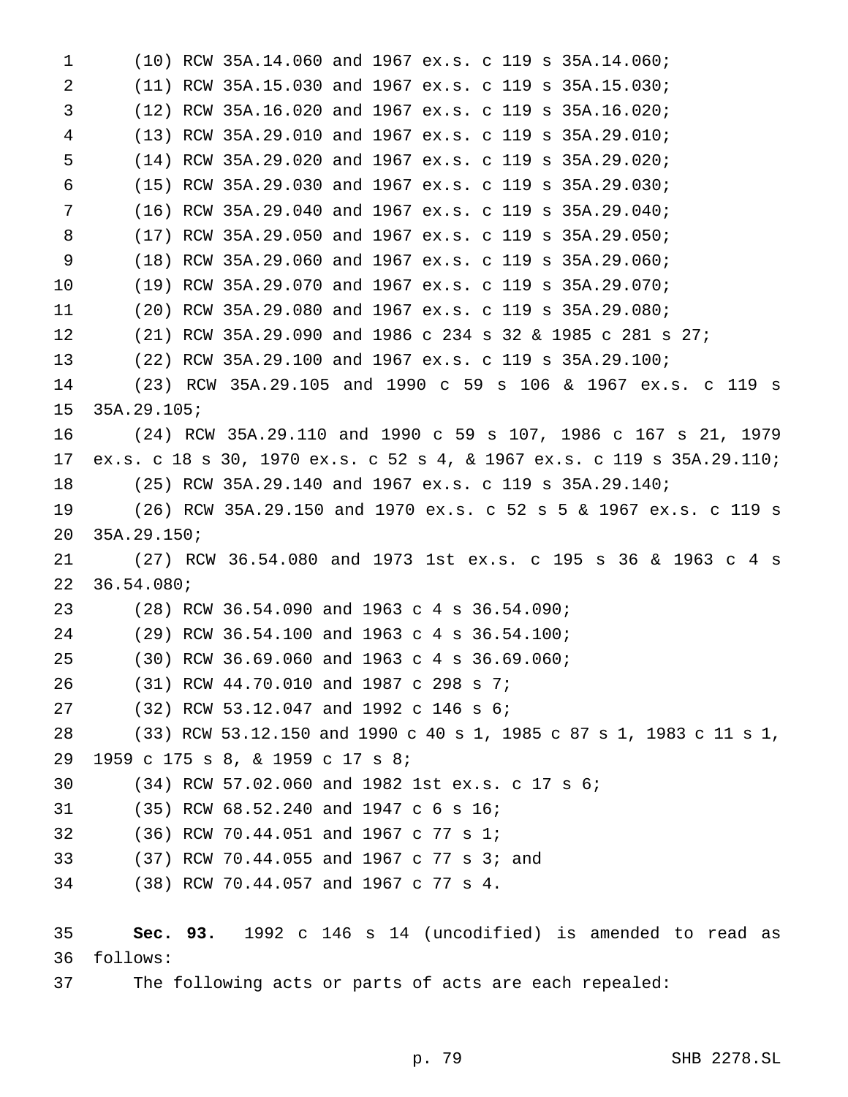(10) RCW 35A.14.060 and 1967 ex.s. c 119 s 35A.14.060; (11) RCW 35A.15.030 and 1967 ex.s. c 119 s 35A.15.030; (12) RCW 35A.16.020 and 1967 ex.s. c 119 s 35A.16.020; (13) RCW 35A.29.010 and 1967 ex.s. c 119 s 35A.29.010; (14) RCW 35A.29.020 and 1967 ex.s. c 119 s 35A.29.020; (15) RCW 35A.29.030 and 1967 ex.s. c 119 s 35A.29.030; (16) RCW 35A.29.040 and 1967 ex.s. c 119 s 35A.29.040; (17) RCW 35A.29.050 and 1967 ex.s. c 119 s 35A.29.050; (18) RCW 35A.29.060 and 1967 ex.s. c 119 s 35A.29.060; (19) RCW 35A.29.070 and 1967 ex.s. c 119 s 35A.29.070; (20) RCW 35A.29.080 and 1967 ex.s. c 119 s 35A.29.080; (21) RCW 35A.29.090 and 1986 c 234 s 32 & 1985 c 281 s 27; (22) RCW 35A.29.100 and 1967 ex.s. c 119 s 35A.29.100; (23) RCW 35A.29.105 and 1990 c 59 s 106 & 1967 ex.s. c 119 s 35A.29.105; (24) RCW 35A.29.110 and 1990 c 59 s 107, 1986 c 167 s 21, 1979 ex.s. c 18 s 30, 1970 ex.s. c 52 s 4, & 1967 ex.s. c 119 s 35A.29.110; (25) RCW 35A.29.140 and 1967 ex.s. c 119 s 35A.29.140; (26) RCW 35A.29.150 and 1970 ex.s. c 52s5& 1967 ex.s. c 119 s 35A.29.150; (27) RCW 36.54.080 and 1973 1st ex.s. c 195 s 36 & 1963c4s 36.54.080; 23 (28) RCW 36.54.090 and 1963 c 4 s 36.54.090; 24 (29) RCW 36.54.100 and 1963 c 4 s 36.54.100; 25 (30) RCW 36.69.060 and 1963 c 4 s 36.69.060; (31) RCW 44.70.010 and 1987 c 298 s 7; (32) RCW 53.12.047 and 1992 c 146 s 6; (33) RCW 53.12.150 and 1990 c 40 s 1, 1985 c 87 s 1, 1983 c 11 s 1, 1959 c 175 s 8, & 1959 c 17 s 8; (34) RCW 57.02.060 and 1982 1st ex.s. c 17 s 6; (35) RCW 68.52.240 and 1947 c 6 s 16; (36) RCW 70.44.051 and 1967 c 77 s 1; (37) RCW 70.44.055 and 1967 c 77 s 3; and (38) RCW 70.44.057 and 1967 c 77 s 4. **Sec. 93.** 1992 c 146 s 14 (uncodified) is amended to read as follows: The following acts or parts of acts are each repealed: